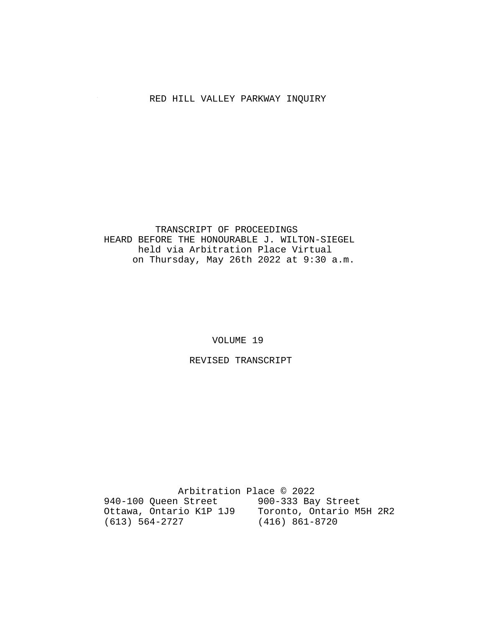# RED HILL VALLEY PARKWAY INQUIRY

### TRANSCRIPT OF PROCEEDINGS HEARD BEFORE THE HONOURABLE J. WILTON-SIEGEL held via Arbitration Place Virtual on Thursday, May 26th 2022 at 9:30 a.m.

VOLUME 19

REVISED TRANSCRIPT

 Arbitration Place © 2022 940-100 Queen Street 900-333 Bay Street Ottawa, Ontario K1P 1J9 Toronto, Ontario M5H 2R2 (613) 564-2727 (416) 861-8720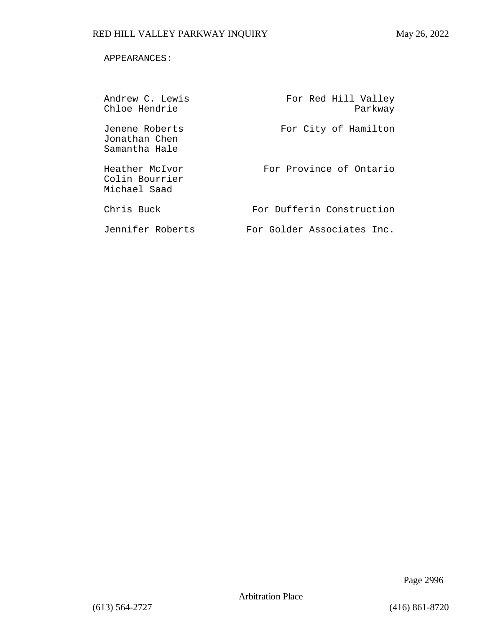### APPEARANCES:

| Andrew C. Lewis<br>Chloe Hendrie                 | For Red Hill Valley<br>Parkway |
|--------------------------------------------------|--------------------------------|
| Jenene Roberts<br>Jonathan Chen<br>Samantha Hale | For City of Hamilton           |
| Heather McTvor<br>Colin Bourrier<br>Michael Saad | For Province of Ontario        |
| Chris Buck                                       | For Dufferin Construction      |
| Jennifer Roberts                                 | For Golder Associates Inc.     |

Page 2996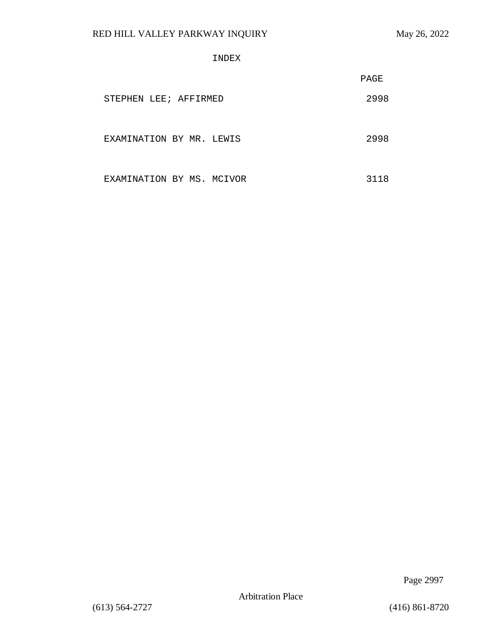INDEX

|                           | PAGE |
|---------------------------|------|
| STEPHEN LEE; AFFIRMED     | 2998 |
| EXAMINATION BY MR. LEWIS  | 2998 |
| EXAMINATION BY MS. MCIVOR | 3118 |

Page 2997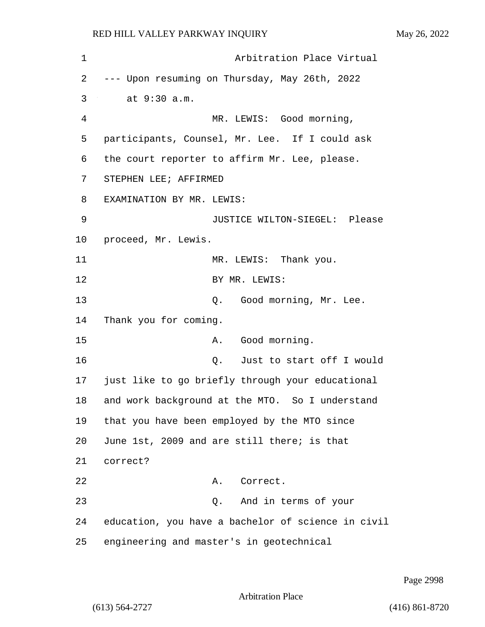| $\mathbf 1$ | Arbitration Place Virtual                          |
|-------------|----------------------------------------------------|
| 2           | --- Upon resuming on Thursday, May 26th, 2022      |
| 3           | at 9:30 a.m.                                       |
| 4           | MR. LEWIS: Good morning,                           |
| 5           | participants, Counsel, Mr. Lee. If I could ask     |
| 6           | the court reporter to affirm Mr. Lee, please.      |
| 7           | STEPHEN LEE; AFFIRMED                              |
| 8           | EXAMINATION BY MR. LEWIS:                          |
| 9           | JUSTICE WILTON-SIEGEL: Please                      |
| $10 \,$     | proceed, Mr. Lewis.                                |
| 11          | MR. LEWIS: Thank you.                              |
| 12          | BY MR. LEWIS:                                      |
| 13          | Q. Good morning, Mr. Lee.                          |
| 14          | Thank you for coming.                              |
| 15          | A. Good morning.                                   |
| 16          | Just to start off I would<br>Q.                    |
| 17          | just like to go briefly through your educational   |
| 18          | and work background at the MTO. So I understand    |
| 19          | that you have been employed by the MTO since       |
| 20          | June 1st, 2009 and are still there; is that        |
| 21          | correct?                                           |
| 22          | Correct.<br>Α.                                     |
| 23          | And in terms of your<br>Q.                         |
| 24          | education, you have a bachelor of science in civil |
| 25          | engineering and master's in geotechnical           |

Page 2998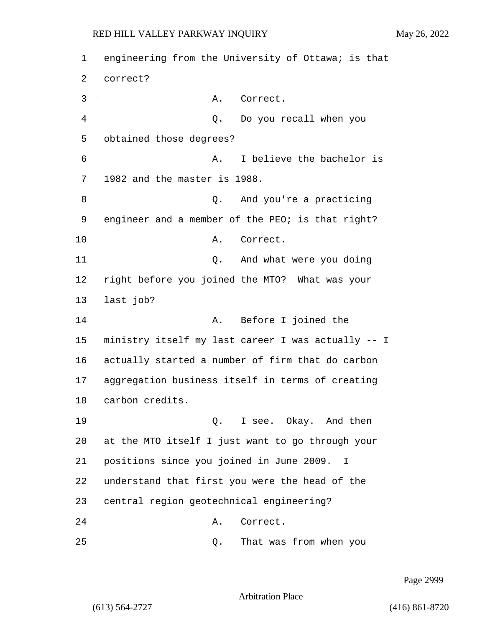1 engineering from the University of Ottawa; is that 2 correct? 3 A. Correct. 4 Q. Do you recall when you 5 obtained those degrees? 6 A. I believe the bachelor is 7 1982 and the master is 1988. 8 Q. And you're a practicing 9 engineer and a member of the PEO; is that right? 10 A. Correct. 11 and what were you doing 12 right before you joined the MTO? What was your 13 last job? 14 A. Before I joined the 15 ministry itself my last career I was actually -- I 16 actually started a number of firm that do carbon 17 aggregation business itself in terms of creating 18 carbon credits. 19 Q. I see. Okay. And then 20 at the MTO itself I just want to go through your 21 positions since you joined in June 2009. I 22 understand that first you were the head of the 23 central region geotechnical engineering? 24 A. Correct. 25 Q. That was from when you

Page 2999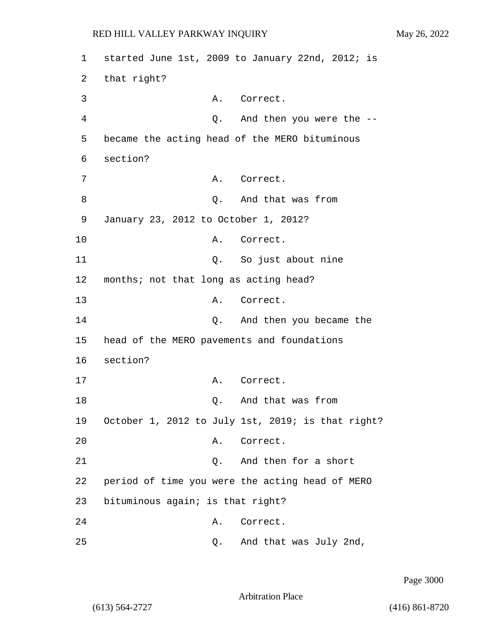1 started June 1st, 2009 to January 22nd, 2012; is 2 that right? 3 A. Correct. 4 Q. And then you were the -- 5 became the acting head of the MERO bituminous 6 section? 7 A. Correct. 8 and that was from 9 January 23, 2012 to October 1, 2012? 10 A. Correct. 11 Q. So just about nine 12 months; not that long as acting head? 13 A. Correct. 14 Q. And then you became the 15 head of the MERO pavements and foundations 16 section? 17 A. Correct. 18 O. And that was from 19 October 1, 2012 to July 1st, 2019; is that right? 20 A. Correct. 21 Q. And then for a short 22 period of time you were the acting head of MERO 23 bituminous again; is that right? 24 A. Correct. 25 Q. And that was July 2nd,

Page 3000

Arbitration Place

(613) 564-2727 (416) 861-8720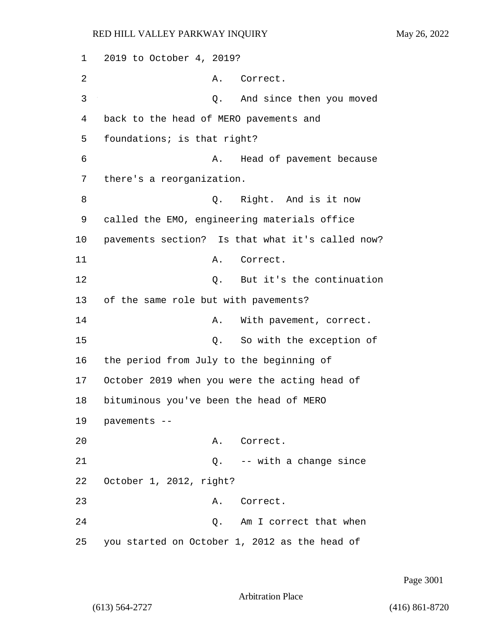1 2019 to October 4, 2019? 2 A. Correct. 3 Q. And since then you moved 4 back to the head of MERO pavements and 5 foundations; is that right? 6 A. Head of pavement because 7 there's a reorganization. 8 and is it now be a set of the Right. And is it now 9 called the EMO, engineering materials office 10 pavements section? Is that what it's called now? 11 A. Correct. 12 Q. But it's the continuation 13 of the same role but with pavements? 14 A. With pavement, correct. 15 Q. So with the exception of 16 the period from July to the beginning of 17 October 2019 when you were the acting head of 18 bituminous you've been the head of MERO 19 pavements -- 20 A. Correct. 21 Q. -- with a change since 22 October 1, 2012, right? 23 A. Correct. 24 Q. Am I correct that when 25 you started on October 1, 2012 as the head of

Page 3001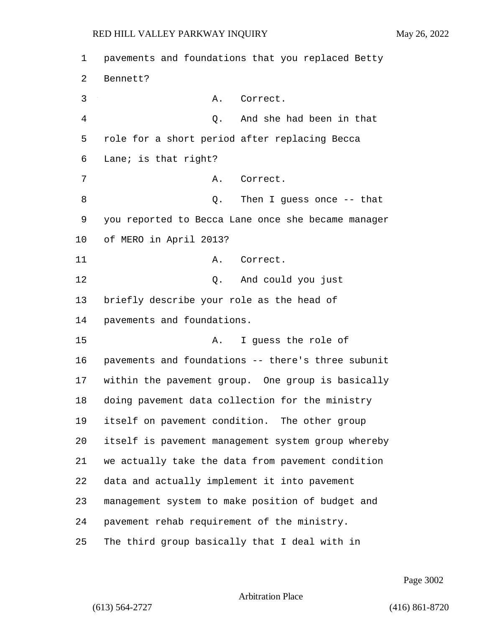| $\mathbf 1$ | pavements and foundations that you replaced Betty  |
|-------------|----------------------------------------------------|
| 2           | Bennett?                                           |
| 3           | Correct.<br>Α.                                     |
| 4           | Q. And she had been in that                        |
| 5           | role for a short period after replacing Becca      |
| 6           | Lane; is that right?                               |
| 7           | Correct.<br>Α.                                     |
| 8           | Then I guess once $-$ - that<br>Q.                 |
| 9           | you reported to Becca Lane once she became manager |
| 10          | of MERO in April 2013?                             |
| 11          | Α.<br>Correct.                                     |
| 12          | Q. And could you just                              |
| 13          | briefly describe your role as the head of          |
| 14          | pavements and foundations.                         |
| 15          | I guess the role of<br>Α.                          |
| 16          | pavements and foundations -- there's three subunit |
| 17          | within the pavement group. One group is basically  |
| $18\,$      | doing pavement data collection for the ministry    |
| 19          | itself on pavement condition. The other group      |
| 20          | itself is pavement management system group whereby |
| 21          | we actually take the data from pavement condition  |
| 22          | data and actually implement it into pavement       |
| 23          | management system to make position of budget and   |
| 24          | pavement rehab requirement of the ministry.        |
| 25          | The third group basically that I deal with in      |

Page 3002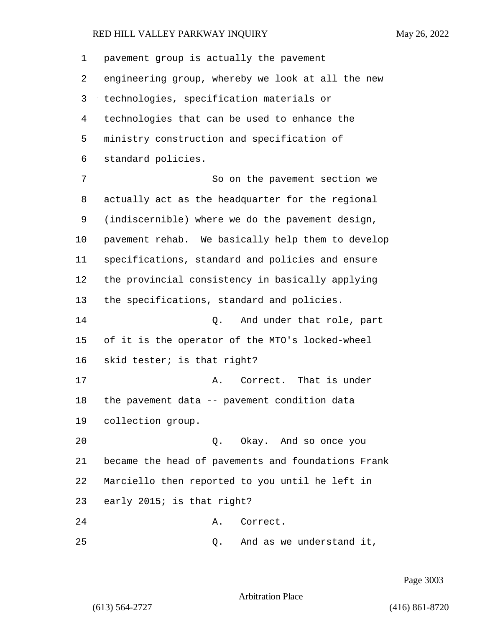pavement group is actually the pavement engineering group, whereby we look at all the new technologies, specification materials or technologies that can be used to enhance the ministry construction and specification of standard policies. 7 So on the pavement section we actually act as the headquarter for the regional (indiscernible) where we do the pavement design, pavement rehab. We basically help them to develop specifications, standard and policies and ensure the provincial consistency in basically applying the specifications, standard and policies. 14 Q. And under that role, part of it is the operator of the MTO's locked-wheel skid tester; is that right? 17 a. Correct. That is under the pavement data -- pavement condition data collection group. 20 Q. Okay. And so once you became the head of pavements and foundations Frank Marciello then reported to you until he left in early 2015; is that right? 24 A. Correct. 25 Q. And as we understand it,

Page 3003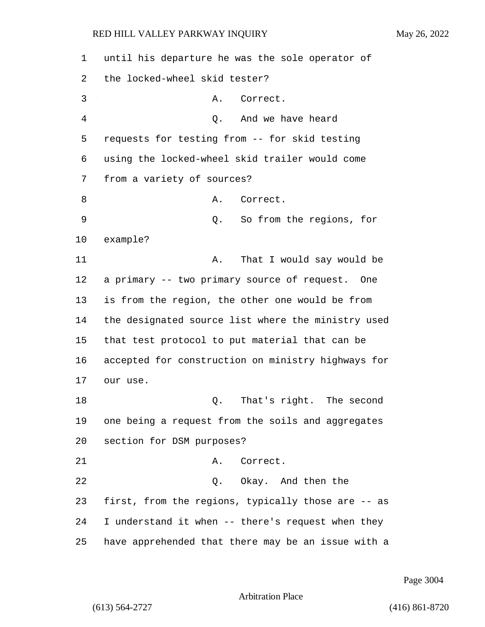1 until his departure he was the sole operator of 2 the locked-wheel skid tester? 3 A. Correct. 4 Q. And we have heard 5 requests for testing from -- for skid testing 6 using the locked-wheel skid trailer would come 7 from a variety of sources? 8 A. Correct. 9 Q. So from the regions, for 10 example? 11 A. That I would say would be 12 a primary -- two primary source of request. One 13 is from the region, the other one would be from 14 the designated source list where the ministry used 15 that test protocol to put material that can be 16 accepted for construction on ministry highways for 17 our use. 18 and 18 Q. That's right. The second 19 one being a request from the soils and aggregates 20 section for DSM purposes? 21 A. Correct. 22 Q. Okay. And then the 23 first, from the regions, typically those are -- as 24 I understand it when -- there's request when they 25 have apprehended that there may be an issue with a

Page 3004

Arbitration Place

(613) 564-2727 (416) 861-8720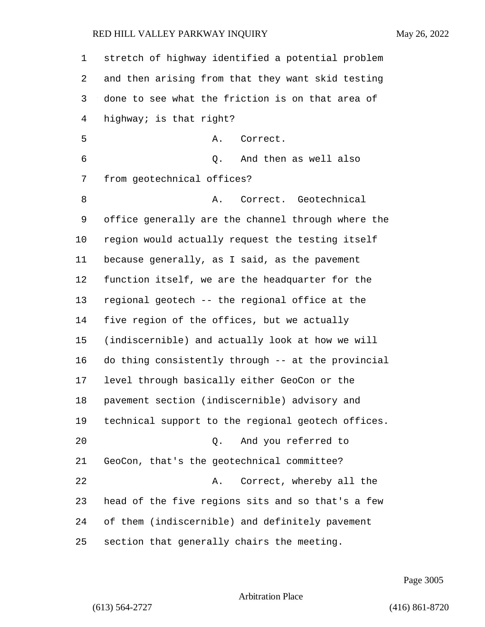| $\mathbf 1$ | stretch of highway identified a potential problem  |
|-------------|----------------------------------------------------|
| 2           | and then arising from that they want skid testing  |
| 3           | done to see what the friction is on that area of   |
| 4           | highway; is that right?                            |
| 5           | Correct.<br>Α.                                     |
| 6           | And then as well also<br>Q.                        |
| 7           | from geotechnical offices?                         |
| 8           | Correct. Geotechnical<br>Α.                        |
| 9           | office generally are the channel through where the |
| 10          | region would actually request the testing itself   |
| 11          | because generally, as I said, as the pavement      |
| 12          | function itself, we are the headquarter for the    |
| 13          | regional geotech -- the regional office at the     |
| 14          | five region of the offices, but we actually        |
| 15          | (indiscernible) and actually look at how we will   |
| 16          | do thing consistently through -- at the provincial |
| 17          | level through basically either GeoCon or the       |
| 18          | pavement section (indiscernible) advisory and      |
| 19          | technical support to the regional geotech offices. |
| 20          | And you referred to<br>О.                          |
| 21          | GeoCon, that's the geotechnical committee?         |
| 22          | Correct, whereby all the<br>Α.                     |
| 23          | head of the five regions sits and so that's a few  |
| 24          | of them (indiscernible) and definitely pavement    |
| 25          | section that generally chairs the meeting.         |

Page 3005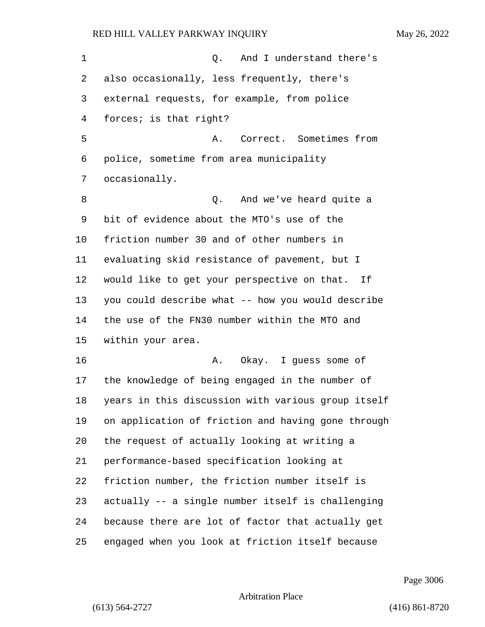| 1  | And I understand there's<br>Q.                     |
|----|----------------------------------------------------|
| 2  | also occasionally, less frequently, there's        |
| 3  | external requests, for example, from police        |
| 4  | forces; is that right?                             |
| 5  | Correct. Sometimes from<br>Α.                      |
| 6  | police, sometime from area municipality            |
| 7  | occasionally.                                      |
| 8  | And we've heard quite a<br>Q.                      |
| 9  | bit of evidence about the MTO's use of the         |
| 10 | friction number 30 and of other numbers in         |
| 11 | evaluating skid resistance of pavement, but I      |
| 12 | would like to get your perspective on that. If     |
| 13 | you could describe what -- how you would describe  |
| 14 | the use of the FN30 number within the MTO and      |
| 15 | within your area.                                  |
| 16 | Okay. I guess some of<br>Α.                        |
| 17 | the knowledge of being engaged in the number of    |
| 18 | years in this discussion with various group itself |
| 19 | on application of friction and having gone through |
| 20 | the request of actually looking at writing a       |
| 21 | performance-based specification looking at         |
| 22 | friction number, the friction number itself is     |
| 23 | actually -- a single number itself is challenging  |
| 24 | because there are lot of factor that actually get  |
| 25 | engaged when you look at friction itself because   |

Page 3006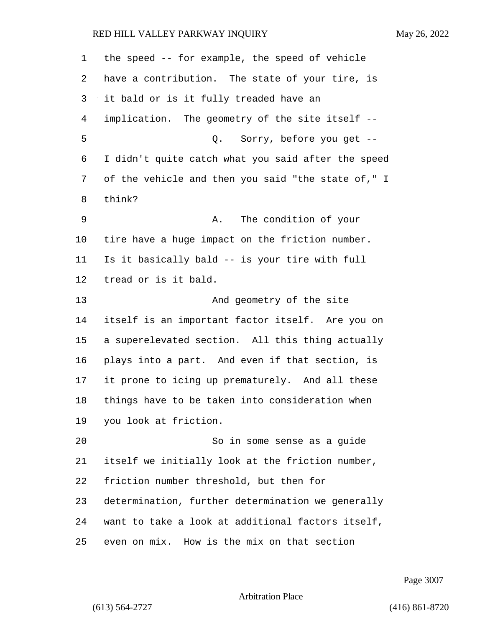| 1  | the speed -- for example, the speed of vehicle     |
|----|----------------------------------------------------|
| 2  | have a contribution. The state of your tire, is    |
| 3  | it bald or is it fully treaded have an             |
| 4  | implication. The geometry of the site itself --    |
| 5  | Q. Sorry, before you get --                        |
| 6  | I didn't quite catch what you said after the speed |
| 7  | of the vehicle and then you said "the state of," I |
| 8  | think?                                             |
| 9  | The condition of your<br>Α.                        |
| 10 | tire have a huge impact on the friction number.    |
| 11 | Is it basically bald -- is your tire with full     |
| 12 | tread or is it bald.                               |
| 13 | And geometry of the site                           |
| 14 | itself is an important factor itself. Are you on   |
| 15 | a superelevated section. All this thing actually   |
| 16 | plays into a part. And even if that section, is    |
| 17 | it prone to icing up prematurely. And all these    |
| 18 | things have to be taken into consideration when    |
| 19 | you look at friction.                              |
| 20 | So in some sense as a guide                        |
| 21 | itself we initially look at the friction number,   |
| 22 | friction number threshold, but then for            |
| 23 | determination, further determination we generally  |
| 24 | want to take a look at additional factors itself,  |
| 25 | even on mix. How is the mix on that section        |

Page 3007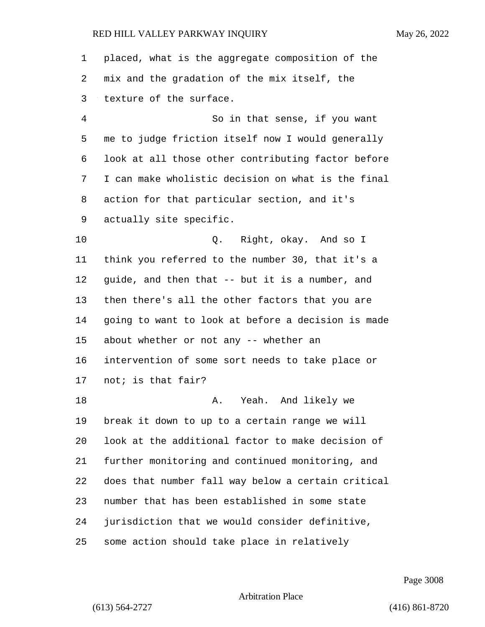placed, what is the aggregate composition of the mix and the gradation of the mix itself, the texture of the surface. 4 So in that sense, if you want me to judge friction itself now I would generally look at all those other contributing factor before I can make wholistic decision on what is the final action for that particular section, and it's actually site specific. 10 Q. Right, okay. And so I think you referred to the number 30, that it's a guide, and then that -- but it is a number, and then there's all the other factors that you are going to want to look at before a decision is made about whether or not any -- whether an intervention of some sort needs to take place or not; is that fair? 18 A. Yeah. And likely we break it down to up to a certain range we will look at the additional factor to make decision of further monitoring and continued monitoring, and does that number fall way below a certain critical number that has been established in some state jurisdiction that we would consider definitive, some action should take place in relatively

Page 3008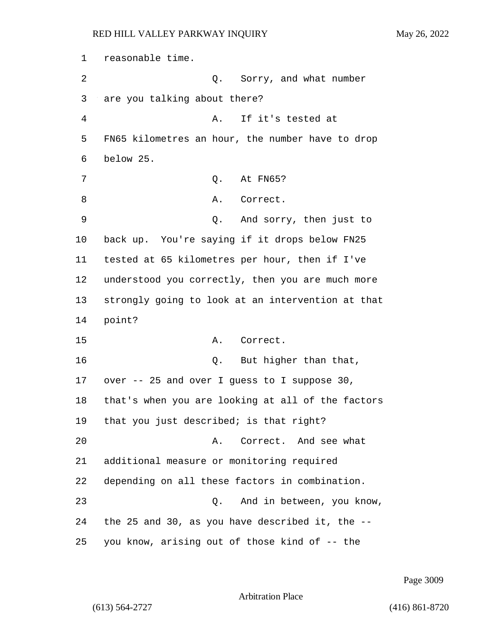1 reasonable time. 2 Q. Sorry, and what number 3 are you talking about there? 4 A. If it's tested at 5 FN65 kilometres an hour, the number have to drop 6 below 25. 7 Q. At FN65? 8 A. Correct. 9 Q. And sorry, then just to 10 back up. You're saying if it drops below FN25 11 tested at 65 kilometres per hour, then if I've 12 understood you correctly, then you are much more 13 strongly going to look at an intervention at that 14 point? 15 A. Correct. 16 and 16 Q. But higher than that, 17 over -- 25 and over I guess to I suppose 30, 18 that's when you are looking at all of the factors 19 that you just described; is that right? 20 A. Correct. And see what 21 additional measure or monitoring required 22 depending on all these factors in combination. 23 Q. And in between, you know, 24 the 25 and 30, as you have described it, the -- 25 you know, arising out of those kind of -- the

Page 3009

Arbitration Place

(613) 564-2727 (416) 861-8720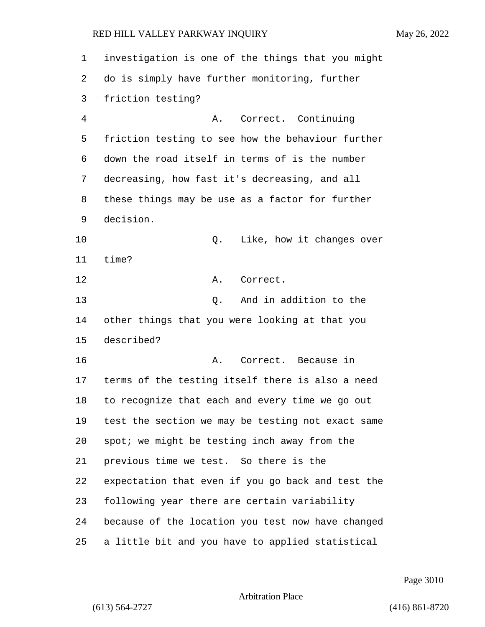investigation is one of the things that you might do is simply have further monitoring, further friction testing? 4 A. Correct. Continuing friction testing to see how the behaviour further down the road itself in terms of is the number decreasing, how fast it's decreasing, and all these things may be use as a factor for further decision. **Q.** Like, how it changes over time? 12 A. Correct. 13 C. And in addition to the other things that you were looking at that you described? **A. Correct.** Because in terms of the testing itself there is also a need to recognize that each and every time we go out test the section we may be testing not exact same spot; we might be testing inch away from the previous time we test. So there is the expectation that even if you go back and test the following year there are certain variability because of the location you test now have changed a little bit and you have to applied statistical

Page 3010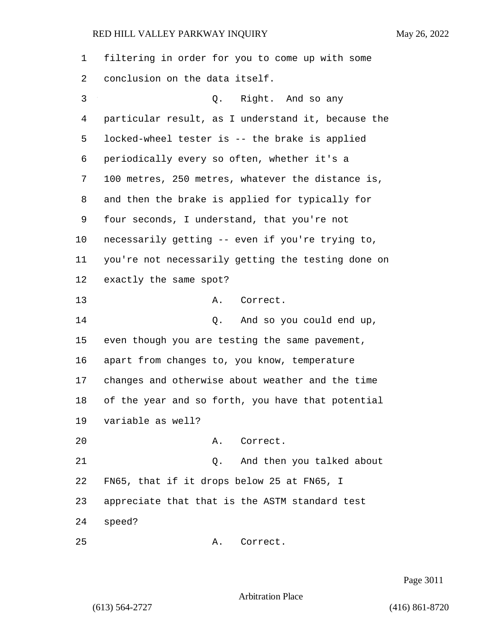| $\mathbf{1}$ | filtering in order for you to come up with some    |
|--------------|----------------------------------------------------|
| 2            | conclusion on the data itself.                     |
| 3            | Q. Right. And so any                               |
| 4            | particular result, as I understand it, because the |
| 5            | locked-wheel tester is -- the brake is applied     |
| 6            | periodically every so often, whether it's a        |
| 7            | 100 metres, 250 metres, whatever the distance is,  |
| 8            | and then the brake is applied for typically for    |
| 9            | four seconds, I understand, that you're not        |
| 10           | necessarily getting -- even if you're trying to,   |
| 11           | you're not necessarily getting the testing done on |
| 12           | exactly the same spot?                             |
| 13           | Α.<br>Correct.                                     |
| 14           | And so you could end up,<br>Q.                     |
| 15           | even though you are testing the same pavement,     |
| 16           | apart from changes to, you know, temperature       |
| 17           | changes and otherwise about weather and the time   |
| 18           | of the year and so forth, you have that potential  |
|              | 19 variable as well?                               |
| 20           | A. Correct.                                        |
| 21           | And then you talked about<br>Q.                    |
| 22           | FN65, that if it drops below 25 at FN65, I         |
| 23           | appreciate that that is the ASTM standard test     |
| 24           | speed?                                             |
| 25           | Correct.<br>Α.                                     |

Page 3011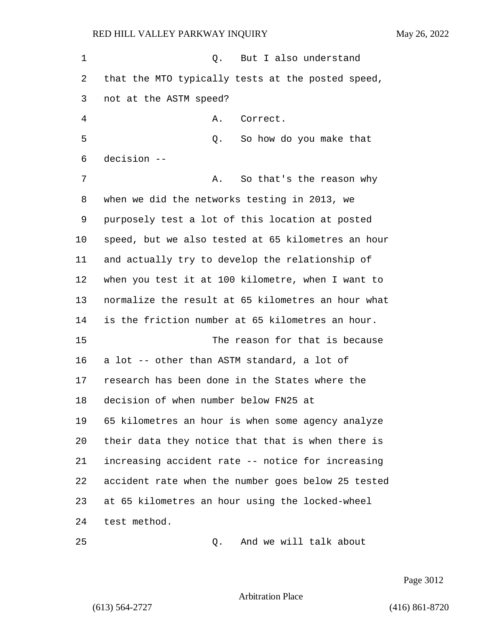1 also understand 1 also understand that the MTO typically tests at the posted speed, not at the ASTM speed? 4 A. Correct. 5 Q. So how do you make that decision -- 7 A. So that's the reason why when we did the networks testing in 2013, we purposely test a lot of this location at posted speed, but we also tested at 65 kilometres an hour and actually try to develop the relationship of when you test it at 100 kilometre, when I want to normalize the result at 65 kilometres an hour what is the friction number at 65 kilometres an hour. 15 The reason for that is because a lot -- other than ASTM standard, a lot of research has been done in the States where the decision of when number below FN25 at 65 kilometres an hour is when some agency analyze their data they notice that that is when there is increasing accident rate -- notice for increasing accident rate when the number goes below 25 tested at 65 kilometres an hour using the locked-wheel test method. 25 Q. And we will talk about

Page 3012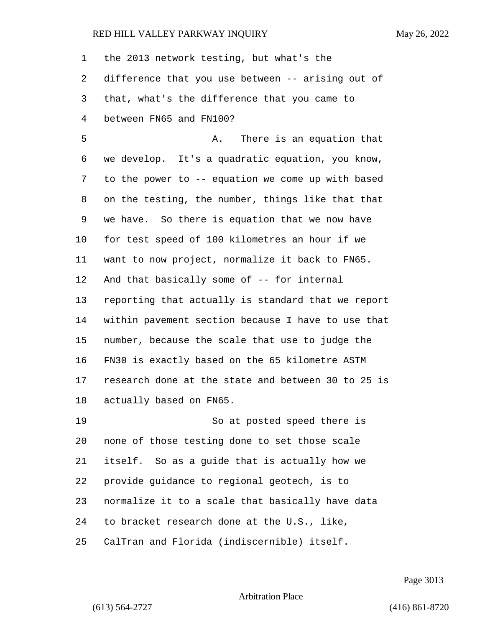the 2013 network testing, but what's the difference that you use between -- arising out of that, what's the difference that you came to between FN65 and FN100? 5 A. There is an equation that we develop. It's a quadratic equation, you know, to the power to -- equation we come up with based on the testing, the number, things like that that we have. So there is equation that we now have for test speed of 100 kilometres an hour if we want to now project, normalize it back to FN65. And that basically some of -- for internal reporting that actually is standard that we report within pavement section because I have to use that number, because the scale that use to judge the FN30 is exactly based on the 65 kilometre ASTM research done at the state and between 30 to 25 is actually based on FN65. 19 So at posted speed there is none of those testing done to set those scale itself. So as a guide that is actually how we provide guidance to regional geotech, is to normalize it to a scale that basically have data to bracket research done at the U.S., like, CalTran and Florida (indiscernible) itself.

Page 3013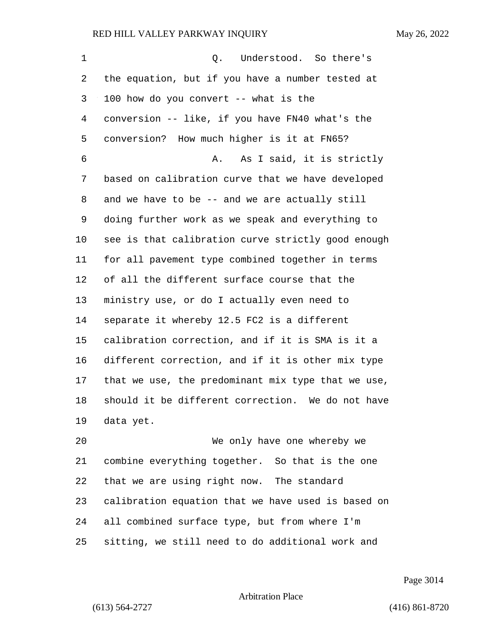| $\mathbf 1$ | Understood. So there's<br>Q.                       |
|-------------|----------------------------------------------------|
| 2           | the equation, but if you have a number tested at   |
| 3           | 100 how do you convert -- what is the              |
| 4           | conversion -- like, if you have FN40 what's the    |
| 5           | conversion? How much higher is it at FN65?         |
| 6           | As I said, it is strictly<br>Α.                    |
| 7           | based on calibration curve that we have developed  |
| 8           | and we have to be -- and we are actually still     |
| 9           | doing further work as we speak and everything to   |
| 10          | see is that calibration curve strictly good enough |
| 11          | for all pavement type combined together in terms   |
| 12          | of all the different surface course that the       |
| 13          | ministry use, or do I actually even need to        |
| 14          | separate it whereby 12.5 FC2 is a different        |
| 15          | calibration correction, and if it is SMA is it a   |
| 16          | different correction, and if it is other mix type  |
| 17          | that we use, the predominant mix type that we use, |
| 18          | should it be different correction. We do not have  |
| 19          | data yet.                                          |
| 20          | We only have one whereby we                        |
| 21          | combine everything together. So that is the one    |
| 22          | that we are using right now. The standard          |
| 23          | calibration equation that we have used is based on |
| 24          | all combined surface type, but from where I'm      |

sitting, we still need to do additional work and

Page 3014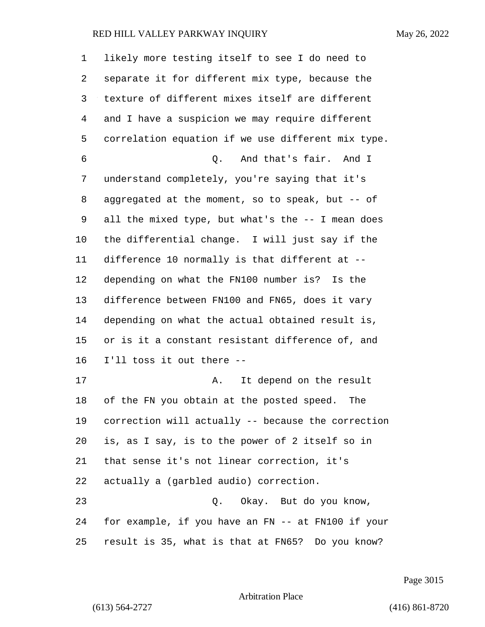| 1              | likely more testing itself to see I do need to     |
|----------------|----------------------------------------------------|
| 2              | separate it for different mix type, because the    |
| 3              | texture of different mixes itself are different    |
| $\overline{4}$ | and I have a suspicion we may require different    |
| 5              | correlation equation if we use different mix type. |
| 6              | Q. And that's fair. And I                          |
| 7              | understand completely, you're saying that it's     |
| 8              | aggregated at the moment, so to speak, but -- of   |
| 9              | all the mixed type, but what's the -- I mean does  |
| 10             | the differential change. I will just say if the    |
| 11             | difference 10 normally is that different at --     |
| 12             | depending on what the FN100 number is? Is the      |
| 13             | difference between FN100 and FN65, does it vary    |
| 14             | depending on what the actual obtained result is,   |
| 15             | or is it a constant resistant difference of, and   |
| 16             | I'll toss it out there --                          |
| 17             | It depend on the result<br>Α.                      |
| 18             | of the FN you obtain at the posted speed.<br>The   |
| 19             | correction will actually -- because the correction |
| 20             | is, as I say, is to the power of 2 itself so in    |
| 21             | that sense it's not linear correction, it's        |
| 22             | actually a (garbled audio) correction.             |
| 23             | Q. Okay. But do you know,                          |
| 24             | for example, if you have an FN -- at FN100 if your |
| 25             | result is 35, what is that at FN65? Do you know?   |

Page 3015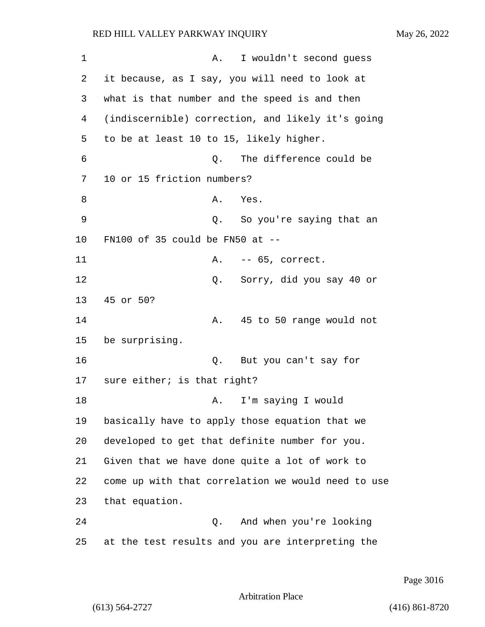1 A. I wouldn't second quess 2 it because, as I say, you will need to look at 3 what is that number and the speed is and then 4 (indiscernible) correction, and likely it's going 5 to be at least 10 to 15, likely higher. 6 Q. The difference could be 7 10 or 15 friction numbers? 8 A. Yes. 9 Q. So you're saying that an 10 FN100 of 35 could be FN50 at -- 11 A. -- 65, correct. 12 Q. Sorry, did you say 40 or 13 45 or 50? 14 A. 45 to 50 range would not 15 be surprising. 16 Q. But you can't say for 17 sure either; is that right? 18 A. I'm saying I would 19 basically have to apply those equation that we 20 developed to get that definite number for you. 21 Given that we have done quite a lot of work to 22 come up with that correlation we would need to use 23 that equation. 24 Q. And when you're looking 25 at the test results and you are interpreting the

Page 3016

```
Arbitration Place
```
(613) 564-2727 (416) 861-8720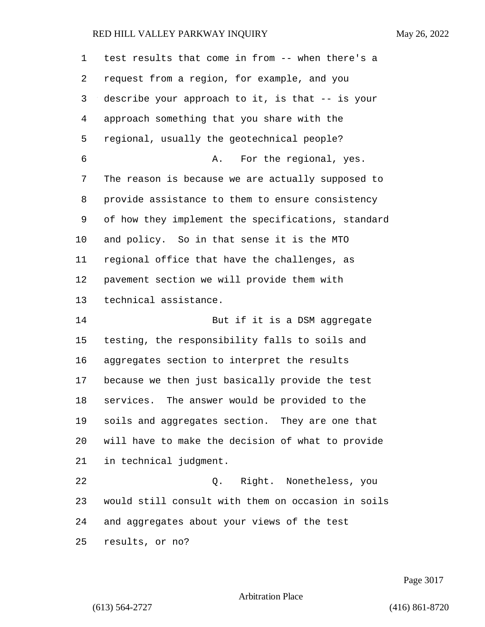| 1  | test results that come in from -- when there's a   |
|----|----------------------------------------------------|
| 2  | request from a region, for example, and you        |
| 3  | describe your approach to it, is that -- is your   |
| 4  | approach something that you share with the         |
| 5  | regional, usually the geotechnical people?         |
| 6  | For the regional, yes.<br>Α.                       |
| 7  | The reason is because we are actually supposed to  |
| 8  | provide assistance to them to ensure consistency   |
| 9  | of how they implement the specifications, standard |
| 10 | and policy. So in that sense it is the MTO         |
| 11 | regional office that have the challenges, as       |
| 12 | pavement section we will provide them with         |
| 13 | technical assistance.                              |
| 14 | But if it is a DSM aggregate                       |
| 15 | testing, the responsibility falls to soils and     |
| 16 | aggregates section to interpret the results        |
| 17 | because we then just basically provide the test    |
| 18 | The answer would be provided to the<br>services.   |
| 19 | soils and aggregates section. They are one that    |
| 20 | will have to make the decision of what to provide  |
| 21 | in technical judgment.                             |
| 22 | Q. Right. Nonetheless, you                         |
| 23 | would still consult with them on occasion in soils |
| 24 | and aggregates about your views of the test        |
| 25 | results, or no?                                    |

Page 3017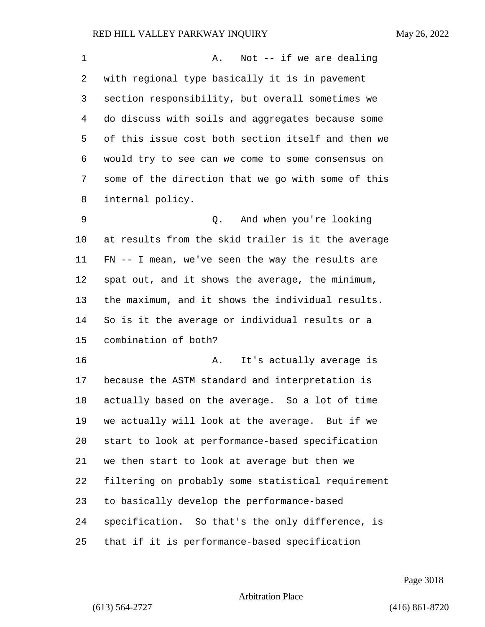| $\mathbf 1$ | Not -- if we are dealing<br>Α.                     |
|-------------|----------------------------------------------------|
| 2           | with regional type basically it is in pavement     |
| 3           | section responsibility, but overall sometimes we   |
| 4           | do discuss with soils and aggregates because some  |
| 5           | of this issue cost both section itself and then we |
| 6           | would try to see can we come to some consensus on  |
| 7           | some of the direction that we go with some of this |
| 8           | internal policy.                                   |
| 9           | Q. And when you're looking                         |
| 10          | at results from the skid trailer is it the average |
| 11          | FN -- I mean, we've seen the way the results are   |
| 12          | spat out, and it shows the average, the minimum,   |
| 13          | the maximum, and it shows the individual results.  |
| 14          | So is it the average or individual results or a    |
| 15          | combination of both?                               |
| 16          | It's actually average is<br>Α.                     |
| 17          | because the ASTM standard and interpretation is    |
| 18          | actually based on the average. So a lot of time    |
| 19          | we actually will look at the average. But if we    |
| 20          | start to look at performance-based specification   |
| 21          | we then start to look at average but then we       |
| 22          | filtering on probably some statistical requirement |
| 23          | to basically develop the performance-based         |
| 24          | specification. So that's the only difference, is   |
| 25          | that if it is performance-based specification      |

Page 3018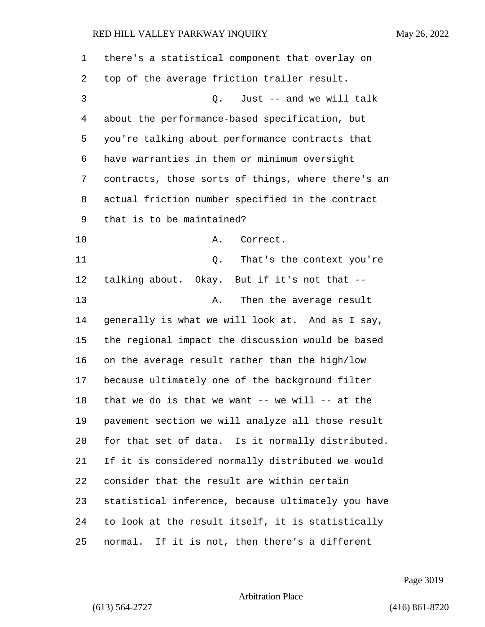| 1       | there's a statistical component that overlay on     |
|---------|-----------------------------------------------------|
| 2       | top of the average friction trailer result.         |
| 3       | Just -- and we will talk<br>Q.                      |
| 4       | about the performance-based specification, but      |
| 5       | you're talking about performance contracts that     |
| 6       | have warranties in them or minimum oversight        |
| 7       | contracts, those sorts of things, where there's an  |
| 8       | actual friction number specified in the contract    |
| 9       | that is to be maintained?                           |
| $10 \,$ | Correct.<br>Α.                                      |
| 11      | That's the context you're<br>Q.                     |
| 12      | talking about. Okay. But if it's not that --        |
| 13      | Then the average result<br>Α.                       |
| 14      | generally is what we will look at. And as I say,    |
| 15      | the regional impact the discussion would be based   |
| 16      | on the average result rather than the high/low      |
| 17      | because ultimately one of the background filter     |
| 18      | that we do is that we want $--$ we will $--$ at the |
| 19      | pavement section we will analyze all those result   |
| 20      | for that set of data. Is it normally distributed.   |
| 21      | If it is considered normally distributed we would   |
| 22      | consider that the result are within certain         |
| 23      | statistical inference, because ultimately you have  |
| 24      | to look at the result itself, it is statistically   |
| 25      | normal. If it is not, then there's a different      |

Page 3019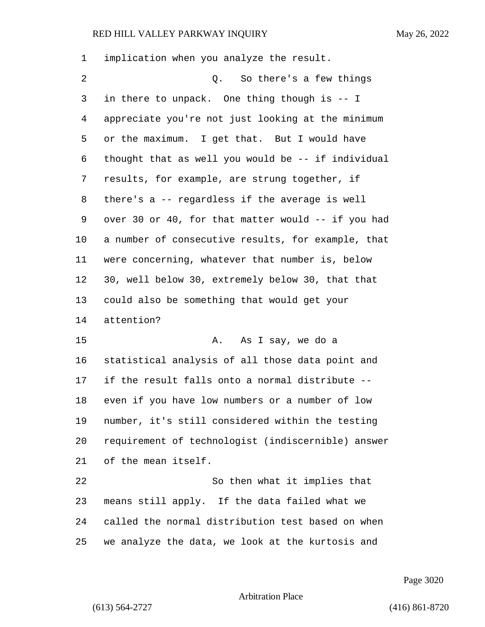| 1  | implication when you analyze the result.           |
|----|----------------------------------------------------|
| 2  | So there's a few things<br>Q.                      |
| 3  | in there to unpack. One thing though is -- I       |
| 4  | appreciate you're not just looking at the minimum  |
| 5  | or the maximum. I get that. But I would have       |
| 6  | thought that as well you would be -- if individual |
| 7  | results, for example, are strung together, if      |
| 8  | there's a -- regardless if the average is well     |
| 9  | over 30 or 40, for that matter would -- if you had |
| 10 | a number of consecutive results, for example, that |
| 11 | were concerning, whatever that number is, below    |
| 12 | 30, well below 30, extremely below 30, that that   |
| 13 | could also be something that would get your        |
| 14 | attention?                                         |
| 15 | As I say, we do a<br>Α.                            |
| 16 | statistical analysis of all those data point and   |
| 17 | if the result falls onto a normal distribute --    |
| 18 | even if you have low numbers or a number of low    |
| 19 | number, it's still considered within the testing   |
| 20 | requirement of technologist (indiscernible) answer |
| 21 | of the mean itself.                                |
| 22 | So then what it implies that                       |
| 23 | means still apply. If the data failed what we      |
| 24 | called the normal distribution test based on when  |
| 25 | we analyze the data, we look at the kurtosis and   |
|    |                                                    |

Page 3020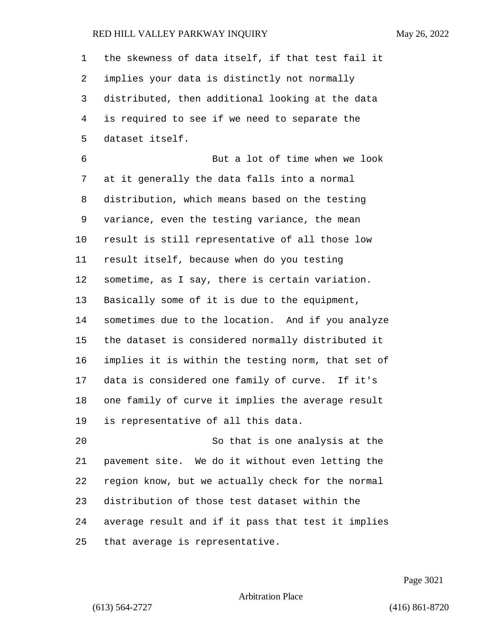the skewness of data itself, if that test fail it implies your data is distinctly not normally distributed, then additional looking at the data is required to see if we need to separate the dataset itself. 6 But a lot of time when we look at it generally the data falls into a normal distribution, which means based on the testing variance, even the testing variance, the mean result is still representative of all those low result itself, because when do you testing sometime, as I say, there is certain variation. Basically some of it is due to the equipment, sometimes due to the location. And if you analyze the dataset is considered normally distributed it implies it is within the testing norm, that set of data is considered one family of curve. If it's one family of curve it implies the average result is representative of all this data. 20 So that is one analysis at the pavement site. We do it without even letting the region know, but we actually check for the normal distribution of those test dataset within the average result and if it pass that test it implies that average is representative.

Page 3021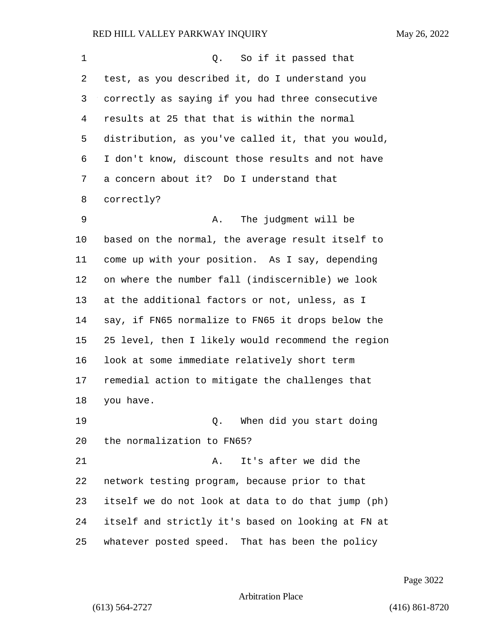| 1  | So if it passed that<br>Q.                         |
|----|----------------------------------------------------|
| 2  | test, as you described it, do I understand you     |
| 3  | correctly as saying if you had three consecutive   |
| 4  | results at 25 that that is within the normal       |
| 5  | distribution, as you've called it, that you would, |
| 6  | I don't know, discount those results and not have  |
| 7  | a concern about it? Do I understand that           |
| 8  | correctly?                                         |
| 9  | The judgment will be<br>Α.                         |
| 10 | based on the normal, the average result itself to  |
| 11 | come up with your position. As I say, depending    |
| 12 | on where the number fall (indiscernible) we look   |
| 13 | at the additional factors or not, unless, as I     |
| 14 | say, if FN65 normalize to FN65 it drops below the  |
| 15 | 25 level, then I likely would recommend the region |
| 16 | look at some immediate relatively short term       |
| 17 | remedial action to mitigate the challenges that    |
| 18 | you have.                                          |
| 19 | When did you start doing<br>Q.                     |
| 20 | the normalization to FN65?                         |
| 21 | It's after we did the<br>Α.                        |
| 22 | network testing program, because prior to that     |
| 23 | itself we do not look at data to do that jump (ph) |
| 24 | itself and strictly it's based on looking at FN at |
| 25 | whatever posted speed. That has been the policy    |

Page 3022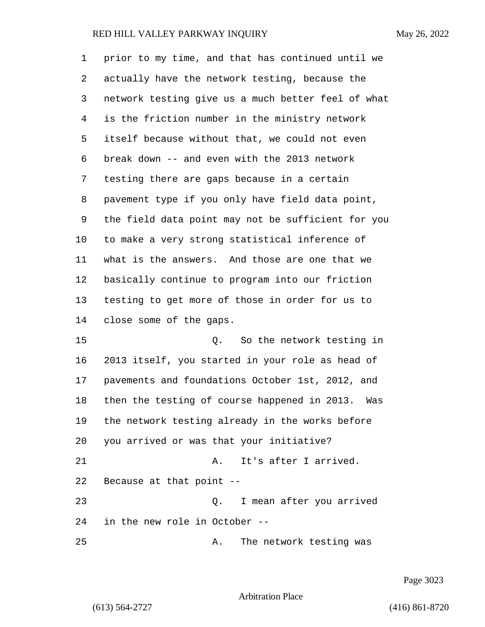| 1              | prior to my time, and that has continued until we   |
|----------------|-----------------------------------------------------|
| 2              | actually have the network testing, because the      |
| 3              | network testing give us a much better feel of what  |
| $\overline{4}$ | is the friction number in the ministry network      |
| 5              | itself because without that, we could not even      |
| 6              | break down -- and even with the 2013 network        |
| 7              | testing there are gaps because in a certain         |
| 8              | pavement type if you only have field data point,    |
| 9              | the field data point may not be sufficient for you  |
| 10             | to make a very strong statistical inference of      |
| 11             | what is the answers. And those are one that we      |
| 12             | basically continue to program into our friction     |
| 13             | testing to get more of those in order for us to     |
| 14             | close some of the gaps.                             |
| 15             | So the network testing in<br>Q.                     |
| 16             | 2013 itself, you started in your role as head of    |
| 17             | pavements and foundations October 1st, 2012, and    |
| 18             | then the testing of course happened in 2013.<br>Was |
| 19             | the network testing already in the works before     |
| 20             | you arrived or was that your initiative?            |
| 21             | It's after I arrived.<br>Α.                         |
| 22             | Because at that point --                            |
| 23             | I mean after you arrived<br>$\circ$ .               |
| 24             | in the new role in October --                       |
| 25             | The network testing was<br>Α.                       |

Page 3023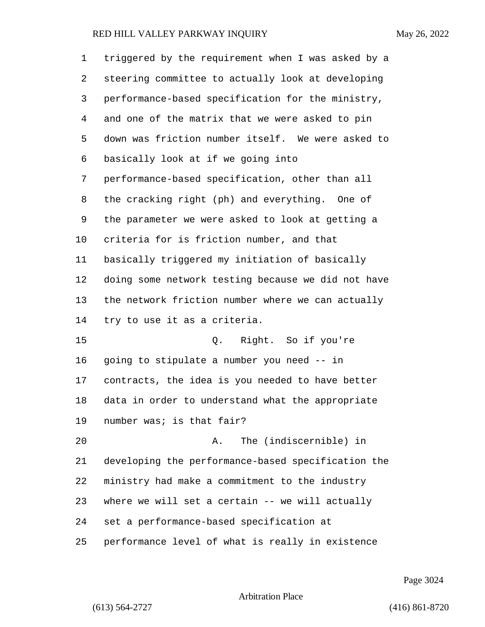| 1  | triggered by the requirement when I was asked by a |
|----|----------------------------------------------------|
| 2  | steering committee to actually look at developing  |
| 3  | performance-based specification for the ministry,  |
| 4  | and one of the matrix that we were asked to pin    |
| 5  | down was friction number itself. We were asked to  |
| 6  | basically look at if we going into                 |
| 7  | performance-based specification, other than all    |
| 8  | the cracking right (ph) and everything. One of     |
| 9  | the parameter we were asked to look at getting a   |
| 10 | criteria for is friction number, and that          |
| 11 | basically triggered my initiation of basically     |
| 12 | doing some network testing because we did not have |
| 13 | the network friction number where we can actually  |
| 14 | try to use it as a criteria.                       |
| 15 | Q. Right. So if you're                             |
| 16 | going to stipulate a number you need -- in         |
| 17 | contracts, the idea is you needed to have better   |
| 18 | data in order to understand what the appropriate   |
| 19 | number was; is that fair?                          |
| 20 | The (indiscernible) in<br>Α.                       |
| 21 | developing the performance-based specification the |
| 22 | ministry had make a commitment to the industry     |
| 23 | where we will set a certain -- we will actually    |
| 24 | set a performance-based specification at           |
| 25 | performance level of what is really in existence   |

Page 3024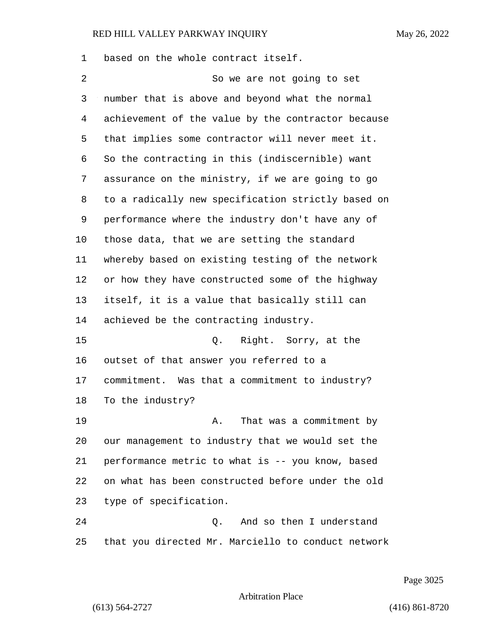based on the whole contract itself. 2 So we are not going to set number that is above and beyond what the normal achievement of the value by the contractor because that implies some contractor will never meet it. So the contracting in this (indiscernible) want assurance on the ministry, if we are going to go to a radically new specification strictly based on performance where the industry don't have any of those data, that we are setting the standard whereby based on existing testing of the network or how they have constructed some of the highway itself, it is a value that basically still can achieved be the contracting industry. 15 Q. Right. Sorry, at the outset of that answer you referred to a commitment. Was that a commitment to industry? To the industry? 19 A. That was a commitment by our management to industry that we would set the performance metric to what is -- you know, based on what has been constructed before under the old type of specification. 24 Q. And so then I understand that you directed Mr. Marciello to conduct network

Page 3025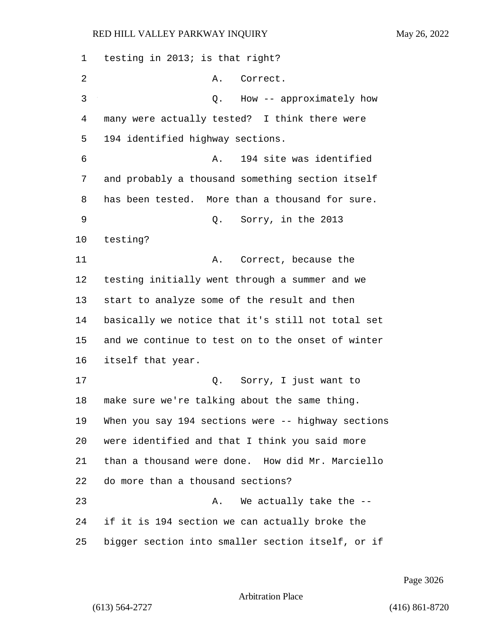testing in 2013; is that right? 2 A. Correct. 3 Q. How -- approximately how many were actually tested? I think there were 194 identified highway sections. 6 A. 194 site was identified and probably a thousand something section itself has been tested. More than a thousand for sure. 9 Q. Sorry, in the 2013 testing? 11 A. Correct, because the testing initially went through a summer and we start to analyze some of the result and then basically we notice that it's still not total set and we continue to test on to the onset of winter itself that year. 17 Q. Sorry, I just want to make sure we're talking about the same thing. When you say 194 sections were -- highway sections were identified and that I think you said more than a thousand were done. How did Mr. Marciello do more than a thousand sections? 23 A. We actually take the -- if it is 194 section we can actually broke the bigger section into smaller section itself, or if

Page 3026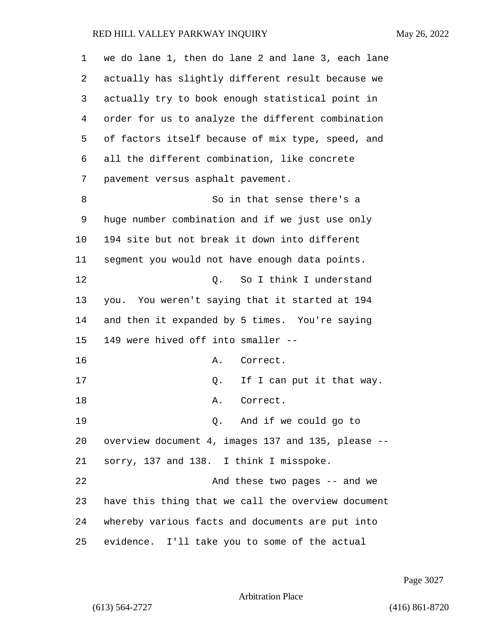| $\mathbf 1$ | we do lane 1, then do lane 2 and lane 3, each lane |
|-------------|----------------------------------------------------|
| 2           | actually has slightly different result because we  |
| 3           | actually try to book enough statistical point in   |
| 4           | order for us to analyze the different combination  |
| 5           | of factors itself because of mix type, speed, and  |
| 6           | all the different combination, like concrete       |
| 7           | pavement versus asphalt pavement.                  |
| 8           | So in that sense there's a                         |
| 9           | huge number combination and if we just use only    |
| 10          | 194 site but not break it down into different      |
| 11          | segment you would not have enough data points.     |
| 12          | So I think I understand<br>Q.                      |
| 13          | you. You weren't saying that it started at 194     |
| 14          | and then it expanded by 5 times. You're saying     |
| 15          | 149 were hived off into smaller --                 |
| 16          | Correct.<br>Α.                                     |
| 17          | If I can put it that way.<br>Q.                    |
| 18          | Correct.<br>Α.                                     |
| 19          | Q. And if we could go to                           |
| 20          | overview document 4, images 137 and 135, please -- |
| 21          | sorry, 137 and 138. I think I misspoke.            |
| 22          | And these two pages -- and we                      |
| 23          | have this thing that we call the overview document |
| 24          | whereby various facts and documents are put into   |
| 25          | evidence. I'll take you to some of the actual      |

Page 3027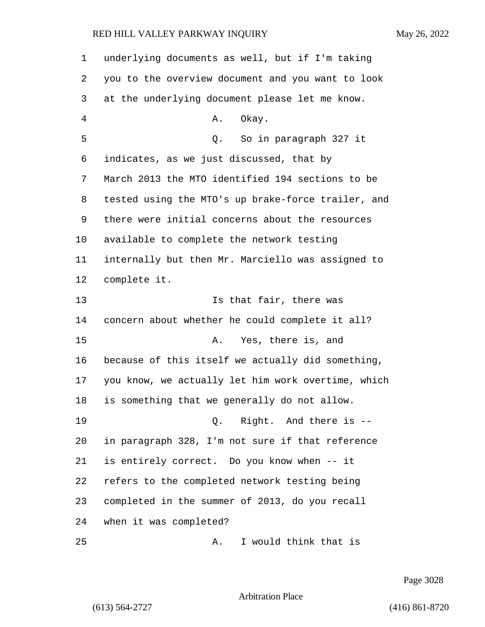| 1  | underlying documents as well, but if I'm taking    |
|----|----------------------------------------------------|
| 2  | you to the overview document and you want to look  |
| 3  | at the underlying document please let me know.     |
| 4  | Okay.<br>Α.                                        |
| 5  | So in paragraph 327 it<br>Q.                       |
| 6  | indicates, as we just discussed, that by           |
| 7  | March 2013 the MTO identified 194 sections to be   |
| 8  | tested using the MTO's up brake-force trailer, and |
| 9  | there were initial concerns about the resources    |
| 10 | available to complete the network testing          |
| 11 | internally but then Mr. Marciello was assigned to  |
| 12 | complete it.                                       |
| 13 | Is that fair, there was                            |
| 14 | concern about whether he could complete it all?    |
| 15 | Yes, there is, and<br>Α.                           |
| 16 | because of this itself we actually did something,  |
| 17 | you know, we actually let him work overtime, which |
| 18 | is something that we generally do not allow.       |
| 19 | 0. Right. And there is --                          |
| 20 | in paragraph 328, I'm not sure if that reference   |
| 21 | is entirely correct. Do you know when -- it        |
| 22 | refers to the completed network testing being      |
| 23 | completed in the summer of 2013, do you recall     |
| 24 | when it was completed?                             |
| 25 | I would think that is<br>Α.                        |

Page 3028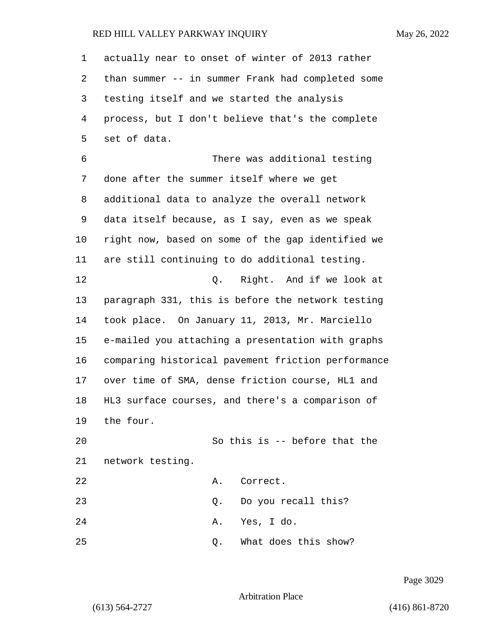actually near to onset of winter of 2013 rather than summer -- in summer Frank had completed some testing itself and we started the analysis process, but I don't believe that's the complete set of data. 6 There was additional testing done after the summer itself where we get additional data to analyze the overall network data itself because, as I say, even as we speak right now, based on some of the gap identified we are still continuing to do additional testing. 12 Q. Right. And if we look at paragraph 331, this is before the network testing took place. On January 11, 2013, Mr. Marciello e-mailed you attaching a presentation with graphs comparing historical pavement friction performance over time of SMA, dense friction course, HL1 and HL3 surface courses, and there's a comparison of the four. 20 So this is -- before that the network testing. 22 A. Correct. 23 Q. Do you recall this? 24 A. Yes, I do. 25 Q. What does this show?

Page 3029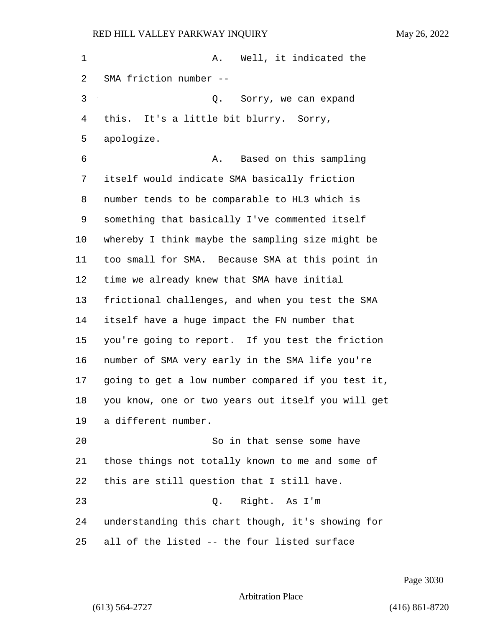| 1  | Well, it indicated the<br>Α.                       |
|----|----------------------------------------------------|
| 2  | SMA friction number --                             |
| 3  | Sorry, we can expand<br>Q.                         |
| 4  | this. It's a little bit blurry. Sorry,             |
| 5  | apologize.                                         |
| 6  | Based on this sampling<br>Α.                       |
| 7  | itself would indicate SMA basically friction       |
| 8  | number tends to be comparable to HL3 which is      |
| 9  | something that basically I've commented itself     |
| 10 | whereby I think maybe the sampling size might be   |
| 11 | too small for SMA. Because SMA at this point in    |
| 12 | time we already knew that SMA have initial         |
| 13 | frictional challenges, and when you test the SMA   |
| 14 | itself have a huge impact the FN number that       |
| 15 | you're going to report. If you test the friction   |
| 16 | number of SMA very early in the SMA life you're    |
| 17 | going to get a low number compared if you test it, |
| 18 | you know, one or two years out itself you will get |
| 19 | a different number.                                |
| 20 | So in that sense some have                         |
| 21 | those things not totally known to me and some of   |
| 22 | this are still question that I still have.         |
| 23 | Right. As I'm<br>Q.                                |
| 24 | understanding this chart though, it's showing for  |
| 25 | all of the listed -- the four listed surface       |

Page 3030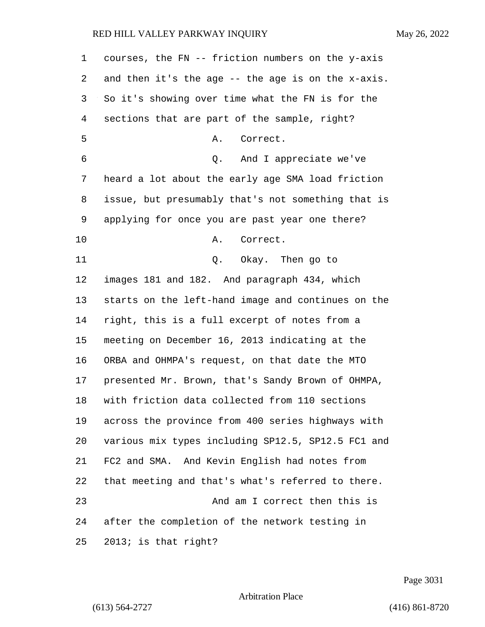| 1  | courses, the FN -- friction numbers on the y-axis  |
|----|----------------------------------------------------|
| 2  | and then it's the age -- the age is on the x-axis. |
| 3  | So it's showing over time what the FN is for the   |
| 4  | sections that are part of the sample, right?       |
| 5  | Correct.<br>Α.                                     |
| 6  | And I appreciate we've<br>Q.                       |
| 7  | heard a lot about the early age SMA load friction  |
| 8  | issue, but presumably that's not something that is |
| 9  | applying for once you are past year one there?     |
| 10 | Correct.<br>Α.                                     |
| 11 | Okay. Then go to<br>Q.                             |
| 12 | images 181 and 182. And paragraph 434, which       |
| 13 | starts on the left-hand image and continues on the |
| 14 | right, this is a full excerpt of notes from a      |
| 15 | meeting on December 16, 2013 indicating at the     |
| 16 | ORBA and OHMPA's request, on that date the MTO     |
| 17 | presented Mr. Brown, that's Sandy Brown of OHMPA,  |
| 18 | with friction data collected from 110 sections     |
| 19 | across the province from 400 series highways with  |
| 20 | various mix types including SP12.5, SP12.5 FC1 and |
| 21 | FC2 and SMA. And Kevin English had notes from      |
| 22 | that meeting and that's what's referred to there.  |
| 23 | And am I correct then this is                      |
| 24 | after the completion of the network testing in     |
| 25 | 2013; is that right?                               |

Page 3031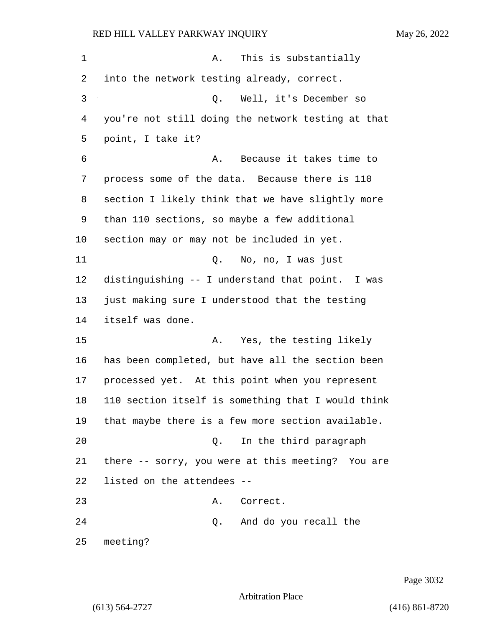| 1  | This is substantially<br>Α.                        |
|----|----------------------------------------------------|
| 2  | into the network testing already, correct.         |
| 3  | Well, it's December so<br>Q.                       |
| 4  | you're not still doing the network testing at that |
| 5  | point, I take it?                                  |
| 6  | Because it takes time to<br>Α.                     |
| 7  | process some of the data. Because there is 110     |
| 8  | section I likely think that we have slightly more  |
| 9  | than 110 sections, so maybe a few additional       |
| 10 | section may or may not be included in yet.         |
| 11 | Q. No, no, I was just                              |
| 12 | distinguishing -- I understand that point. I was   |
| 13 | just making sure I understood that the testing     |
| 14 | itself was done.                                   |
| 15 | Yes, the testing likely<br>Α.                      |
| 16 | has been completed, but have all the section been  |
| 17 | processed yet. At this point when you represent    |
| 18 | 110 section itself is something that I would think |
| 19 | that maybe there is a few more section available.  |
| 20 | In the third paragraph<br>$\circ$ .                |
| 21 | there -- sorry, you were at this meeting? You are  |
| 22 | listed on the attendees --                         |
| 23 | A. Correct.                                        |
| 24 | Q. And do you recall the                           |
| 25 | meeting?                                           |

Page 3032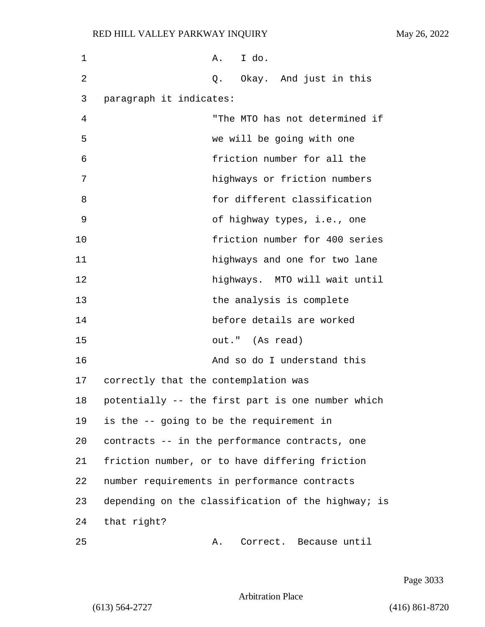| 1  |                                      | I do.<br>A.                                        |
|----|--------------------------------------|----------------------------------------------------|
| 2  |                                      | Q. Okay. And just in this                          |
| 3  | paragraph it indicates:              |                                                    |
| 4  |                                      | "The MTO has not determined if                     |
| 5  |                                      | we will be going with one                          |
| 6  |                                      | friction number for all the                        |
| 7  |                                      | highways or friction numbers                       |
| 8  |                                      | for different classification                       |
| 9  |                                      | of highway types, i.e., one                        |
| 10 |                                      | friction number for 400 series                     |
| 11 |                                      | highways and one for two lane                      |
| 12 |                                      | highways. MTO will wait until                      |
| 13 |                                      | the analysis is complete                           |
| 14 |                                      | before details are worked                          |
| 15 |                                      | out." (As read)                                    |
| 16 |                                      | And so do I understand this                        |
| 17 | correctly that the contemplation was |                                                    |
| 18 |                                      | potentially -- the first part is one number which  |
| 19 |                                      | is the -- going to be the requirement in           |
| 20 |                                      | contracts -- in the performance contracts, one     |
| 21 |                                      | friction number, or to have differing friction     |
| 22 |                                      | number requirements in performance contracts       |
| 23 |                                      | depending on the classification of the highway; is |
| 24 | that right?                          |                                                    |
| 25 |                                      | Correct. Because until<br>Α.                       |

Page 3033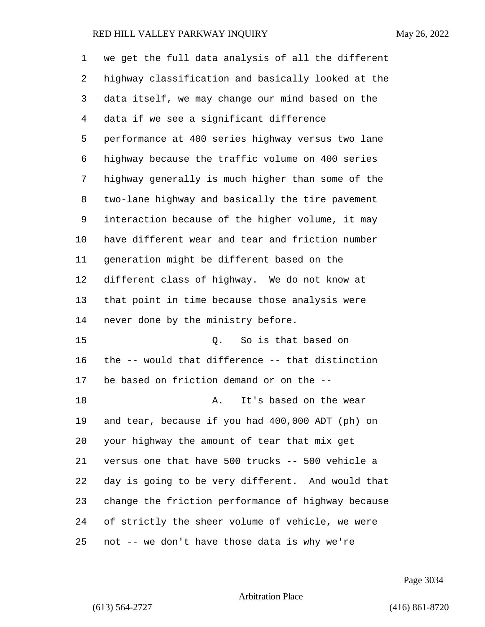| 1  | we get the full data analysis of all the different |
|----|----------------------------------------------------|
| 2  | highway classification and basically looked at the |
| 3  | data itself, we may change our mind based on the   |
| 4  | data if we see a significant difference            |
| 5  | performance at 400 series highway versus two lane  |
| 6  | highway because the traffic volume on 400 series   |
| 7  | highway generally is much higher than some of the  |
| 8  | two-lane highway and basically the tire pavement   |
| 9  | interaction because of the higher volume, it may   |
| 10 | have different wear and tear and friction number   |
| 11 | generation might be different based on the         |
| 12 | different class of highway. We do not know at      |
| 13 | that point in time because those analysis were     |
| 14 | never done by the ministry before.                 |
| 15 | Q. So is that based on                             |
| 16 | the -- would that difference -- that distinction   |
| 17 | be based on friction demand or on the --           |
| 18 | It's based on the wear<br>Α.                       |
| 19 | and tear, because if you had 400,000 ADT (ph) on   |
| 20 | your highway the amount of tear that mix get       |
| 21 | versus one that have 500 trucks -- 500 vehicle a   |
| 22 | day is going to be very different. And would that  |
| 23 | change the friction performance of highway because |
| 24 | of strictly the sheer volume of vehicle, we were   |
| 25 | not -- we don't have those data is why we're       |

Page 3034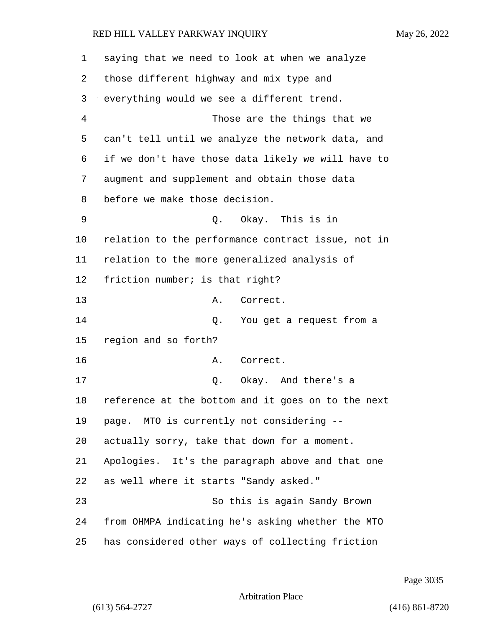saying that we need to look at when we analyze those different highway and mix type and everything would we see a different trend. 4 Those are the things that we can't tell until we analyze the network data, and if we don't have those data likely we will have to augment and supplement and obtain those data before we make those decision. 9 Q. Okay. This is in relation to the performance contract issue, not in relation to the more generalized analysis of friction number; is that right? 13 A. Correct. 14 Q. You get a request from a region and so forth? 16 A. Correct. 17 C. Okay. And there's a reference at the bottom and it goes on to the next page. MTO is currently not considering -- actually sorry, take that down for a moment. Apologies. It's the paragraph above and that one as well where it starts "Sandy asked." 23 So this is again Sandy Brown from OHMPA indicating he's asking whether the MTO has considered other ways of collecting friction

Page 3035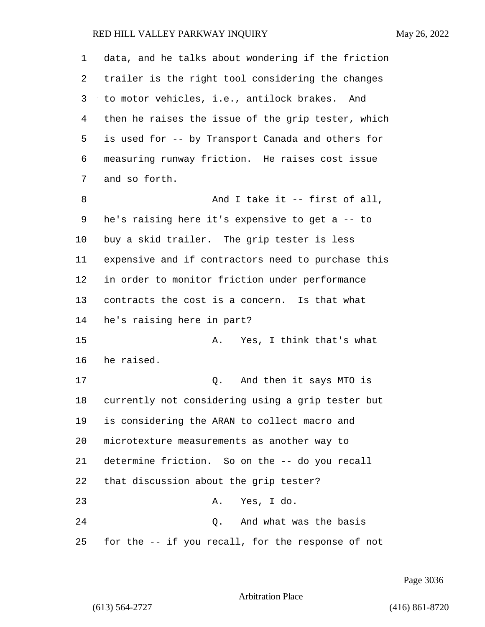| 1  | data, and he talks about wondering if the friction |
|----|----------------------------------------------------|
| 2  | trailer is the right tool considering the changes  |
| 3  | to motor vehicles, i.e., antilock brakes. And      |
| 4  | then he raises the issue of the grip tester, which |
| 5  | is used for -- by Transport Canada and others for  |
| 6  | measuring runway friction. He raises cost issue    |
| 7  | and so forth.                                      |
| 8  | And I take it -- first of all,                     |
| 9  | he's raising here it's expensive to get a -- to    |
| 10 | buy a skid trailer. The grip tester is less        |
| 11 | expensive and if contractors need to purchase this |
| 12 | in order to monitor friction under performance     |
| 13 | contracts the cost is a concern. Is that what      |
| 14 | he's raising here in part?                         |
| 15 | Yes, I think that's what<br>Α.                     |
| 16 | he raised.                                         |
| 17 | And then it says MTO is<br>Q.                      |
| 18 | currently not considering using a grip tester but  |
| 19 | is considering the ARAN to collect macro and       |
| 20 | microtexture measurements as another way to        |
| 21 | determine friction. So on the -- do you recall     |
| 22 | that discussion about the grip tester?             |
| 23 | A. Yes, I do.                                      |
| 24 | Q. And what was the basis                          |
| 25 | for the -- if you recall, for the response of not  |

Page 3036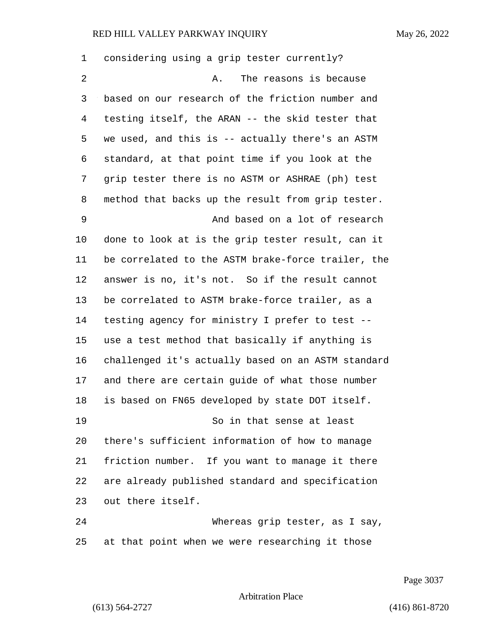considering using a grip tester currently? 2 A. The reasons is because based on our research of the friction number and testing itself, the ARAN -- the skid tester that we used, and this is -- actually there's an ASTM standard, at that point time if you look at the grip tester there is no ASTM or ASHRAE (ph) test method that backs up the result from grip tester. 9 And based on a lot of research done to look at is the grip tester result, can it be correlated to the ASTM brake-force trailer, the answer is no, it's not. So if the result cannot be correlated to ASTM brake-force trailer, as a testing agency for ministry I prefer to test -- use a test method that basically if anything is challenged it's actually based on an ASTM standard and there are certain guide of what those number is based on FN65 developed by state DOT itself. 19 So in that sense at least there's sufficient information of how to manage friction number. If you want to manage it there are already published standard and specification out there itself. 24 Whereas grip tester, as I say, at that point when we were researching it those

Page 3037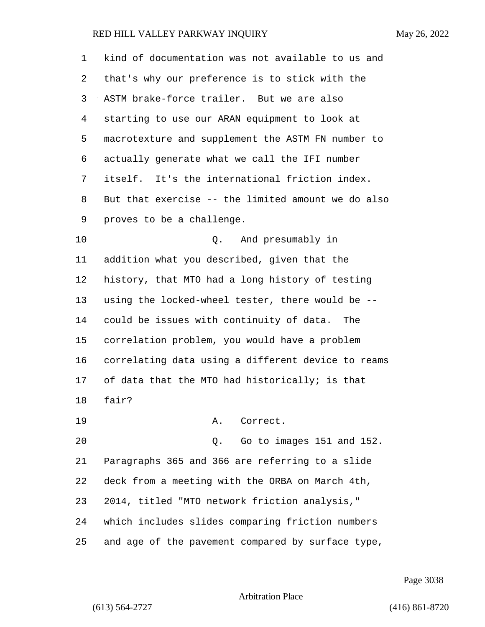| 1              | kind of documentation was not available to us and  |
|----------------|----------------------------------------------------|
| 2              | that's why our preference is to stick with the     |
| 3              | ASTM brake-force trailer. But we are also          |
| $\overline{4}$ | starting to use our ARAN equipment to look at      |
| 5              | macrotexture and supplement the ASTM FN number to  |
| 6              | actually generate what we call the IFI number      |
| 7              | itself. It's the international friction index.     |
| 8              | But that exercise -- the limited amount we do also |
| 9              | proves to be a challenge.                          |
| 10             | And presumably in<br>Q.                            |
| 11             | addition what you described, given that the        |
| 12             | history, that MTO had a long history of testing    |
| 13             | using the locked-wheel tester, there would be --   |
| 14             | could be issues with continuity of data. The       |
| 15             | correlation problem, you would have a problem      |
| 16             | correlating data using a different device to reams |
| 17             | of data that the MTO had historically; is that     |
| 18             | fair?                                              |
| 19             | Α.<br>Correct.                                     |
| 20             | Go to images 151 and 152.<br>Q.                    |
| 21             | Paragraphs 365 and 366 are referring to a slide    |
| 22             | deck from a meeting with the ORBA on March 4th,    |
| 23             | 2014, titled "MTO network friction analysis,"      |
| 24             | which includes slides comparing friction numbers   |
| 25             | and age of the pavement compared by surface type,  |

Page 3038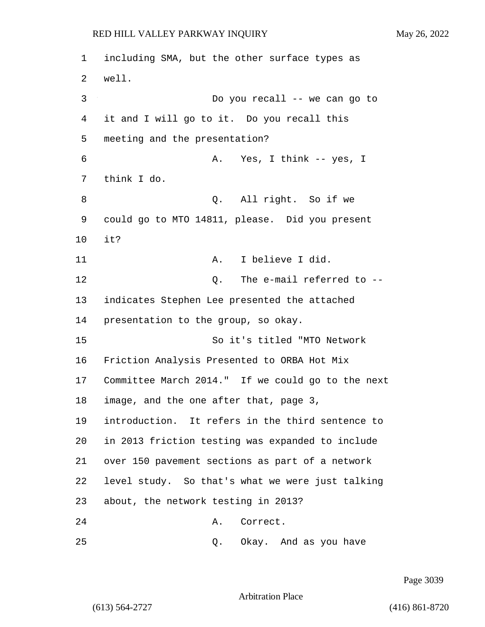including SMA, but the other surface types as 2 well. 3 Do you recall -- we can go to it and I will go to it. Do you recall this meeting and the presentation? 6 A. Yes, I think -- yes, I think I do. 8 Q. All right. So if we could go to MTO 14811, please. Did you present 10 it? 11 A. I believe I did. 12 Q. The e-mail referred to -- indicates Stephen Lee presented the attached presentation to the group, so okay. 15 So it's titled "MTO Network Friction Analysis Presented to ORBA Hot Mix Committee March 2014." If we could go to the next image, and the one after that, page 3, introduction. It refers in the third sentence to in 2013 friction testing was expanded to include over 150 pavement sections as part of a network level study. So that's what we were just talking about, the network testing in 2013? 24 A. Correct.

25 Q. Okay. And as you have

Page 3039

Arbitration Place

(613) 564-2727 (416) 861-8720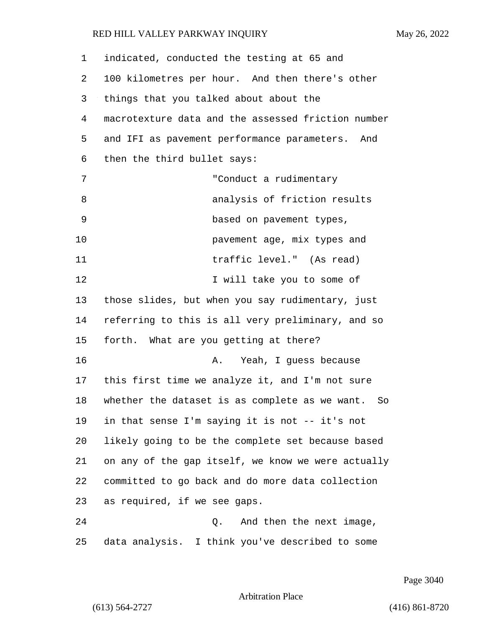| 1  | indicated, conducted the testing at 65 and         |
|----|----------------------------------------------------|
| 2  | 100 kilometres per hour. And then there's other    |
| 3  | things that you talked about about the             |
| 4  | macrotexture data and the assessed friction number |
| 5  | and IFI as pavement performance parameters. And    |
| 6  | then the third bullet says:                        |
| 7  | "Conduct a rudimentary                             |
| 8  | analysis of friction results                       |
| 9  | based on pavement types,                           |
| 10 | pavement age, mix types and                        |
| 11 | traffic level." (As read)                          |
| 12 | I will take you to some of                         |
| 13 | those slides, but when you say rudimentary, just   |
| 14 | referring to this is all very preliminary, and so  |
| 15 | forth. What are you getting at there?              |
| 16 | Yeah, I guess because<br>Α.                        |
| 17 | this first time we analyze it, and I'm not sure    |
| 18 | whether the dataset is as complete as we want. So  |
| 19 | in that sense I'm saying it is not -- it's not     |
| 20 | likely going to be the complete set because based  |
| 21 | on any of the gap itself, we know we were actually |
| 22 | committed to go back and do more data collection   |
| 23 | as required, if we see gaps.                       |
| 24 | And then the next image,<br>Q.                     |
| 25 | data analysis. I think you've described to some    |

Page 3040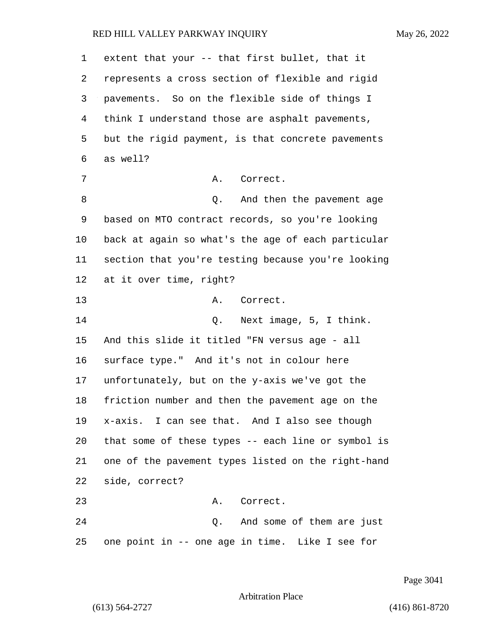| $\mathbf 1$ | extent that your -- that first bullet, that it     |
|-------------|----------------------------------------------------|
| 2           | represents a cross section of flexible and rigid   |
| 3           | pavements. So on the flexible side of things I     |
| 4           | think I understand those are asphalt pavements,    |
| 5           | but the rigid payment, is that concrete pavements  |
| 6           | as well?                                           |
| 7           | Α.<br>Correct.                                     |
| 8           | And then the pavement age<br>Q.                    |
| 9           | based on MTO contract records, so you're looking   |
| 10          | back at again so what's the age of each particular |
| 11          | section that you're testing because you're looking |
| 12          | at it over time, right?                            |
| 13          | Correct.<br>Α.                                     |
| 14          | Q. Next image, 5, I think.                         |
| 15          | And this slide it titled "FN versus age - all      |
| 16          | surface type." And it's not in colour here         |
| 17          | unfortunately, but on the y-axis we've got the     |
| 18          | friction number and then the pavement age on the   |
| 19          | x-axis. I can see that. And I also see though      |
| 20          | that some of these types -- each line or symbol is |
| 21          | one of the pavement types listed on the right-hand |
| 22          | side, correct?                                     |
| 23          | A. Correct.                                        |
| 24          | Q. And some of them are just                       |
| 25          | one point in -- one age in time. Like I see for    |

Page 3041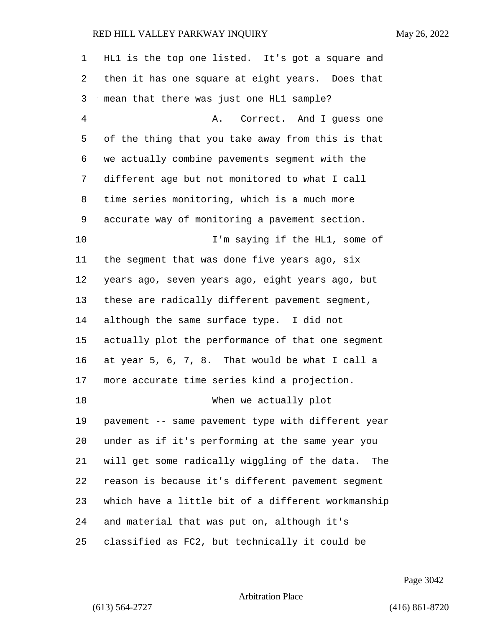| 1  | HL1 is the top one listed. It's got a square and   |
|----|----------------------------------------------------|
| 2  | then it has one square at eight years. Does that   |
| 3  | mean that there was just one HL1 sample?           |
| 4  | Correct. And I guess one<br>Α.                     |
| 5  | of the thing that you take away from this is that  |
| 6  | we actually combine pavements segment with the     |
| 7  | different age but not monitored to what I call     |
| 8  | time series monitoring, which is a much more       |
| 9  | accurate way of monitoring a pavement section.     |
| 10 | I'm saying if the HL1, some of                     |
| 11 | the segment that was done five years ago, six      |
| 12 | years ago, seven years ago, eight years ago, but   |
| 13 | these are radically different pavement segment,    |
| 14 | although the same surface type. I did not          |
| 15 | actually plot the performance of that one segment  |
| 16 | at year 5, 6, 7, 8. That would be what I call a    |
| 17 | more accurate time series kind a projection.       |
| 18 | When we actually plot                              |
| 19 | pavement -- same pavement type with different year |
| 20 | under as if it's performing at the same year you   |
| 21 | will get some radically wiggling of the data. The  |
| 22 | reason is because it's different pavement segment  |
| 23 | which have a little bit of a different workmanship |
| 24 | and material that was put on, although it's        |
| 25 | classified as FC2, but technically it could be     |

Page 3042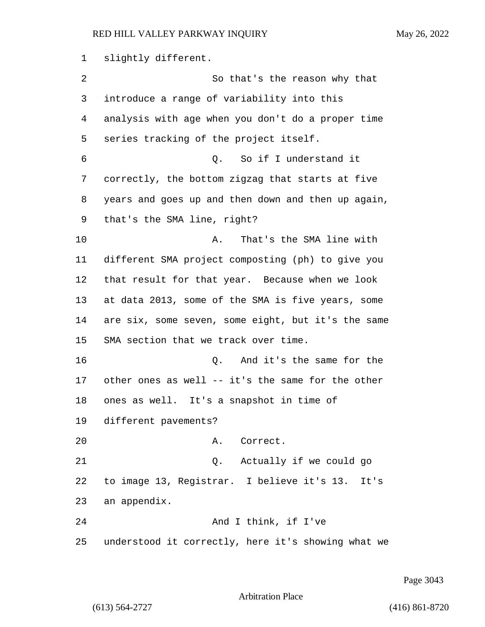slightly different.

| 2  | So that's the reason why that                      |
|----|----------------------------------------------------|
| 3  | introduce a range of variability into this         |
| 4  | analysis with age when you don't do a proper time  |
| 5  | series tracking of the project itself.             |
| 6  | Q. So if I understand it                           |
| 7  | correctly, the bottom zigzag that starts at five   |
| 8  | years and goes up and then down and then up again, |
| 9  | that's the SMA line, right?                        |
| 10 | That's the SMA line with<br>Α.                     |
| 11 | different SMA project composting (ph) to give you  |
| 12 | that result for that year. Because when we look    |
| 13 | at data 2013, some of the SMA is five years, some  |
| 14 | are six, some seven, some eight, but it's the same |
| 15 | SMA section that we track over time.               |
| 16 | And it's the same for the<br>Q.                    |
| 17 | other ones as well -- it's the same for the other  |
| 18 | ones as well. It's a snapshot in time of           |
| 19 | different pavements?                               |
| 20 | Α.<br>Correct.                                     |
| 21 | Q. Actually if we could go                         |
| 22 | to image 13, Registrar. I believe it's 13.<br>It's |
| 23 | an appendix.                                       |
| 24 | And I think, if I've                               |
| 25 | understood it correctly, here it's showing what we |

Page 3043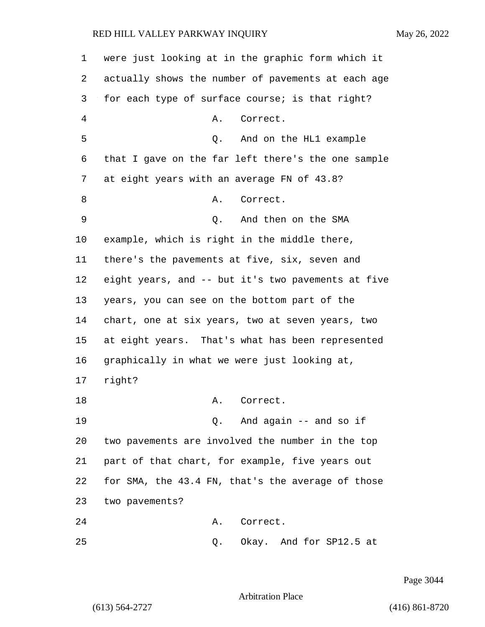| 1  | were just looking at in the graphic form which it  |
|----|----------------------------------------------------|
| 2  | actually shows the number of pavements at each age |
| 3  | for each type of surface course; is that right?    |
| 4  | Correct.<br>Α.                                     |
| 5  | And on the HL1 example<br>Q.                       |
| 6  | that I gave on the far left there's the one sample |
| 7  | at eight years with an average FN of 43.8?         |
| 8  | Correct.<br>Α.                                     |
| 9  | And then on the SMA<br>Q.                          |
| 10 | example, which is right in the middle there,       |
| 11 | there's the pavements at five, six, seven and      |
| 12 | eight years, and -- but it's two pavements at five |
| 13 | years, you can see on the bottom part of the       |
| 14 | chart, one at six years, two at seven years, two   |
| 15 | at eight years. That's what has been represented   |
| 16 | graphically in what we were just looking at,       |
| 17 | right?                                             |
| 18 | Α.<br>Correct.                                     |
| 19 | 0. And again -- and so if                          |
| 20 | two pavements are involved the number in the top   |
| 21 | part of that chart, for example, five years out    |
| 22 | for SMA, the 43.4 FN, that's the average of those  |
| 23 | two pavements?                                     |
| 24 | Correct.<br>Α.                                     |
| 25 | Okay. And for SP12.5 at<br>Q.                      |

Page 3044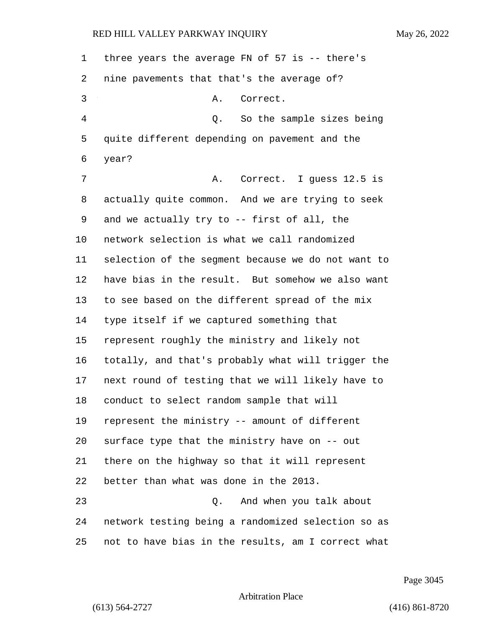| $\mathbf 1$    | three years the average FN of 57 is $-$ there's    |
|----------------|----------------------------------------------------|
| 2              | nine pavements that that's the average of?         |
| 3              | Α.<br>Correct.                                     |
| $\overline{4}$ | Q. So the sample sizes being                       |
| 5              | quite different depending on pavement and the      |
| 6              | year?                                              |
| 7              | Correct. I guess 12.5 is<br>Α.                     |
| 8              | actually quite common. And we are trying to seek   |
| 9              | and we actually try to -- first of all, the        |
| 10             | network selection is what we call randomized       |
| 11             | selection of the segment because we do not want to |
| 12             | have bias in the result. But somehow we also want  |
| 13             | to see based on the different spread of the mix    |
| 14             | type itself if we captured something that          |
| 15             | represent roughly the ministry and likely not      |
| 16             | totally, and that's probably what will trigger the |
| 17             | next round of testing that we will likely have to  |
| 18             | conduct to select random sample that will          |
| 19             | represent the ministry -- amount of different      |
| 20             | surface type that the ministry have on -- out      |
| 21             | there on the highway so that it will represent     |
| 22             | better than what was done in the 2013.             |
| 23             | And when you talk about<br>Q.                      |
| 24             | network testing being a randomized selection so as |
| 25             | not to have bias in the results, am I correct what |

Page 3045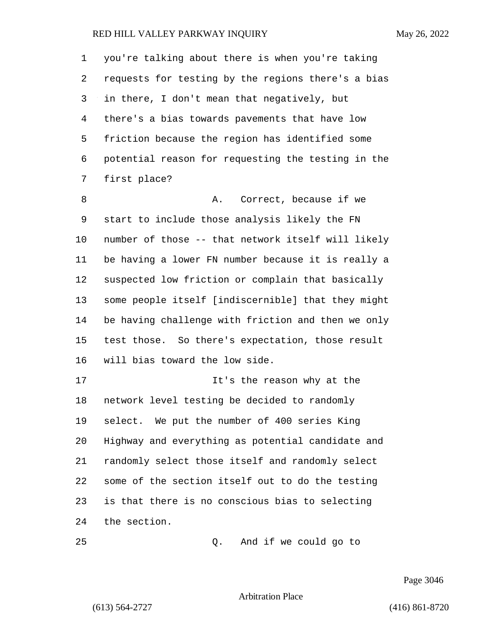you're talking about there is when you're taking requests for testing by the regions there's a bias in there, I don't mean that negatively, but there's a bias towards pavements that have low friction because the region has identified some potential reason for requesting the testing in the first place? 8 a. Correct, because if we start to include those analysis likely the FN number of those -- that network itself will likely be having a lower FN number because it is really a suspected low friction or complain that basically some people itself [indiscernible] that they might be having challenge with friction and then we only test those. So there's expectation, those result will bias toward the low side. **It's the reason why at the** 

 network level testing be decided to randomly select. We put the number of 400 series King Highway and everything as potential candidate and randomly select those itself and randomly select some of the section itself out to do the testing is that there is no conscious bias to selecting the section.

25 Q. And if we could go to

Page 3046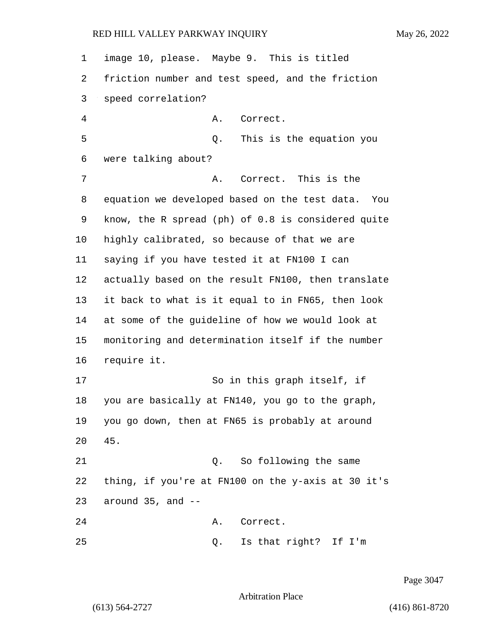| $\mathbf 1$ | image 10, please. Maybe 9. This is titled          |
|-------------|----------------------------------------------------|
| 2           | friction number and test speed, and the friction   |
| 3           | speed correlation?                                 |
| 4           | Α.<br>Correct.                                     |
| 5           | This is the equation you<br>Q.                     |
| 6           | were talking about?                                |
| 7           | Correct. This is the<br>Α.                         |
| 8           | equation we developed based on the test data. You  |
| 9           | know, the R spread (ph) of 0.8 is considered quite |
| 10          | highly calibrated, so because of that we are       |
| 11          | saying if you have tested it at FN100 I can        |
| 12          | actually based on the result FN100, then translate |
| 13          | it back to what is it equal to in FN65, then look  |
| 14          | at some of the guideline of how we would look at   |
| 15          | monitoring and determination itself if the number  |
| 16          | require it.                                        |
| 17          | So in this graph itself, if                        |
| 18          | you are basically at FN140, you go to the graph,   |
| 19          | you go down, then at FN65 is probably at around    |
| 20          | 45.                                                |
| 21          | Q. So following the same                           |
| 22          | thing, if you're at FN100 on the y-axis at 30 it's |
| 23          | around $35$ , and $-$                              |
| 24          | Correct.<br>Α.                                     |
| 25          | Is that right? If I'm<br>Q.                        |

Page 3047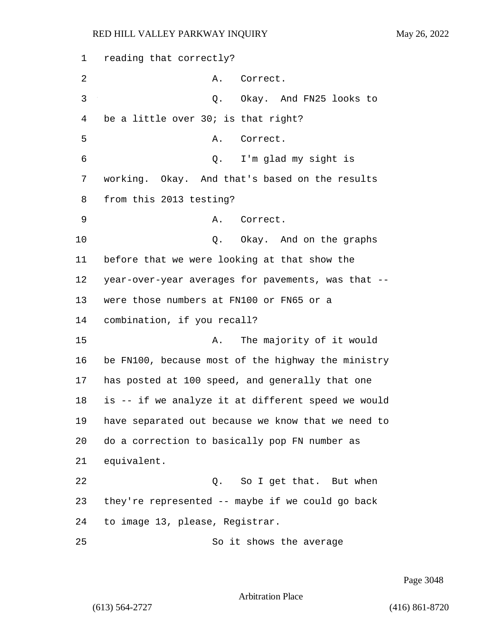reading that correctly? 2 A. Correct. 3 Q. Okay. And FN25 looks to be a little over 30; is that right? 5 A. Correct. 6 Q. I'm glad my sight is working. Okay. And that's based on the results from this 2013 testing? 9 A. Correct. 10 Q. Okay. And on the graphs before that we were looking at that show the year-over-year averages for pavements, was that -- were those numbers at FN100 or FN65 or a combination, if you recall? 15 A. The majority of it would be FN100, because most of the highway the ministry has posted at 100 speed, and generally that one is -- if we analyze it at different speed we would have separated out because we know that we need to do a correction to basically pop FN number as equivalent. 22 Q. So I get that. But when they're represented -- maybe if we could go back to image 13, please, Registrar. 25 So it shows the average

Page 3048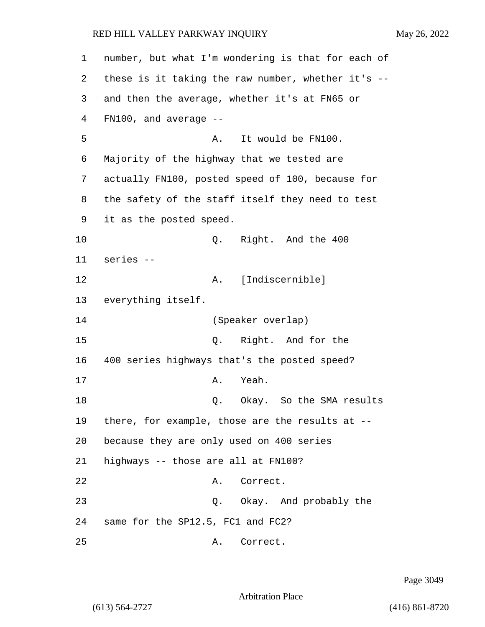| $\mathbf 1$ | number, but what I'm wondering is that for each of |
|-------------|----------------------------------------------------|
| 2           | these is it taking the raw number, whether it's -- |
| 3           | and then the average, whether it's at FN65 or      |
| 4           | $FN100$ , and average $-$                          |
| 5           | It would be FN100.<br>Α.                           |
| 6           | Majority of the highway that we tested are         |
| 7           | actually FN100, posted speed of 100, because for   |
| 8           | the safety of the staff itself they need to test   |
| 9           | it as the posted speed.                            |
| 10          | Q.<br>Right. And the 400                           |
| 11          | series --                                          |
| 12          | [Indiscernible]<br>Α.                              |
| 13          | everything itself.                                 |
| 14          | (Speaker overlap)                                  |
| 15          | Right. And for the<br>Q.                           |
| 16          | 400 series highways that's the posted speed?       |
| 17          | Yeah.<br>Α.                                        |
| 18          | Okay. So the SMA results<br>Q.                     |
| 19          | there, for example, those are the results at --    |
| 20          | because they are only used on 400 series           |
| 21          | highways -- those are all at FN100?                |
| 22          | Correct.<br>Α.                                     |
| 23          | Q. Okay. And probably the                          |
| 24          | same for the SP12.5, FC1 and FC2?                  |
| 25          | Correct.<br>Α.                                     |

Page 3049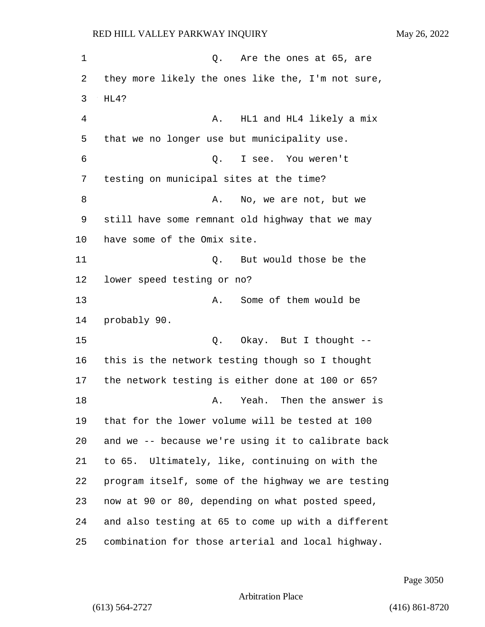1 and 1 Q. Are the ones at 65, are they more likely the ones like the, I'm not sure, HL4? 4 A. HL1 and HL4 likely a mix that we no longer use but municipality use. 6 Q. I see. You weren't testing on municipal sites at the time? 8 A. No, we are not, but we still have some remnant old highway that we may have some of the Omix site. 11 Q. But would those be the lower speed testing or no? 13 A. Some of them would be probably 90. 15 0. Okay. But I thought -- this is the network testing though so I thought the network testing is either done at 100 or 65? **A.** Yeah. Then the answer is that for the lower volume will be tested at 100 and we -- because we're using it to calibrate back to 65. Ultimately, like, continuing on with the program itself, some of the highway we are testing now at 90 or 80, depending on what posted speed, and also testing at 65 to come up with a different combination for those arterial and local highway.

Page 3050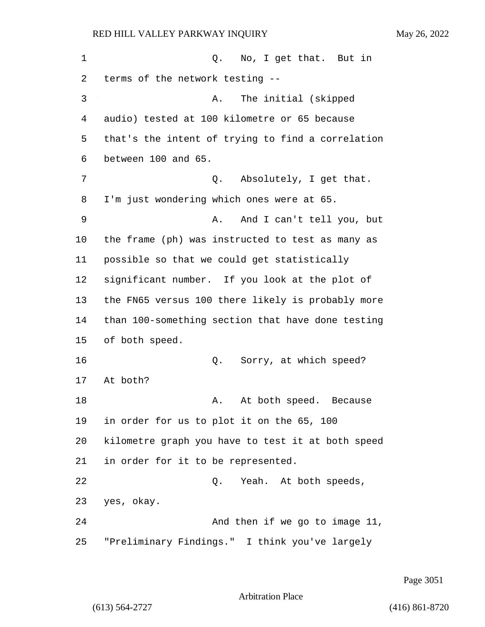| $\mathbf 1$    | Q. No, I get that. But in                    |  |
|----------------|----------------------------------------------|--|
|                | 2 terms of the network testing --            |  |
| 3 <sup>2</sup> | A. The initial (skipped                      |  |
| 4              | audio) tested at 100 kilometre or 65 because |  |
|                |                                              |  |

3 A. The initial (skipped 4 audio) tested at 100 kilom that's the intent of trying to find a correlation between 100 and 65. 7 0. Absolutely, I get that. I'm just wondering which ones were at 65. 9 A. And I can't tell you, but the frame (ph) was instructed to test as many as possible so that we could get statistically significant number. If you look at the plot of the FN65 versus 100 there likely is probably more than 100-something section that have done testing of both speed. 16 Q. Sorry, at which speed? 17 At both? 18 A. At both speed. Because in order for us to plot it on the 65, 100 kilometre graph you have to test it at both speed in order for it to be represented. 22 and 2. Neah. At both speeds, yes, okay. 24 And then if we go to image 11, "Preliminary Findings." I think you've largely

Page 3051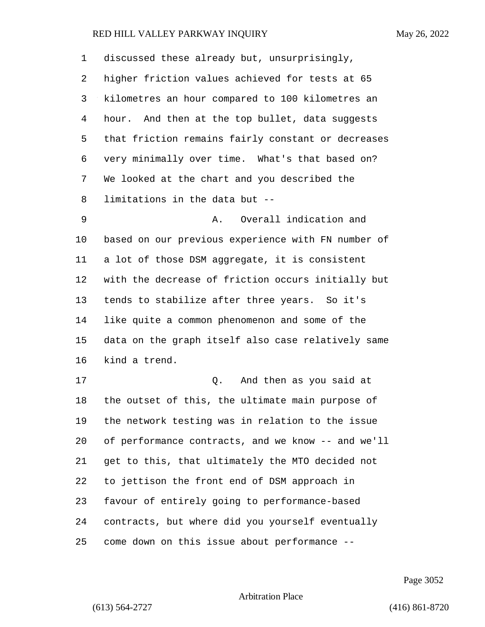| 1      | discussed these already but, unsurprisingly,       |
|--------|----------------------------------------------------|
| 2      | higher friction values achieved for tests at 65    |
| 3      | kilometres an hour compared to 100 kilometres an   |
| 4      | hour. And then at the top bullet, data suggests    |
| 5      | that friction remains fairly constant or decreases |
| 6      | very minimally over time. What's that based on?    |
| 7      | We looked at the chart and you described the       |
| 8      | limitations in the data but --                     |
| 9      | Overall indication and<br>Α.                       |
| 10     | based on our previous experience with FN number of |
| 11     | a lot of those DSM aggregate, it is consistent     |
| 12     | with the decrease of friction occurs initially but |
| 13     | tends to stabilize after three years. So it's      |
| 14     | like quite a common phenomenon and some of the     |
| 15     | data on the graph itself also case relatively same |
| 16     | kind a trend.                                      |
| 17     | And then as you said at<br>Q.                      |
| 18     | the outset of this, the ultimate main purpose of   |
| 19     | the network testing was in relation to the issue   |
| 20     | of performance contracts, and we know -- and we'll |
| 21     | get to this, that ultimately the MTO decided not   |
| 22     | to jettison the front end of DSM approach in       |
| 23     | favour of entirely going to performance-based      |
| 24     | contracts, but where did you yourself eventually   |
| $25\,$ | come down on this issue about performance --       |

Page 3052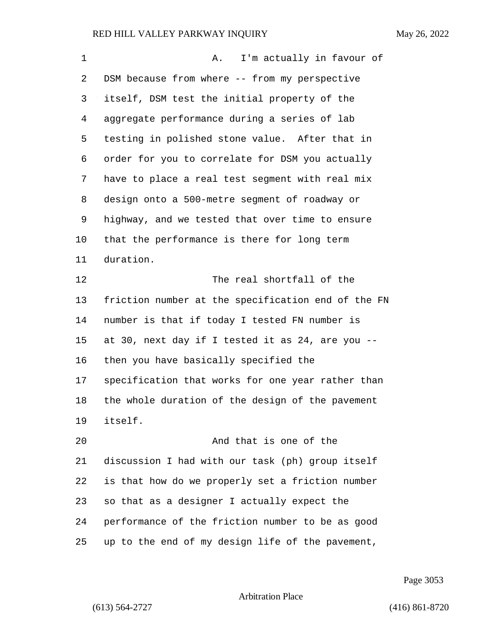| 1       | I'm actually in favour of<br>A.                    |
|---------|----------------------------------------------------|
| 2       | DSM because from where -- from my perspective      |
| 3       | itself, DSM test the initial property of the       |
| 4       | aggregate performance during a series of lab       |
| 5       | testing in polished stone value. After that in     |
| 6       | order for you to correlate for DSM you actually    |
| 7       | have to place a real test segment with real mix    |
| 8       | design onto a 500-metre segment of roadway or      |
| 9       | highway, and we tested that over time to ensure    |
| $10 \,$ | that the performance is there for long term        |
| 11      | duration.                                          |
| 12      | The real shortfall of the                          |
| 13      | friction number at the specification end of the FN |
| 14      | number is that if today I tested FN number is      |
| 15      | at 30, next day if I tested it as 24, are you --   |
| 16      | then you have basically specified the              |
| 17      | specification that works for one year rather than  |
| 18      | the whole duration of the design of the pavement   |
| 19      | itself.                                            |
| 20      | And that is one of the                             |
| 21      | discussion I had with our task (ph) group itself   |
| 22      | is that how do we properly set a friction number   |
| 23      | so that as a designer I actually expect the        |
| 24      | performance of the friction number to be as good   |
| 25      | up to the end of my design life of the pavement,   |

Page 3053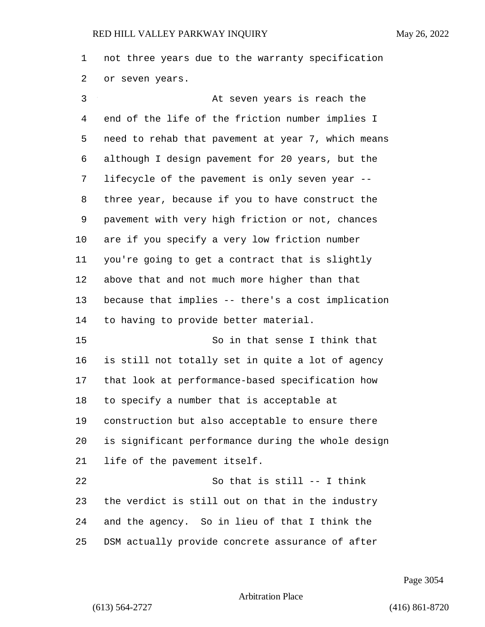not three years due to the warranty specification or seven years.

3 At seven years is reach the end of the life of the friction number implies I need to rehab that pavement at year 7, which means although I design pavement for 20 years, but the lifecycle of the pavement is only seven year -- three year, because if you to have construct the pavement with very high friction or not, chances are if you specify a very low friction number you're going to get a contract that is slightly above that and not much more higher than that because that implies -- there's a cost implication to having to provide better material. 15 So in that sense I think that is still not totally set in quite a lot of agency that look at performance-based specification how to specify a number that is acceptable at construction but also acceptable to ensure there

 is significant performance during the whole design life of the pavement itself.

22 So that is still -- I think the verdict is still out on that in the industry and the agency. So in lieu of that I think the DSM actually provide concrete assurance of after

Page 3054

Arbitration Place

(613) 564-2727 (416) 861-8720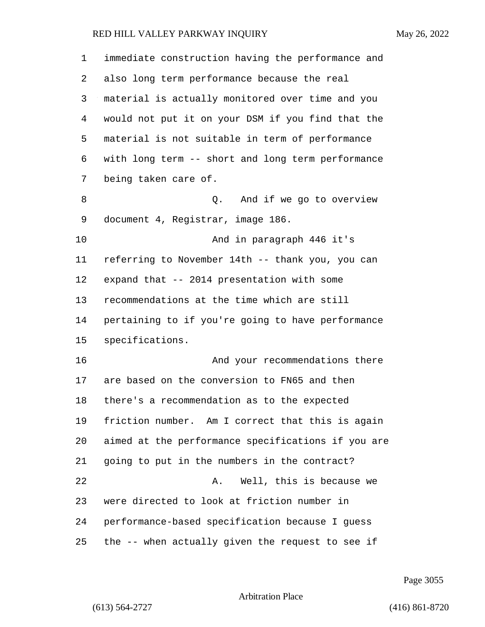| 1  | immediate construction having the performance and  |
|----|----------------------------------------------------|
| 2  | also long term performance because the real        |
| 3  | material is actually monitored over time and you   |
| 4  | would not put it on your DSM if you find that the  |
| 5  | material is not suitable in term of performance    |
| 6  | with long term -- short and long term performance  |
| 7  | being taken care of.                               |
| 8  | And if we go to overview<br>Q.                     |
| 9  | document 4, Registrar, image 186.                  |
| 10 | And in paragraph 446 it's                          |
| 11 | referring to November 14th -- thank you, you can   |
| 12 | expand that -- 2014 presentation with some         |
| 13 | recommendations at the time which are still        |
| 14 | pertaining to if you're going to have performance  |
| 15 | specifications.                                    |
| 16 | And your recommendations there                     |
| 17 | are based on the conversion to FN65 and then       |
| 18 | there's a recommendation as to the expected        |
| 19 | friction number. Am I correct that this is again   |
| 20 | aimed at the performance specifications if you are |
| 21 | going to put in the numbers in the contract?       |
| 22 | Well, this is because we<br>Α.                     |
| 23 | were directed to look at friction number in        |
| 24 | performance-based specification because I guess    |
| 25 | the -- when actually given the request to see if   |

Page 3055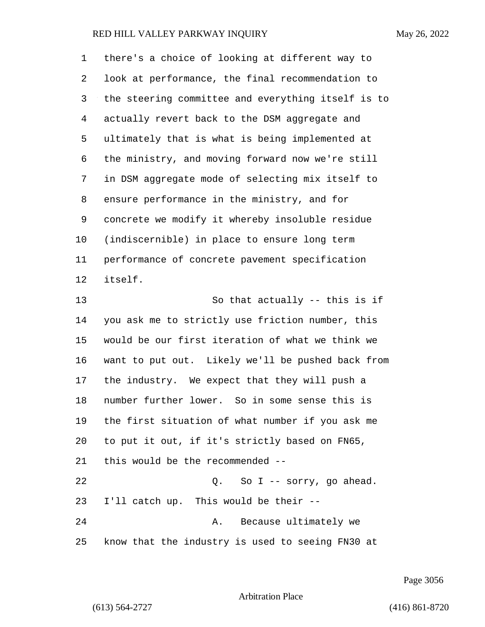| 1  | there's a choice of looking at different way to    |
|----|----------------------------------------------------|
| 2  | look at performance, the final recommendation to   |
| 3  | the steering committee and everything itself is to |
| 4  | actually revert back to the DSM aggregate and      |
| 5  | ultimately that is what is being implemented at    |
| 6  | the ministry, and moving forward now we're still   |
| 7  | in DSM aggregate mode of selecting mix itself to   |
| 8  | ensure performance in the ministry, and for        |
| 9  | concrete we modify it whereby insoluble residue    |
| 10 | (indiscernible) in place to ensure long term       |
| 11 | performance of concrete pavement specification     |
| 12 | itself.                                            |
| 13 | So that actually -- this is if                     |
| 14 | you ask me to strictly use friction number, this   |
| 15 | would be our first iteration of what we think we   |
| 16 | want to put out. Likely we'll be pushed back from  |
| 17 | the industry. We expect that they will push a      |
| 18 | number further lower. So in some sense this is     |
| 19 | the first situation of what number if you ask me   |
| 20 | to put it out, if it's strictly based on FN65,     |
| 21 | this would be the recommended --                   |
| 22 | Q. So I -- sorry, go ahead.                        |
| 23 | I'll catch up. This would be their --              |
| 24 | Because ultimately we<br>Α.                        |
| 25 | know that the industry is used to seeing FN30 at   |

Page 3056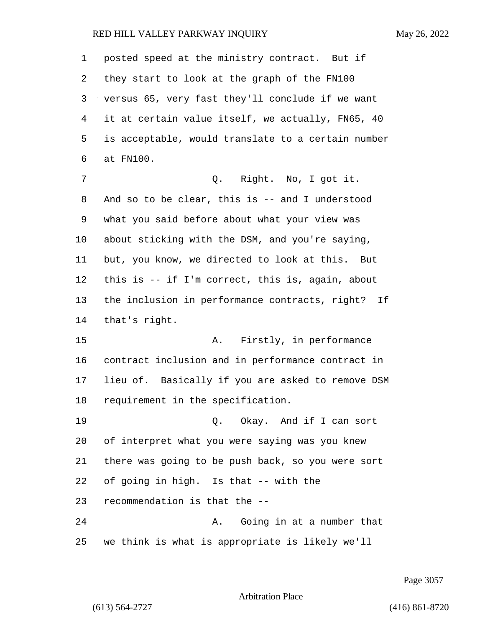posted speed at the ministry contract. But if they start to look at the graph of the FN100 versus 65, very fast they'll conclude if we want it at certain value itself, we actually, FN65, 40 is acceptable, would translate to a certain number at FN100. 7 Q. Right. No, I got it.

 And so to be clear, this is -- and I understood what you said before about what your view was about sticking with the DSM, and you're saying, but, you know, we directed to look at this. But this is -- if I'm correct, this is, again, about the inclusion in performance contracts, right? If that's right.

15 A. Firstly, in performance contract inclusion and in performance contract in lieu of. Basically if you are asked to remove DSM requirement in the specification.

19 C. Okay. And if I can sort of interpret what you were saying was you knew there was going to be push back, so you were sort of going in high. Is that -- with the recommendation is that the -- 24 A. Going in at a number that

we think is what is appropriate is likely we'll

Page 3057

Arbitration Place

(613) 564-2727 (416) 861-8720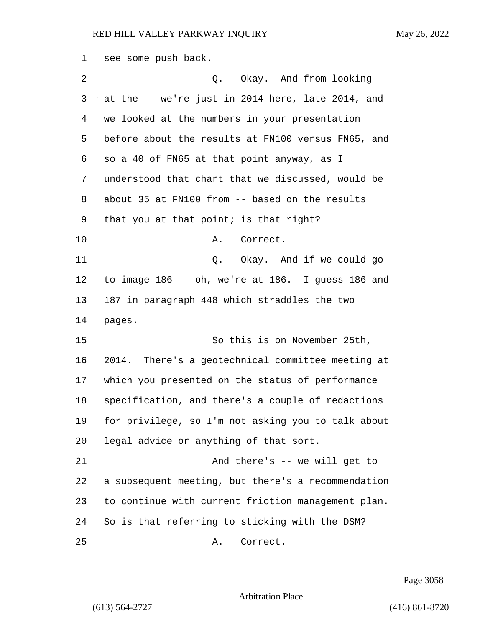see some push back. 2 Q. Okay. And from looking at the -- we're just in 2014 here, late 2014, and we looked at the numbers in your presentation before about the results at FN100 versus FN65, and so a 40 of FN65 at that point anyway, as I understood that chart that we discussed, would be about 35 at FN100 from -- based on the results that you at that point; is that right? 10 A. Correct. 11 Q. Okay. And if we could go to image 186 -- oh, we're at 186. I guess 186 and 187 in paragraph 448 which straddles the two pages. 15 So this is on November 25th, 2014. There's a geotechnical committee meeting at which you presented on the status of performance specification, and there's a couple of redactions for privilege, so I'm not asking you to talk about legal advice or anything of that sort. 21 And there's -- we will get to a subsequent meeting, but there's a recommendation to continue with current friction management plan. So is that referring to sticking with the DSM? 25 A. Correct.

Page 3058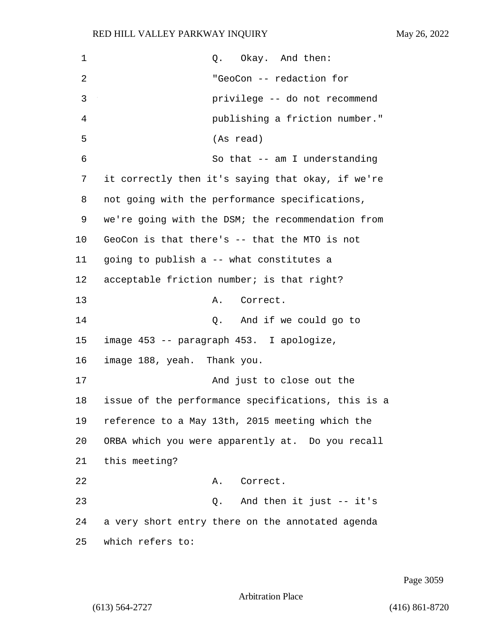| $\mathbf 1$ | Okay. And then:<br>Q.                              |
|-------------|----------------------------------------------------|
| 2           | "GeoCon -- redaction for                           |
| 3           | privilege -- do not recommend                      |
| 4           | publishing a friction number."                     |
| 5           | (As read)                                          |
| 6           | So that -- am I understanding                      |
| 7           | it correctly then it's saying that okay, if we're  |
| 8           | not going with the performance specifications,     |
| 9           | we're going with the DSM; the recommendation from  |
| 10          | GeoCon is that there's -- that the MTO is not      |
| 11          | going to publish a -- what constitutes a           |
| 12          | acceptable friction number; is that right?         |
| 13          | Α.<br>Correct.                                     |
| 14          | And if we could go to<br>Q.                        |
| 15          | image 453 -- paragraph 453. I apologize,           |
| 16          | image 188, yeah. Thank you.                        |
| 17          | And just to close out the                          |
| 18          | issue of the performance specifications, this is a |
| 19          | reference to a May 13th, 2015 meeting which the    |
| 20          | ORBA which you were apparently at. Do you recall   |
| 21          | this meeting?                                      |
| 22          | Correct.<br>Α.                                     |
| 23          | Q. And then it just -- it's                        |
| 24          | a very short entry there on the annotated agenda   |
| 25          | which refers to:                                   |

Page 3059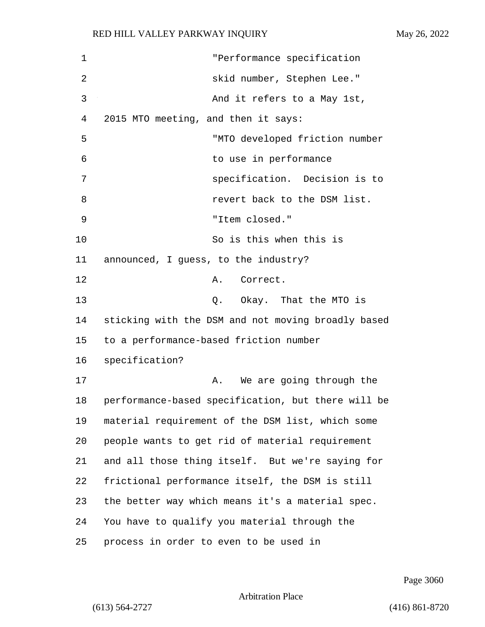| 1  | "Performance specification                         |
|----|----------------------------------------------------|
| 2  | skid number, Stephen Lee."                         |
| 3  | And it refers to a May 1st,                        |
| 4  | 2015 MTO meeting, and then it says:                |
| 5  | "MTO developed friction number                     |
| 6  | to use in performance                              |
| 7  | specification. Decision is to                      |
| 8  | revert back to the DSM list.                       |
| 9  | "Item closed."                                     |
| 10 | So is this when this is                            |
| 11 | announced, I guess, to the industry?               |
| 12 | Correct.<br>Α.                                     |
| 13 | Q. Okay. That the MTO is                           |
| 14 | sticking with the DSM and not moving broadly based |
| 15 | to a performance-based friction number             |
| 16 | specification?                                     |
| 17 | We are going through the<br>Α.                     |
| 18 | performance-based specification, but there will be |
| 19 | material requirement of the DSM list, which some   |
| 20 | people wants to get rid of material requirement    |
| 21 | and all those thing itself. But we're saying for   |
| 22 | frictional performance itself, the DSM is still    |
| 23 | the better way which means it's a material spec.   |
| 24 | You have to qualify you material through the       |
| 25 | process in order to even to be used in             |

Page 3060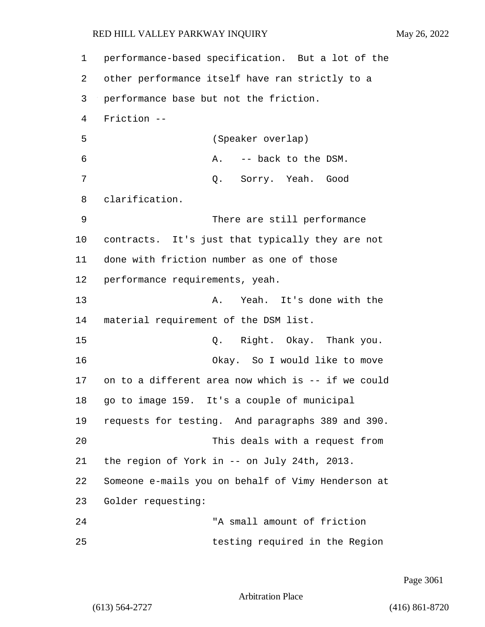1 performance-based specification. But a lot of the 2 other performance itself have ran strictly to a 3 performance base but not the friction. 4 Friction -- 5 (Speaker overlap) 6 A. -- back to the DSM. 7 Q. Sorry. Yeah. Good 8 clarification. 9 There are still performance 10 contracts. It's just that typically they are not 11 done with friction number as one of those 12 performance requirements, yeah. 13 A. Yeah. It's done with the 14 material requirement of the DSM list. 15 Q. Right. Okay. Thank you. 16 Okay. So I would like to move 17 on to a different area now which is -- if we could 18 go to image 159. It's a couple of municipal 19 requests for testing. And paragraphs 389 and 390. 20 This deals with a request from 21 the region of York in -- on July 24th, 2013. 22 Someone e-mails you on behalf of Vimy Henderson at 23 Golder requesting: 24 "A small amount of friction 25 testing required in the Region

Page 3061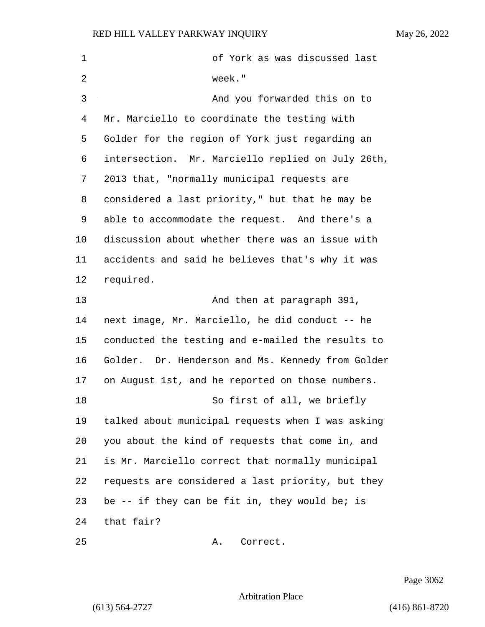| $\mathbf 1$ | of York as was discussed last                     |
|-------------|---------------------------------------------------|
| 2           | week."                                            |
| 3           | And you forwarded this on to                      |
| 4           | Mr. Marciello to coordinate the testing with      |
| 5           | Golder for the region of York just regarding an   |
| 6           | intersection. Mr. Marciello replied on July 26th, |
| 7           | 2013 that, "normally municipal requests are       |
| 8           | considered a last priority," but that he may be   |
| 9           | able to accommodate the request. And there's a    |
| 10          | discussion about whether there was an issue with  |
| 11          | accidents and said he believes that's why it was  |
| 12          | required.                                         |
| 13          | And then at paragraph 391,                        |
| 14          | next image, Mr. Marciello, he did conduct -- he   |
| 15          | conducted the testing and e-mailed the results to |
| 16          | Golder. Dr. Henderson and Ms. Kennedy from Golder |
| 17          | on August 1st, and he reported on those numbers.  |
| 18          | So first of all, we briefly                       |
| 19          | talked about municipal requests when I was asking |
| 20          | you about the kind of requests that come in, and  |
| 21          | is Mr. Marciello correct that normally municipal  |
| 22          | requests are considered a last priority, but they |
| 23          | be -- if they can be fit in, they would be; is    |
| 24          | that fair?                                        |
| 25          | Correct.<br>Α.                                    |

Page 3062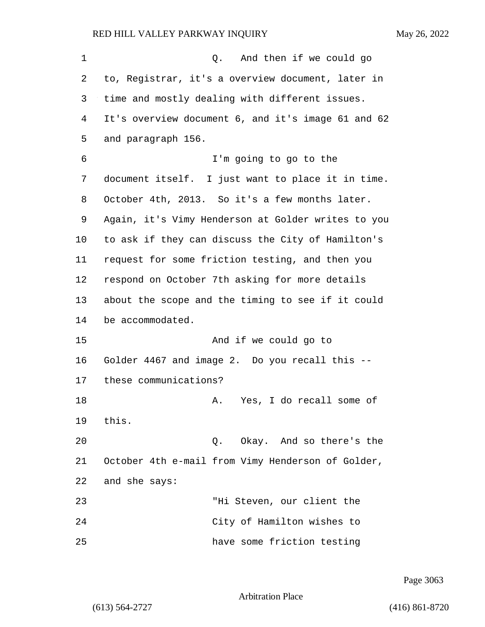1 and then if we could go to, Registrar, it's a overview document, later in time and mostly dealing with different issues. It's overview document 6, and it's image 61 and 62 and paragraph 156. 6 I'm going to go to the document itself. I just want to place it in time. October 4th, 2013. So it's a few months later. Again, it's Vimy Henderson at Golder writes to you to ask if they can discuss the City of Hamilton's request for some friction testing, and then you respond on October 7th asking for more details about the scope and the timing to see if it could be accommodated. 15 And if we could go to Golder 4467 and image 2. Do you recall this -- these communications? 18 A. Yes, I do recall some of 19 this. 20 Q. Okay. And so there's the October 4th e-mail from Vimy Henderson of Golder, and she says: 23 "Hi Steven, our client the 24 City of Hamilton wishes to 25 have some friction testing

Page 3063

Arbitration Place

(613) 564-2727 (416) 861-8720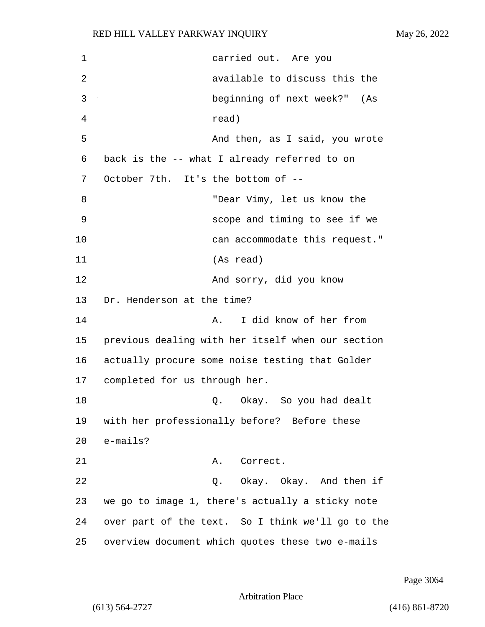| 1              | carried out. Are you                              |
|----------------|---------------------------------------------------|
| $\overline{2}$ | available to discuss this the                     |
| 3              | beginning of next week?" (As                      |
| 4              | read)                                             |
| 5              | And then, as I said, you wrote                    |
| 6              | back is the -- what I already referred to on      |
| 7              | October 7th. It's the bottom of --                |
| 8              | "Dear Vimy, let us know the                       |
| 9              | scope and timing to see if we                     |
| 10             | can accommodate this request."                    |
| 11             | (As read)                                         |
| 12             | And sorry, did you know                           |
| 13             | Dr. Henderson at the time?                        |
| 14             | I did know of her from<br>Α.                      |
| 15             | previous dealing with her itself when our section |
| 16             | actually procure some noise testing that Golder   |
| 17             | completed for us through her.                     |
| 18             | Q.   Okay.  So you had dealt                      |
| 19             | with her professionally before? Before these      |
| 20             | e-mails?                                          |
| 21             | Correct.<br>Α.                                    |
| 22             | Q. Okay. Okay. And then if                        |
| 23             | we go to image 1, there's actually a sticky note  |
| 24             | over part of the text. So I think we'll go to the |
| 25             | overview document which quotes these two e-mails  |

Page 3064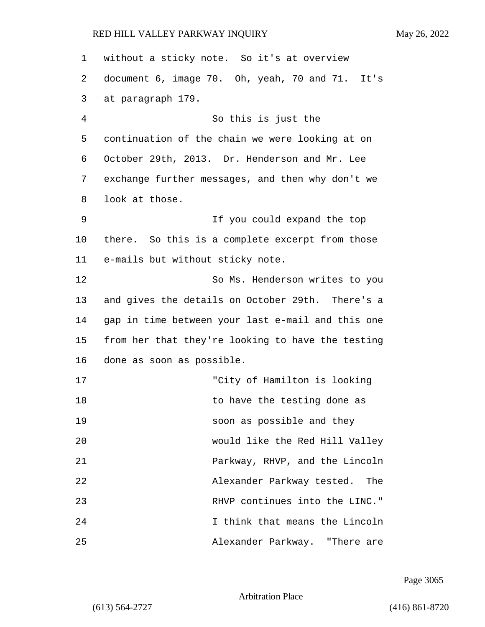| 1  | without a sticky note. So it's at overview        |
|----|---------------------------------------------------|
| 2  | document 6, image 70. Oh, yeah, 70 and 71. It's   |
| 3  | at paragraph 179.                                 |
| 4  | So this is just the                               |
| 5  | continuation of the chain we were looking at on   |
| 6  | October 29th, 2013. Dr. Henderson and Mr. Lee     |
| 7  | exchange further messages, and then why don't we  |
| 8  | look at those.                                    |
| 9  | If you could expand the top                       |
| 10 | there. So this is a complete excerpt from those   |
| 11 | e-mails but without sticky note.                  |
| 12 | So Ms. Henderson writes to you                    |
| 13 | and gives the details on October 29th. There's a  |
| 14 | gap in time between your last e-mail and this one |
| 15 | from her that they're looking to have the testing |
| 16 | done as soon as possible.                         |
| 17 | "City of Hamilton is looking                      |
| 18 | to have the testing done as                       |
| 19 | soon as possible and they                         |
| 20 | would like the Red Hill Valley                    |
| 21 | Parkway, RHVP, and the Lincoln                    |
| 22 | Alexander Parkway tested.<br>The                  |
| 23 | RHVP continues into the LINC."                    |
| 24 | I think that means the Lincoln                    |
| 25 | Alexander Parkway. "There are                     |

Page 3065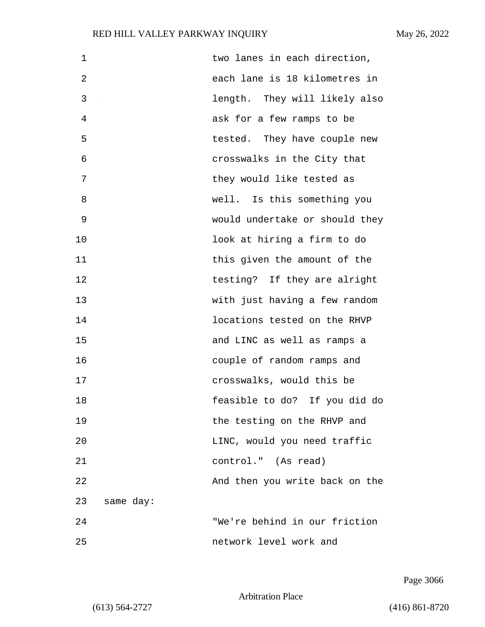| 1  |           | two lanes in each direction,   |
|----|-----------|--------------------------------|
| 2  |           | each lane is 18 kilometres in  |
| 3  |           | length. They will likely also  |
| 4  |           | ask for a few ramps to be      |
| 5  |           | tested. They have couple new   |
| 6  |           | crosswalks in the City that    |
| 7  |           | they would like tested as      |
| 8  |           | well. Is this something you    |
| 9  |           | would undertake or should they |
| 10 |           | look at hiring a firm to do    |
| 11 |           | this given the amount of the   |
| 12 |           | testing? If they are alright   |
| 13 |           | with just having a few random  |
| 14 |           | locations tested on the RHVP   |
| 15 |           | and LINC as well as ramps a    |
| 16 |           | couple of random ramps and     |
| 17 |           | crosswalks, would this be      |
| 18 |           | feasible to do? If you did do  |
| 19 |           | the testing on the RHVP and    |
| 20 |           | LINC, would you need traffic   |
| 21 |           | control." (As read)            |
| 22 |           | And then you write back on the |
| 23 | same day: |                                |
| 24 |           | "We're behind in our friction  |
| 25 |           | network level work and         |

Page 3066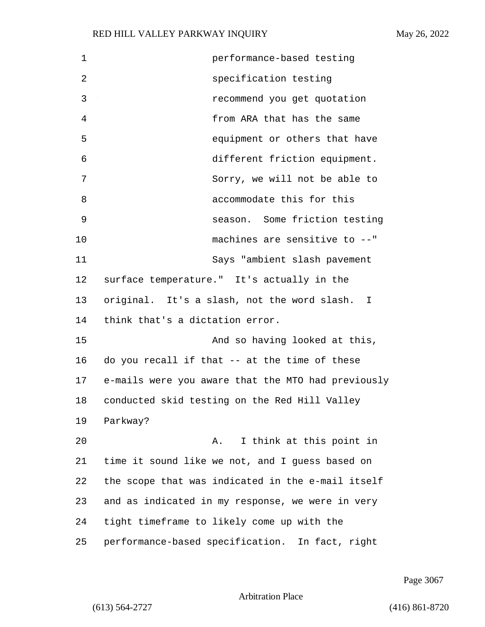1 performance-based testing 2 specification testing 3 recommend you get quotation 4 from ARA that has the same 5 equipment or others that have 6 different friction equipment. 7 Sorry, we will not be able to 8 accommodate this for this 9 season. Some friction testing 10 machines are sensitive to --" 11 Says "ambient slash pavement 12 surface temperature." It's actually in the 13 original. It's a slash, not the word slash. I 14 think that's a dictation error. 15 And so having looked at this, 16 do you recall if that -- at the time of these 17 e-mails were you aware that the MTO had previously 18 conducted skid testing on the Red Hill Valley 19 Parkway? 20 A. I think at this point in 21 time it sound like we not, and I guess based on 22 the scope that was indicated in the e-mail itself 23 and as indicated in my response, we were in very 24 tight timeframe to likely come up with the 25 performance-based specification. In fact, right

Page 3067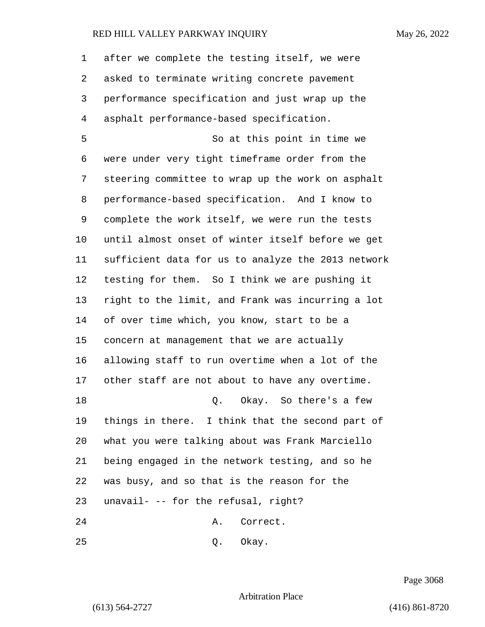after we complete the testing itself, we were asked to terminate writing concrete pavement performance specification and just wrap up the asphalt performance-based specification.

5 So at this point in time we were under very tight timeframe order from the steering committee to wrap up the work on asphalt performance-based specification. And I know to complete the work itself, we were run the tests until almost onset of winter itself before we get sufficient data for us to analyze the 2013 network testing for them. So I think we are pushing it right to the limit, and Frank was incurring a lot of over time which, you know, start to be a concern at management that we are actually allowing staff to run overtime when a lot of the other staff are not about to have any overtime. 18 C. Okay. So there's a few things in there. I think that the second part of what you were talking about was Frank Marciello being engaged in the network testing, and so he was busy, and so that is the reason for the unavail- -- for the refusal, right? 24 A. Correct.

25 0. Okay.

Page 3068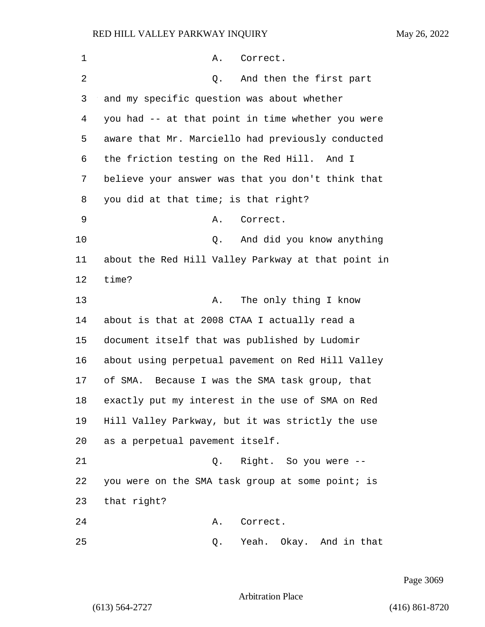| 1  | Α.<br>Correct.                                     |
|----|----------------------------------------------------|
| 2  | And then the first part<br>Q.                      |
| 3  | and my specific question was about whether         |
| 4  | you had -- at that point in time whether you were  |
| 5  | aware that Mr. Marciello had previously conducted  |
| 6  | the friction testing on the Red Hill. And I        |
| 7  | believe your answer was that you don't think that  |
| 8  | you did at that time; is that right?               |
| 9  | Correct.<br>Α.                                     |
| 10 | And did you know anything<br>Q.                    |
| 11 | about the Red Hill Valley Parkway at that point in |
| 12 | time?                                              |
| 13 | The only thing I know<br>Α.                        |
| 14 | about is that at 2008 CTAA I actually read a       |
| 15 | document itself that was published by Ludomir      |
| 16 | about using perpetual pavement on Red Hill Valley  |
| 17 | of SMA. Because I was the SMA task group, that     |
| 18 | exactly put my interest in the use of SMA on Red   |
| 19 | Hill Valley Parkway, but it was strictly the use   |
| 20 | as a perpetual pavement itself.                    |
| 21 | Q. Right. So you were --                           |
| 22 | you were on the SMA task group at some point; is   |
| 23 | that right?                                        |
| 24 | Correct.<br>Α.                                     |
| 25 | Yeah. Okay. And in that<br>Q.                      |

Page 3069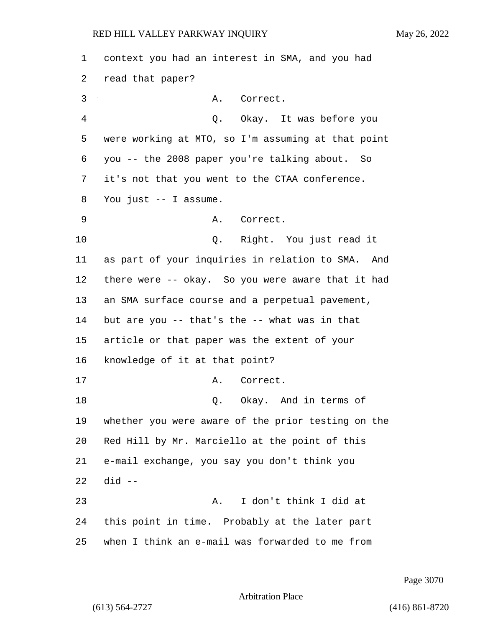context you had an interest in SMA, and you had read that paper? 3 A. Correct. 4 Q. Okay. It was before you were working at MTO, so I'm assuming at that point you -- the 2008 paper you're talking about. So it's not that you went to the CTAA conference. You just -- I assume. 9 A. Correct. 10 Q. Right. You just read it as part of your inquiries in relation to SMA. And there were -- okay. So you were aware that it had an SMA surface course and a perpetual pavement, but are you -- that's the -- what was in that article or that paper was the extent of your knowledge of it at that point? 17 A. Correct. 18 Q. Okay. And in terms of whether you were aware of the prior testing on the Red Hill by Mr. Marciello at the point of this e-mail exchange, you say you don't think you did -- 23 A. I don't think I did at this point in time. Probably at the later part when I think an e-mail was forwarded to me from

Page 3070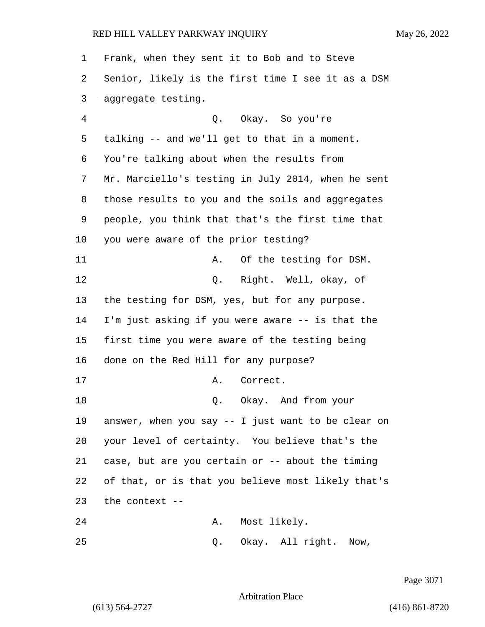| 1  | Frank, when they sent it to Bob and to Steve       |
|----|----------------------------------------------------|
| 2  | Senior, likely is the first time I see it as a DSM |
| 3  | aggregate testing.                                 |
| 4  | Q. Okay. So you're                                 |
| 5  | talking -- and we'll get to that in a moment.      |
| 6  | You're talking about when the results from         |
| 7  | Mr. Marciello's testing in July 2014, when he sent |
| 8  | those results to you and the soils and aggregates  |
| 9  | people, you think that that's the first time that  |
| 10 | you were aware of the prior testing?               |
| 11 | Of the testing for DSM.<br>Α.                      |
| 12 | Q. Right. Well, okay, of                           |
| 13 | the testing for DSM, yes, but for any purpose.     |
| 14 | I'm just asking if you were aware -- is that the   |
| 15 | first time you were aware of the testing being     |
| 16 | done on the Red Hill for any purpose?              |
| 17 | Correct.<br>Α.                                     |
| 18 | Okay. And from your<br>Q.                          |
| 19 | answer, when you say -- I just want to be clear on |
| 20 | your level of certainty. You believe that's the    |
| 21 | case, but are you certain or -- about the timing   |
| 22 | of that, or is that you believe most likely that's |
| 23 | the context --                                     |
| 24 | Most likely.<br>Α.                                 |
| 25 | Okay. All right. Now,<br>Q.                        |

Page 3071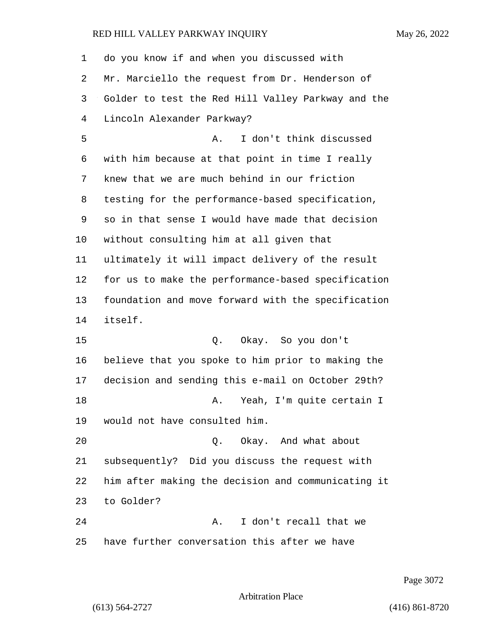| 1  | do you know if and when you discussed with         |
|----|----------------------------------------------------|
| 2  | Mr. Marciello the request from Dr. Henderson of    |
| 3  | Golder to test the Red Hill Valley Parkway and the |
| 4  | Lincoln Alexander Parkway?                         |
| 5  | I don't think discussed<br>Α.                      |
| 6  | with him because at that point in time I really    |
| 7  | knew that we are much behind in our friction       |
| 8  | testing for the performance-based specification,   |
| 9  | so in that sense I would have made that decision   |
| 10 | without consulting him at all given that           |
| 11 | ultimately it will impact delivery of the result   |
| 12 | for us to make the performance-based specification |
| 13 | foundation and move forward with the specification |
| 14 | itself.                                            |
| 15 | Okay. So you don't<br>Q.                           |
| 16 | believe that you spoke to him prior to making the  |
| 17 | decision and sending this e-mail on October 29th?  |
| 18 | Yeah, I'm quite certain I<br>Α.                    |
| 19 | would not have consulted him.                      |
| 20 | Okay. And what about<br>Q.                         |
| 21 | subsequently? Did you discuss the request with     |
| 22 | him after making the decision and communicating it |
| 23 | to Golder?                                         |
| 24 | I don't recall that we<br>Α.                       |
| 25 | have further conversation this after we have       |

Page 3072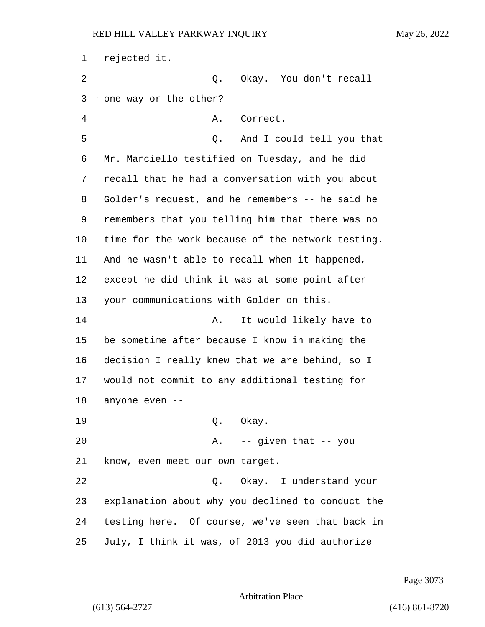rejected it. 2 Q. Okay. You don't recall one way or the other? 4 A. Correct. 5 Q. And I could tell you that Mr. Marciello testified on Tuesday, and he did recall that he had a conversation with you about Golder's request, and he remembers -- he said he remembers that you telling him that there was no time for the work because of the network testing. And he wasn't able to recall when it happened, except he did think it was at some point after your communications with Golder on this. 14 A. It would likely have to be sometime after because I know in making the decision I really knew that we are behind, so I would not commit to any additional testing for anyone even -- 19 Q. Okay. 20 A. -- given that -- you know, even meet our own target. 22 Q. Okay. I understand your explanation about why you declined to conduct the testing here. Of course, we've seen that back in July, I think it was, of 2013 you did authorize

Page 3073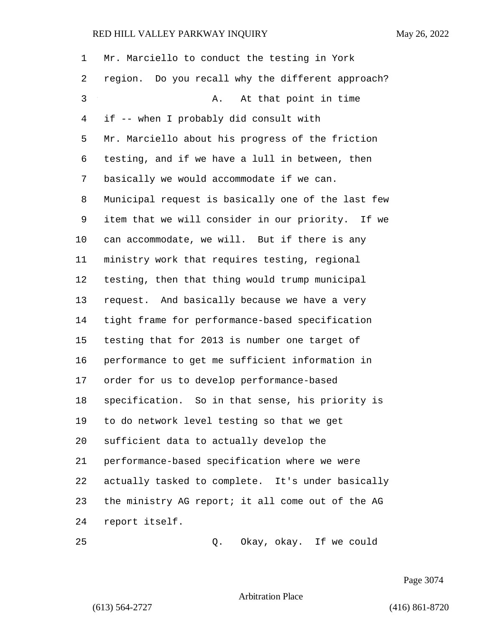| 1  | Mr. Marciello to conduct the testing in York       |
|----|----------------------------------------------------|
| 2  | region. Do you recall why the different approach?  |
| 3  | At that point in time<br>Α.                        |
| 4  | if -- when I probably did consult with             |
| 5  | Mr. Marciello about his progress of the friction   |
| 6  | testing, and if we have a lull in between, then    |
| 7  | basically we would accommodate if we can.          |
| 8  | Municipal request is basically one of the last few |
| 9  | item that we will consider in our priority. If we  |
| 10 | can accommodate, we will. But if there is any      |
| 11 | ministry work that requires testing, regional      |
| 12 | testing, then that thing would trump municipal     |
| 13 | request. And basically because we have a very      |
| 14 | tight frame for performance-based specification    |
| 15 | testing that for 2013 is number one target of      |
| 16 | performance to get me sufficient information in    |
| 17 | order for us to develop performance-based          |
| 18 | specification. So in that sense, his priority is   |
| 19 | to do network level testing so that we get         |
| 20 | sufficient data to actually develop the            |
| 21 | performance-based specification where we were      |
| 22 | actually tasked to complete. It's under basically  |
| 23 | the ministry AG report; it all come out of the AG  |
| 24 | report itself.                                     |
| 25 | Okay, okay. If we could<br>Q.                      |

Page 3074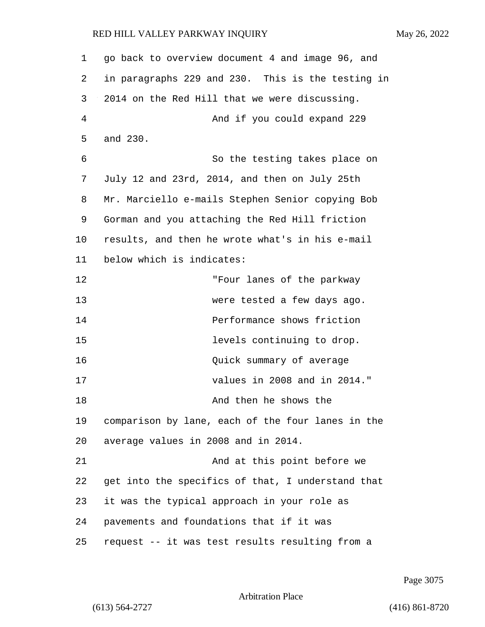| 1       | go back to overview document 4 and image 96, and  |
|---------|---------------------------------------------------|
| 2       | in paragraphs 229 and 230. This is the testing in |
| 3       | 2014 on the Red Hill that we were discussing.     |
| 4       | And if you could expand 229                       |
| 5       | and 230.                                          |
| 6       | So the testing takes place on                     |
| 7       | July 12 and 23rd, 2014, and then on July 25th     |
| 8       | Mr. Marciello e-mails Stephen Senior copying Bob  |
| 9       | Gorman and you attaching the Red Hill friction    |
| $10 \,$ | results, and then he wrote what's in his e-mail   |
| 11      | below which is indicates:                         |
| 12      | "Four lanes of the parkway                        |
| 13      | were tested a few days ago.                       |
| 14      | Performance shows friction                        |
| 15      | levels continuing to drop.                        |
| 16      | Quick summary of average                          |
| 17      | values in 2008 and in 2014."                      |
| 18      | And then he shows the                             |
| 19      | comparison by lane, each of the four lanes in the |
| 20      | average values in 2008 and in 2014.               |
| 21      | And at this point before we                       |
| 22      | get into the specifics of that, I understand that |
| 23      | it was the typical approach in your role as       |
| 24      | pavements and foundations that if it was          |
| 25      | request -- it was test results resulting from a   |

Page 3075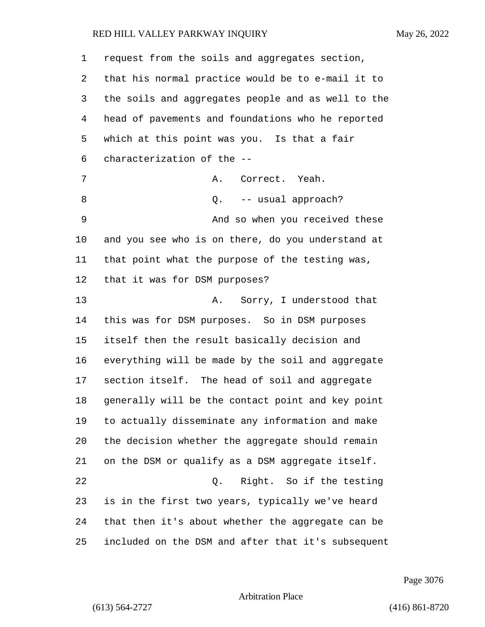| 1  | request from the soils and aggregates section,     |
|----|----------------------------------------------------|
| 2  | that his normal practice would be to e-mail it to  |
| 3  | the soils and aggregates people and as well to the |
| 4  | head of pavements and foundations who he reported  |
| 5  | which at this point was you. Is that a fair        |
| 6  | characterization of the --                         |
| 7  | Correct. Yeah.<br>Α.                               |
| 8  | -- usual approach?<br>Q.                           |
| 9  | And so when you received these                     |
| 10 | and you see who is on there, do you understand at  |
| 11 | that point what the purpose of the testing was,    |
| 12 | that it was for DSM purposes?                      |
| 13 | Sorry, I understood that<br>Α.                     |
| 14 | this was for DSM purposes. So in DSM purposes      |
| 15 | itself then the result basically decision and      |
| 16 | everything will be made by the soil and aggregate  |
| 17 | section itself. The head of soil and aggregate     |
| 18 | generally will be the contact point and key point  |
| 19 | to actually disseminate any information and make   |
| 20 | the decision whether the aggregate should remain   |
| 21 | on the DSM or qualify as a DSM aggregate itself.   |
| 22 | Right. So if the testing<br>$Q$ .                  |
| 23 | is in the first two years, typically we've heard   |
| 24 | that then it's about whether the aggregate can be  |
| 25 | included on the DSM and after that it's subsequent |

Page 3076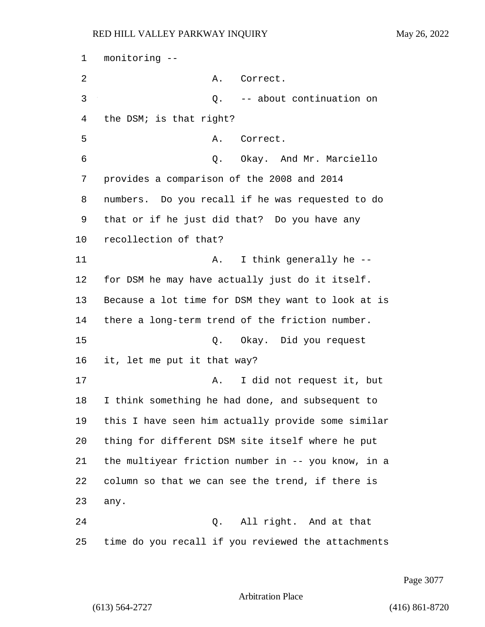monitoring -- 2 A. Correct. 3 Q. -- about continuation on the DSM; is that right? 5 A. Correct. 6 Q. Okay. And Mr. Marciello provides a comparison of the 2008 and 2014 numbers. Do you recall if he was requested to do that or if he just did that? Do you have any recollection of that? 11 A. I think generally he -- for DSM he may have actually just do it itself. Because a lot time for DSM they want to look at is there a long-term trend of the friction number. 15 Q. Okay. Did you request it, let me put it that way? 17 A. I did not request it, but I think something he had done, and subsequent to this I have seen him actually provide some similar thing for different DSM site itself where he put the multiyear friction number in -- you know, in a column so that we can see the trend, if there is 23 any. 24 Q. All right. And at that time do you recall if you reviewed the attachments

Page 3077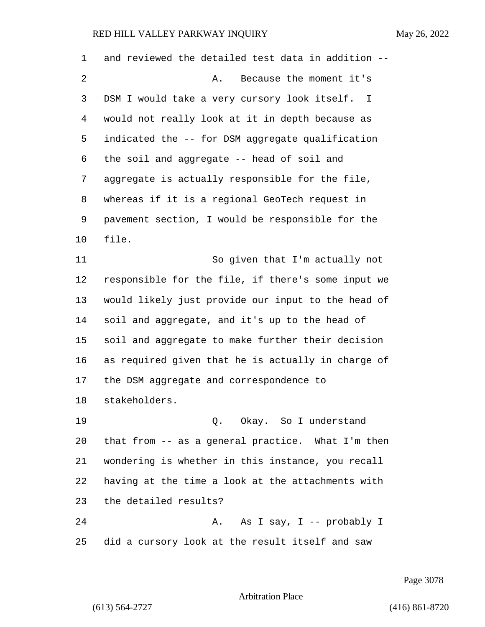| 1  | and reviewed the detailed test data in addition -- |
|----|----------------------------------------------------|
| 2  | Because the moment it's<br>Α.                      |
| 3  | DSM I would take a very cursory look itself. I     |
| 4  | would not really look at it in depth because as    |
| 5  | indicated the -- for DSM aggregate qualification   |
| 6  | the soil and aggregate -- head of soil and         |
| 7  | aggregate is actually responsible for the file,    |
| 8  | whereas if it is a regional GeoTech request in     |
| 9  | pavement section, I would be responsible for the   |
| 10 | file.                                              |
| 11 | So given that I'm actually not                     |
| 12 | responsible for the file, if there's some input we |
| 13 | would likely just provide our input to the head of |
| 14 | soil and aggregate, and it's up to the head of     |
| 15 | soil and aggregate to make further their decision  |
| 16 | as required given that he is actually in charge of |
| 17 | the DSM aggregate and correspondence to            |
| 18 | stakeholders.                                      |
| 19 | Q. Okay. So I understand                           |
| 20 | that from -- as a general practice. What I'm then  |
| 21 | wondering is whether in this instance, you recall  |
| 22 | having at the time a look at the attachments with  |
| 23 | the detailed results?                              |
| 24 | As I say, I -- probably I<br>Α.                    |
| 25 | did a cursory look at the result itself and saw    |

Page 3078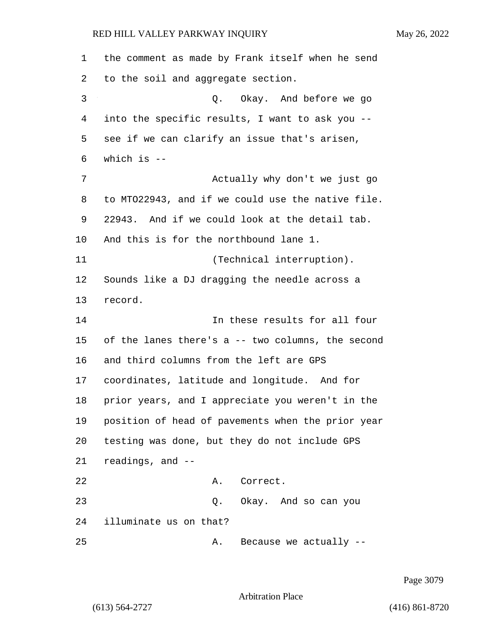the comment as made by Frank itself when he send to the soil and aggregate section. 3 Q. Okay. And before we go into the specific results, I want to ask you -- see if we can clarify an issue that's arisen, which is -- 7 Actually why don't we just go to MTO22943, and if we could use the native file. 22943. And if we could look at the detail tab. And this is for the northbound lane 1. 11 (Technical interruption). Sounds like a DJ dragging the needle across a record. 14 In these results for all four of the lanes there's a -- two columns, the second and third columns from the left are GPS coordinates, latitude and longitude. And for prior years, and I appreciate you weren't in the position of head of pavements when the prior year testing was done, but they do not include GPS readings, and -- 22 A. Correct. 23 Q. Okay. And so can you illuminate us on that? 25 A. Because we actually --

Page 3079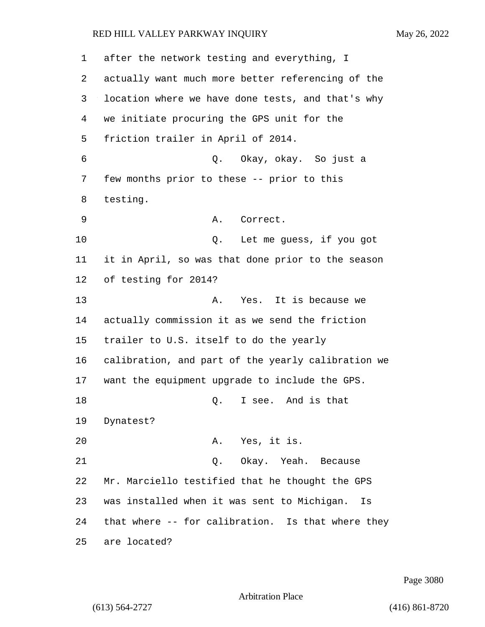after the network testing and everything, I actually want much more better referencing of the location where we have done tests, and that's why we initiate procuring the GPS unit for the friction trailer in April of 2014. 6 Q. Okay, okay. So just a few months prior to these -- prior to this testing. 9 A. Correct. 10 Q. Let me guess, if you got it in April, so was that done prior to the season of testing for 2014? 13 A. Yes. It is because we actually commission it as we send the friction trailer to U.S. itself to do the yearly calibration, and part of the yearly calibration we want the equipment upgrade to include the GPS. 18 C. I see. And is that Dynatest? 20 A. Yes, it is. 21 Q. Okay. Yeah. Because Mr. Marciello testified that he thought the GPS was installed when it was sent to Michigan. Is that where -- for calibration. Is that where they are located?

Page 3080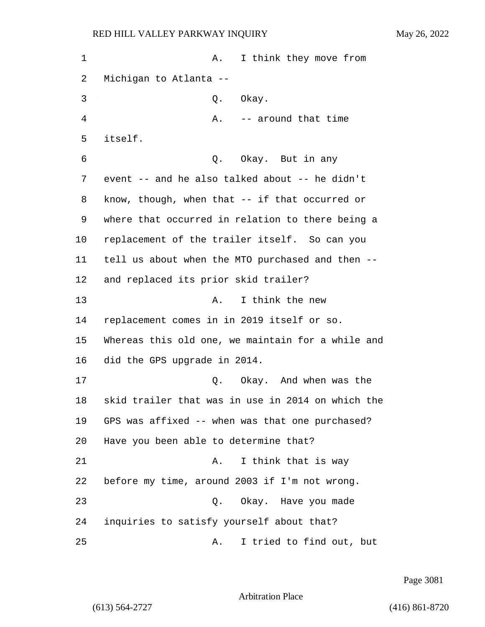1 A. I think they move from Michigan to Atlanta -- 3 Q. Okay. 4 A. -- around that time 5 itself. 6 Q. Okay. But in any event -- and he also talked about -- he didn't know, though, when that -- if that occurred or where that occurred in relation to there being a replacement of the trailer itself. So can you tell us about when the MTO purchased and then -- and replaced its prior skid trailer? 13 A. I think the new replacement comes in in 2019 itself or so. Whereas this old one, we maintain for a while and did the GPS upgrade in 2014. 17 C. Okay. And when was the skid trailer that was in use in 2014 on which the GPS was affixed -- when was that one purchased? Have you been able to determine that? 21 A. I think that is way before my time, around 2003 if I'm not wrong. 23 Q. Okay. Have you made inquiries to satisfy yourself about that?

25 A. I tried to find out, but

Page 3081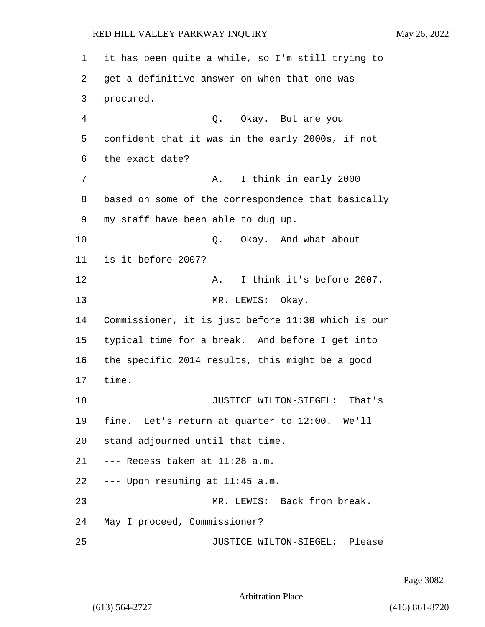it has been quite a while, so I'm still trying to get a definitive answer on when that one was procured. 4 Q. Okay. But are you confident that it was in the early 2000s, if not the exact date? 7 A. I think in early 2000 based on some of the correspondence that basically my staff have been able to dug up. 10 Q. Okay. And what about -- is it before 2007? 12 A. I think it's before 2007. 13 MR. LEWIS: Okay. Commissioner, it is just before 11:30 which is our typical time for a break. And before I get into the specific 2014 results, this might be a good 17 time. 18 JUSTICE WILTON-SIEGEL: That's fine. Let's return at quarter to 12:00. We'll stand adjourned until that time. --- Recess taken at 11:28 a.m. --- Upon resuming at 11:45 a.m. 23 MR. LEWIS: Back from break. May I proceed, Commissioner? 25 JUSTICE WILTON-SIEGEL: Please

Page 3082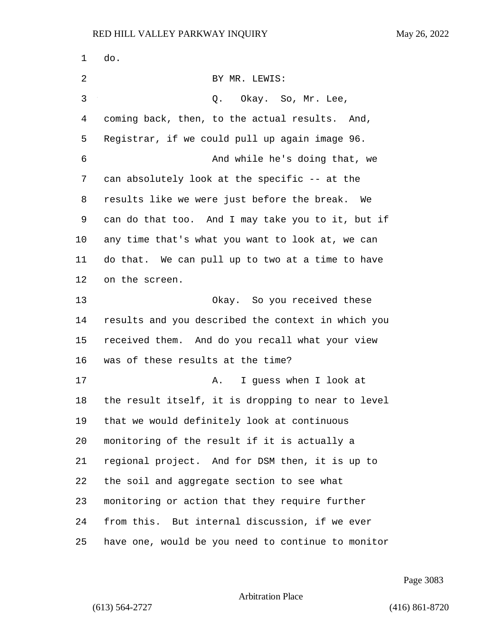do. 2 BY MR. LEWIS: 3 Q. Okay. So, Mr. Lee, coming back, then, to the actual results. And, Registrar, if we could pull up again image 96. 6 And while he's doing that, we can absolutely look at the specific -- at the results like we were just before the break. We can do that too. And I may take you to it, but if any time that's what you want to look at, we can do that. We can pull up to two at a time to have on the screen. 13 Okay. So you received these results and you described the context in which you received them. And do you recall what your view was of these results at the time? 17 A. I quess when I look at the result itself, it is dropping to near to level that we would definitely look at continuous monitoring of the result if it is actually a regional project. And for DSM then, it is up to the soil and aggregate section to see what monitoring or action that they require further from this. But internal discussion, if we ever have one, would be you need to continue to monitor

Page 3083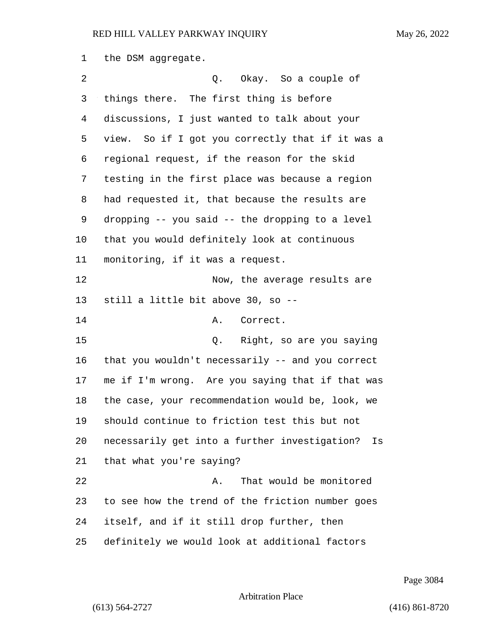the DSM aggregate.

| 2  | Q. Okay. So a couple of                             |
|----|-----------------------------------------------------|
| 3  | things there. The first thing is before             |
| 4  | discussions, I just wanted to talk about your       |
| 5  | view. So if I got you correctly that if it was a    |
| 6  | regional request, if the reason for the skid        |
| 7  | testing in the first place was because a region     |
| 8  | had requested it, that because the results are      |
| 9  | dropping -- you said -- the dropping to a level     |
| 10 | that you would definitely look at continuous        |
| 11 | monitoring, if it was a request.                    |
| 12 | Now, the average results are                        |
| 13 | still a little bit above 30, so --                  |
| 14 | Α.<br>Correct.                                      |
| 15 | Right, so are you saying<br>Q.                      |
| 16 | that you wouldn't necessarily -- and you correct    |
| 17 | me if I'm wrong. Are you saying that if that was    |
| 18 | the case, your recommendation would be, look, we    |
| 19 | should continue to friction test this but not       |
| 20 | necessarily get into a further investigation?<br>Is |
| 21 | that what you're saying?                            |
| 22 | That would be monitored<br>Α.                       |
| 23 | to see how the trend of the friction number goes    |
| 24 | itself, and if it still drop further, then          |
| 25 | definitely we would look at additional factors      |

Page 3084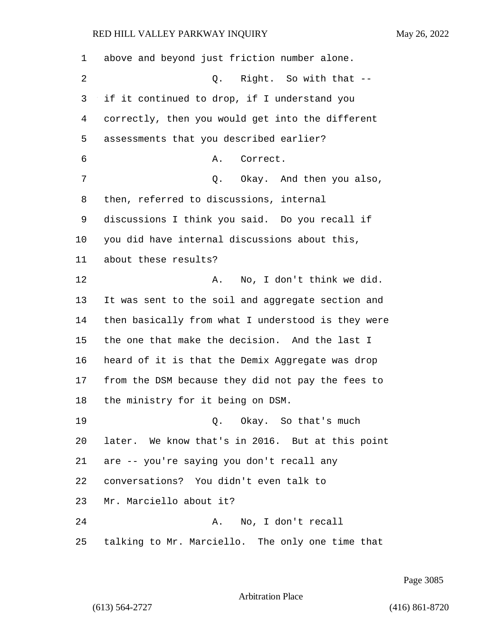| 1  | above and beyond just friction number alone.       |
|----|----------------------------------------------------|
| 2  | Right. So with that --<br>Q.                       |
| 3  | if it continued to drop, if I understand you       |
| 4  | correctly, then you would get into the different   |
| 5  | assessments that you described earlier?            |
| 6  | Correct.<br>Α.                                     |
| 7  | Q. Okay. And then you also,                        |
| 8  | then, referred to discussions, internal            |
| 9  | discussions I think you said. Do you recall if     |
| 10 | you did have internal discussions about this,      |
| 11 | about these results?                               |
| 12 | No, I don't think we did.<br>Α.                    |
| 13 | It was sent to the soil and aggregate section and  |
| 14 | then basically from what I understood is they were |
| 15 | the one that make the decision. And the last I     |
| 16 | heard of it is that the Demix Aggregate was drop   |
| 17 | from the DSM because they did not pay the fees to  |
| 18 | the ministry for it being on DSM.                  |
| 19 | Q. Okay. So that's much                            |
| 20 | later. We know that's in 2016. But at this point   |
| 21 | are -- you're saying you don't recall any          |
| 22 | conversations? You didn't even talk to             |
| 23 | Mr. Marciello about it?                            |
| 24 | No, I don't recall<br>Α.                           |
| 25 | talking to Mr. Marciello. The only one time that   |

Page 3085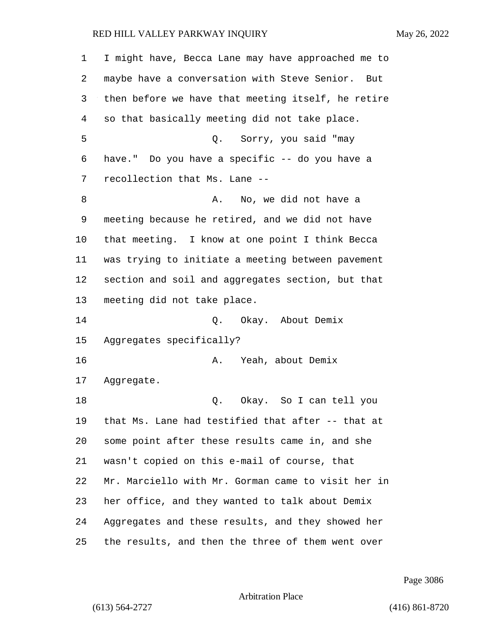| 1  | I might have, Becca Lane may have approached me to  |
|----|-----------------------------------------------------|
| 2  | maybe have a conversation with Steve Senior.<br>But |
| 3  | then before we have that meeting itself, he retire  |
| 4  | so that basically meeting did not take place.       |
| 5  | Q. Sorry, you said "may                             |
| 6  | have." Do you have a specific -- do you have a      |
| 7  | recollection that Ms. Lane --                       |
| 8  | No, we did not have a<br>Α.                         |
| 9  | meeting because he retired, and we did not have     |
| 10 | that meeting. I know at one point I think Becca     |
| 11 | was trying to initiate a meeting between pavement   |
| 12 | section and soil and aggregates section, but that   |
| 13 | meeting did not take place.                         |
| 14 | Q. Okay. About Demix                                |
| 15 | Aggregates specifically?                            |
| 16 | Yeah, about Demix<br>Α.                             |
| 17 | Aggregate.                                          |
| 18 | Okay. So I can tell you<br>Q.                       |
| 19 | that Ms. Lane had testified that after -- that at   |
| 20 | some point after these results came in, and she     |
| 21 | wasn't copied on this e-mail of course, that        |
| 22 | Mr. Marciello with Mr. Gorman came to visit her in  |
| 23 | her office, and they wanted to talk about Demix     |
| 24 | Aggregates and these results, and they showed her   |
| 25 | the results, and then the three of them went over   |

Page 3086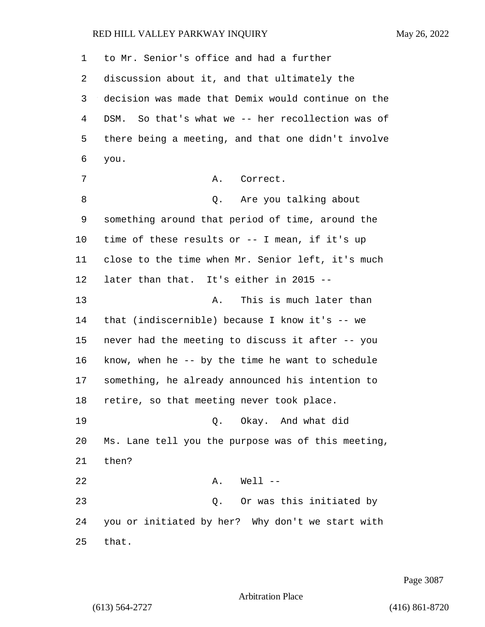to Mr. Senior's office and had a further discussion about it, and that ultimately the decision was made that Demix would continue on the DSM. So that's what we -- her recollection was of there being a meeting, and that one didn't involve you. 7 A. Correct. 8 are you talking about 18 something around that period of time, around the time of these results or -- I mean, if it's up close to the time when Mr. Senior left, it's much later than that. It's either in 2015 -- 13 A. This is much later than that (indiscernible) because I know it's -- we never had the meeting to discuss it after -- you know, when he -- by the time he want to schedule something, he already announced his intention to retire, so that meeting never took place. 19 Q. Okay. And what did Ms. Lane tell you the purpose was of this meeting, then? 22 A. Well -- 23 Q. Or was this initiated by you or initiated by her? Why don't we start with that.

Page 3087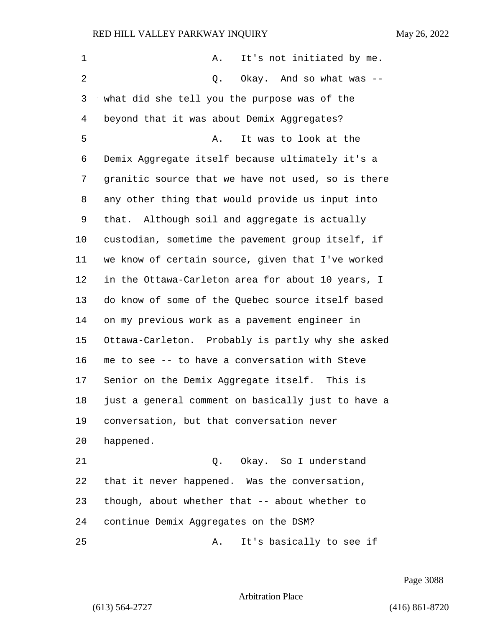| It's not initiated by me.<br>Α.                    |
|----------------------------------------------------|
| Okay. And so what was --<br>Q.                     |
| what did she tell you the purpose was of the       |
| beyond that it was about Demix Aggregates?         |
| It was to look at the<br>Α.                        |
| Demix Aggregate itself because ultimately it's a   |
| granitic source that we have not used, so is there |
| any other thing that would provide us input into   |
| that. Although soil and aggregate is actually      |
| custodian, sometime the pavement group itself, if  |
| we know of certain source, given that I've worked  |
| in the Ottawa-Carleton area for about 10 years, I  |
| do know of some of the Quebec source itself based  |
| on my previous work as a pavement engineer in      |
| Ottawa-Carleton. Probably is partly why she asked  |
| me to see -- to have a conversation with Steve     |
| Senior on the Demix Aggregate itself. This is      |
| just a general comment on basically just to have a |
| conversation, but that conversation never          |
| happened.                                          |
| Okay. So I understand<br>Q.                        |
| that it never happened. Was the conversation,      |
| though, about whether that -- about whether to     |
| continue Demix Aggregates on the DSM?              |
| It's basically to see if<br>Α.                     |
|                                                    |

Page 3088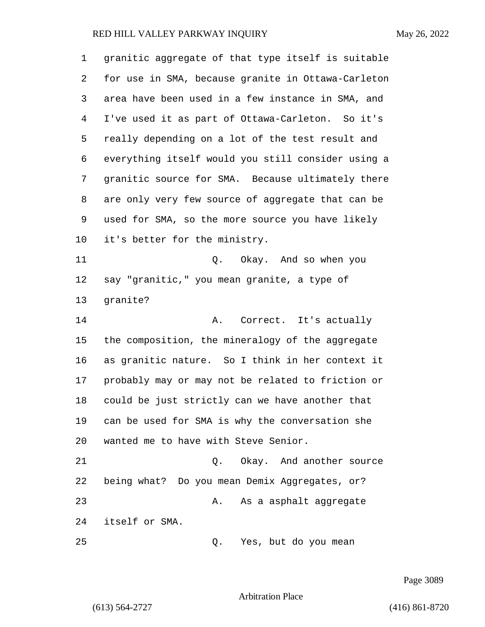| 1  | granitic aggregate of that type itself is suitable |
|----|----------------------------------------------------|
| 2  | for use in SMA, because granite in Ottawa-Carleton |
| 3  | area have been used in a few instance in SMA, and  |
| 4  | I've used it as part of Ottawa-Carleton. So it's   |
| 5  | really depending on a lot of the test result and   |
| 6  | everything itself would you still consider using a |
| 7  | granitic source for SMA. Because ultimately there  |
| 8  | are only very few source of aggregate that can be  |
| 9  | used for SMA, so the more source you have likely   |
| 10 | it's better for the ministry.                      |
| 11 | Q. Okay. And so when you                           |
| 12 | say "granitic," you mean granite, a type of        |
| 13 | granite?                                           |
| 14 | Correct. It's actually<br>Α.                       |
| 15 | the composition, the mineralogy of the aggregate   |
| 16 | as granitic nature. So I think in her context it   |
| 17 | probably may or may not be related to friction or  |
| 18 | could be just strictly can we have another that    |
| 19 | can be used for SMA is why the conversation she    |
| 20 | wanted me to have with Steve Senior.               |
| 21 | Q. Okay. And another source                        |
| 22 | being what? Do you mean Demix Aggregates, or?      |
| 23 | As a asphalt aggregate<br>Α.                       |
| 24 | itself or SMA.                                     |
| 25 | Yes, but do you mean<br>Q.                         |

Page 3089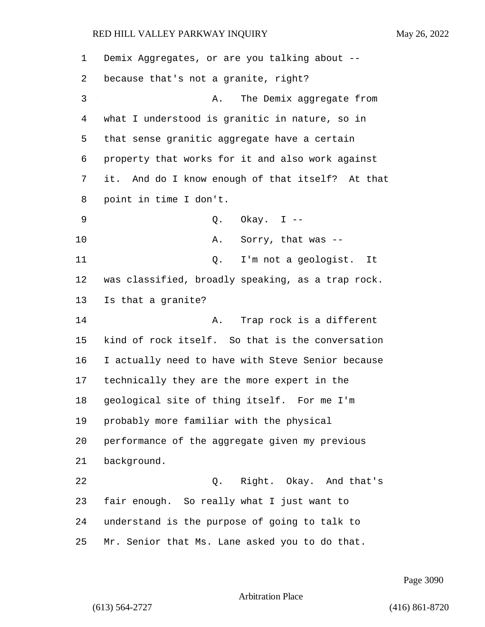| 1  | Demix Aggregates, or are you talking about --     |
|----|---------------------------------------------------|
| 2  | because that's not a granite, right?              |
| 3  | The Demix aggregate from<br>Α.                    |
| 4  | what I understood is granitic in nature, so in    |
| 5  | that sense granitic aggregate have a certain      |
| 6  | property that works for it and also work against  |
| 7  | it. And do I know enough of that itself? At that  |
| 8  | point in time I don't.                            |
| 9  | Q. Okay. $I$ --                                   |
| 10 | Sorry, that was --<br>Α.                          |
| 11 | I'm not a geologist.<br>Q.<br>It                  |
| 12 | was classified, broadly speaking, as a trap rock. |
| 13 | Is that a granite?                                |
| 14 | Trap rock is a different<br>Α.                    |
| 15 | kind of rock itself. So that is the conversation  |
| 16 | I actually need to have with Steve Senior because |
| 17 | technically they are the more expert in the       |
| 18 | geological site of thing itself. For me I'm       |
| 19 | probably more familiar with the physical          |
| 20 | performance of the aggregate given my previous    |
| 21 | background.                                       |
| 22 | Q. Right. Okay. And that's                        |
| 23 | fair enough. So really what I just want to        |
| 24 | understand is the purpose of going to talk to     |
| 25 | Mr. Senior that Ms. Lane asked you to do that.    |

Page 3090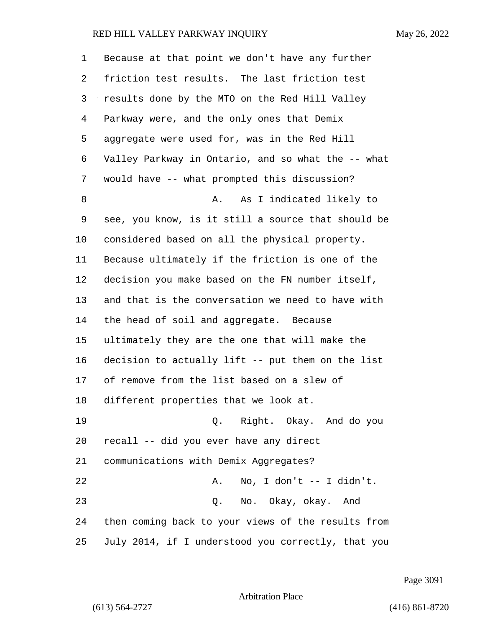| 1  | Because at that point we don't have any further    |
|----|----------------------------------------------------|
| 2  | friction test results. The last friction test      |
| 3  | results done by the MTO on the Red Hill Valley     |
| 4  | Parkway were, and the only ones that Demix         |
| 5  | aggregate were used for, was in the Red Hill       |
| 6  | Valley Parkway in Ontario, and so what the -- what |
| 7  | would have -- what prompted this discussion?       |
| 8  | As I indicated likely to<br>Α.                     |
| 9  | see, you know, is it still a source that should be |
| 10 | considered based on all the physical property.     |
| 11 | Because ultimately if the friction is one of the   |
| 12 | decision you make based on the FN number itself,   |
| 13 | and that is the conversation we need to have with  |
| 14 | the head of soil and aggregate. Because            |
| 15 | ultimately they are the one that will make the     |
| 16 | decision to actually lift -- put them on the list  |
| 17 | of remove from the list based on a slew of         |
| 18 | different properties that we look at.              |
| 19 | Q. Right. Okay. And do you                         |
| 20 | recall -- did you ever have any direct             |
| 21 | communications with Demix Aggregates?              |
| 22 | No, I don't -- I didn't.<br>Α.                     |
| 23 | Q. No. Okay, okay. And                             |
| 24 | then coming back to your views of the results from |
| 25 | July 2014, if I understood you correctly, that you |

Page 3091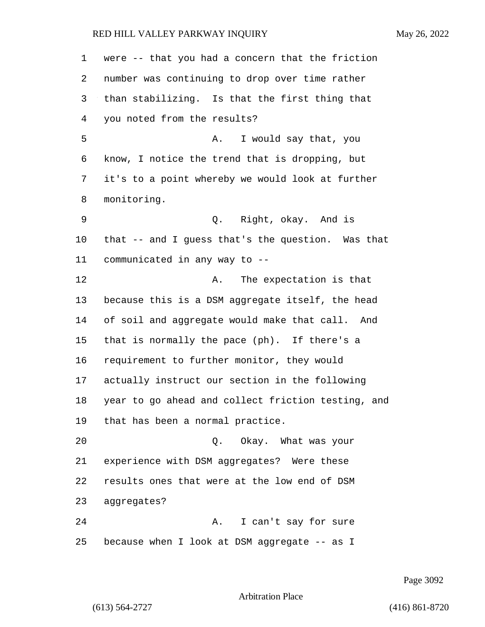were -- that you had a concern that the friction number was continuing to drop over time rather than stabilizing. Is that the first thing that you noted from the results? 5 A. I would say that, you know, I notice the trend that is dropping, but it's to a point whereby we would look at further monitoring. 9 Q. Right, okay. And is that -- and I guess that's the question. Was that communicated in any way to -- 12 A. The expectation is that because this is a DSM aggregate itself, the head of soil and aggregate would make that call. And that is normally the pace (ph). If there's a requirement to further monitor, they would actually instruct our section in the following year to go ahead and collect friction testing, and that has been a normal practice. 20 Q. Okay. What was your experience with DSM aggregates? Were these results ones that were at the low end of DSM aggregates? 24 A. I can't say for sure because when I look at DSM aggregate -- as I

Page 3092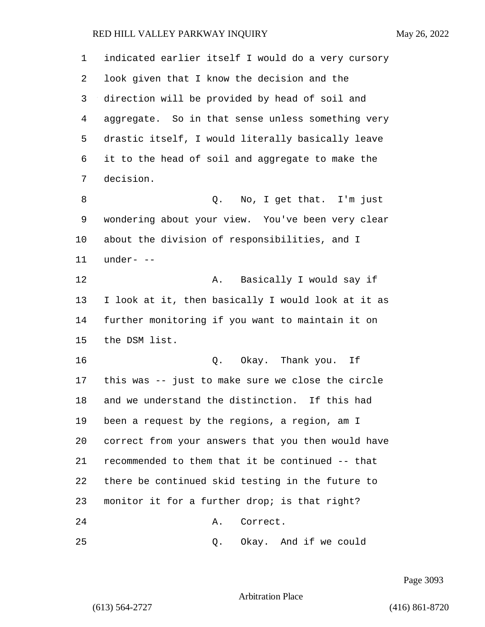| $\mathbf 1$ | indicated earlier itself I would do a very cursory |
|-------------|----------------------------------------------------|
| 2           | look given that I know the decision and the        |
| 3           | direction will be provided by head of soil and     |
| 4           | aggregate. So in that sense unless something very  |
| 5           | drastic itself, I would literally basically leave  |
| 6           | it to the head of soil and aggregate to make the   |
| 7           | decision.                                          |
| 8           | No, I get that. I'm just<br>Q.                     |
| 9           | wondering about your view. You've been very clear  |
| $10 \,$     | about the division of responsibilities, and I      |
| 11          | under- --                                          |
| 12          | Basically I would say if<br>Α.                     |
| 13          | I look at it, then basically I would look at it as |
| 14          | further monitoring if you want to maintain it on   |
| 15          | the DSM list.                                      |
| 16          | Okay. Thank you. If<br>Q.                          |
| 17          | this was -- just to make sure we close the circle  |
| 18          | and we understand the distinction. If this had     |
| 19          | been a request by the regions, a region, am I      |
| 20          | correct from your answers that you then would have |
| 21          | recommended to them that it be continued -- that   |
| 22          | there be continued skid testing in the future to   |
| 23          | monitor it for a further drop; is that right?      |
| 24          | Correct.<br>Α.                                     |
| 25          | Okay. And if we could<br>Q.                        |

Page 3093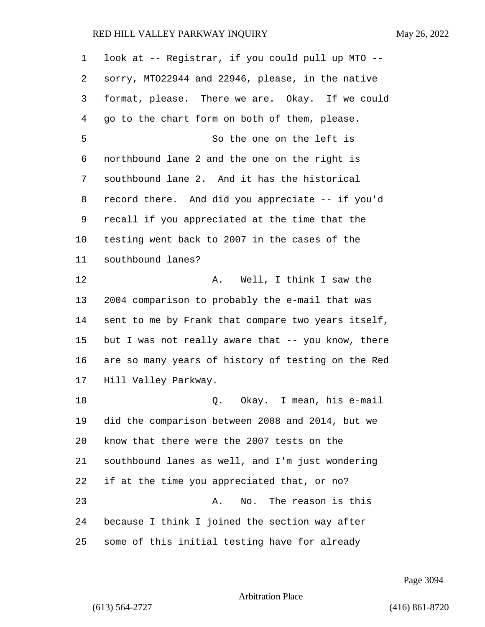| 1  | look at -- Registrar, if you could pull up MTO --  |
|----|----------------------------------------------------|
| 2  | sorry, MT022944 and 22946, please, in the native   |
| 3  | format, please. There we are. Okay. If we could    |
| 4  | go to the chart form on both of them, please.      |
| 5  | So the one on the left is                          |
| 6  | northbound lane 2 and the one on the right is      |
| 7  | southbound lane 2. And it has the historical       |
| 8  | record there. And did you appreciate -- if you'd   |
| 9  | recall if you appreciated at the time that the     |
| 10 | testing went back to 2007 in the cases of the      |
| 11 | southbound lanes?                                  |
| 12 | A. Well, I think I saw the                         |
| 13 | 2004 comparison to probably the e-mail that was    |
| 14 | sent to me by Frank that compare two years itself, |
| 15 | but I was not really aware that -- you know, there |
| 16 | are so many years of history of testing on the Red |
| 17 | Hill Valley Parkway.                               |
| 18 | Okay. I mean, his e-mail<br>Q.                     |
| 19 | did the comparison between 2008 and 2014, but we   |
| 20 | know that there were the 2007 tests on the         |
| 21 | southbound lanes as well, and I'm just wondering   |
| 22 | if at the time you appreciated that, or no?        |
| 23 | The reason is this<br>No.<br>Α.                    |
| 24 | because I think I joined the section way after     |
| 25 | some of this initial testing have for already      |

Page 3094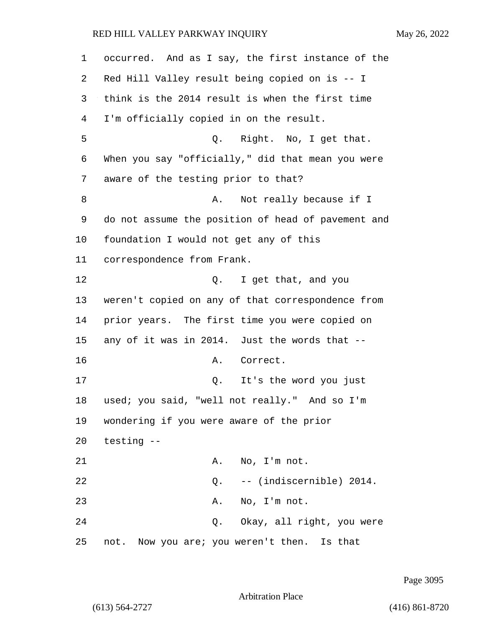| 1  | occurred. And as I say, the first instance of the  |
|----|----------------------------------------------------|
| 2  | Red Hill Valley result being copied on is -- I     |
| 3  | think is the 2014 result is when the first time    |
| 4  | I'm officially copied in on the result.            |
| 5  | Q. Right. No, I get that.                          |
| 6  | When you say "officially," did that mean you were  |
| 7  | aware of the testing prior to that?                |
| 8  | Not really because if I<br>Α.                      |
| 9  | do not assume the position of head of pavement and |
| 10 | foundation I would not get any of this             |
| 11 | correspondence from Frank.                         |
| 12 | Q. I get that, and you                             |
| 13 | weren't copied on any of that correspondence from  |
| 14 | prior years. The first time you were copied on     |
| 15 | any of it was in 2014. Just the words that --      |
| 16 | Correct.<br>Α.                                     |
| 17 | It's the word you just<br>Q.                       |
| 18 | used; you said, "well not really." And so I'm      |
| 19 | wondering if you were aware of the prior           |
| 20 | testing --                                         |
| 21 | No, I'm not.<br>A.                                 |
| 22 | -- (indiscernible) 2014.<br>Q.                     |
| 23 | No, I'm not.<br>Α.                                 |
| 24 | Okay, all right, you were<br>Q.                    |
| 25 | not. Now you are; you weren't then. Is that        |

Page 3095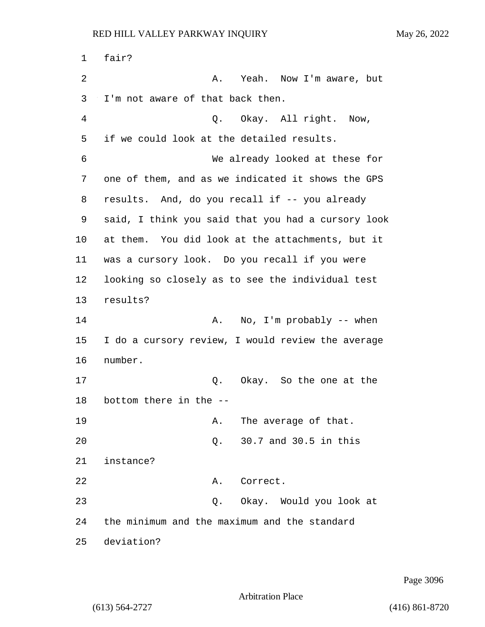1 fair? 2 A. Yeah. Now I'm aware, but 3 I'm not aware of that back then. 4 Q. Okay. All right. Now, 5 if we could look at the detailed results. 6 We already looked at these for 7 one of them, and as we indicated it shows the GPS 8 results. And, do you recall if -- you already 9 said, I think you said that you had a cursory look 10 at them. You did look at the attachments, but it 11 was a cursory look. Do you recall if you were 12 looking so closely as to see the individual test 13 results? 14 A. No, I'm probably -- when 15 I do a cursory review, I would review the average 16 number. 17 Q. Okay. So the one at the 18 bottom there in the -- 19 A. The average of that. 20 Q. 30.7 and 30.5 in this 21 instance? 22 A. Correct. 23 Q. Okay. Would you look at 24 the minimum and the maximum and the standard 25 deviation?

Page 3096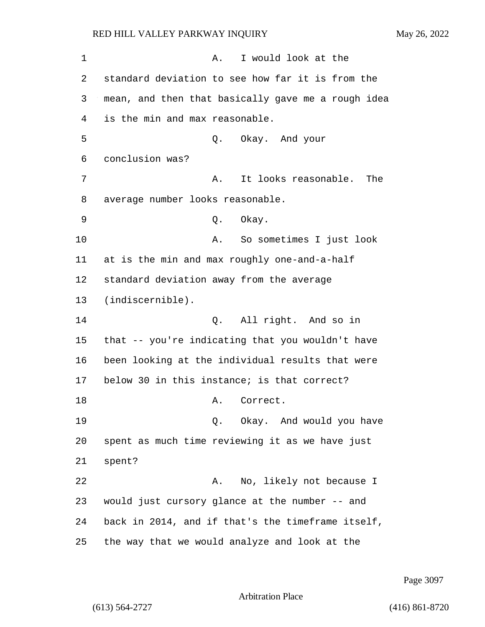1 A. I would look at the 2 standard deviation to see how far it is from the 3 mean, and then that basically gave me a rough idea 4 is the min and max reasonable. 5 Q. Okay. And your 6 conclusion was? 7 A. It looks reasonable. The 8 average number looks reasonable. 9 Q. Okay. 10 A. So sometimes I just look 11 at is the min and max roughly one-and-a-half 12 standard deviation away from the average 13 (indiscernible). 14 Q. All right. And so in 15 that -- you're indicating that you wouldn't have 16 been looking at the individual results that were 17 below 30 in this instance; is that correct? 18 A. Correct. 19 Q. Okay. And would you have 20 spent as much time reviewing it as we have just 21 spent? 22 A. No, likely not because I 23 would just cursory glance at the number -- and 24 back in 2014, and if that's the timeframe itself, 25 the way that we would analyze and look at the

Page 3097

Arbitration Place

(613) 564-2727 (416) 861-8720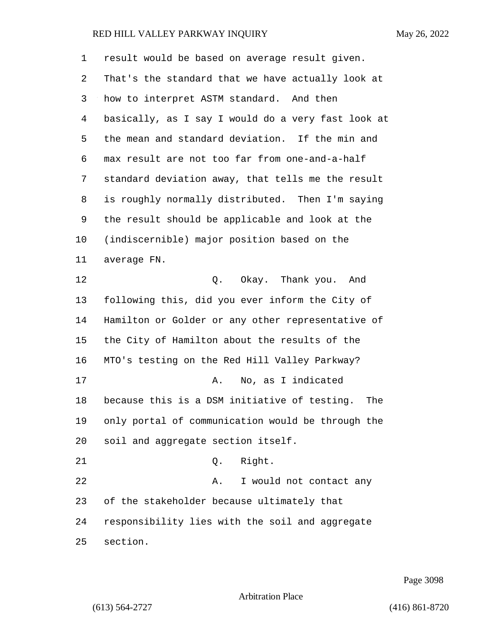| 1  | result would be based on average result given.      |
|----|-----------------------------------------------------|
| 2  | That's the standard that we have actually look at   |
| 3  | how to interpret ASTM standard. And then            |
| 4  | basically, as I say I would do a very fast look at  |
| 5  | the mean and standard deviation. If the min and     |
| 6  | max result are not too far from one-and-a-half      |
| 7  | standard deviation away, that tells me the result   |
| 8  | is roughly normally distributed. Then I'm saying    |
| 9  | the result should be applicable and look at the     |
| 10 | (indiscernible) major position based on the         |
| 11 | average FN.                                         |
| 12 | Q. Okay. Thank you. And                             |
| 13 | following this, did you ever inform the City of     |
| 14 | Hamilton or Golder or any other representative of   |
| 15 | the City of Hamilton about the results of the       |
| 16 | MTO's testing on the Red Hill Valley Parkway?       |
| 17 | No, as I indicated<br>Α.                            |
| 18 | because this is a DSM initiative of testing.<br>The |
| 19 | only portal of communication would be through the   |
| 20 | soil and aggregate section itself.                  |
| 21 | Right.<br>Q.                                        |
| 22 | I would not contact any<br>Α.                       |
| 23 | of the stakeholder because ultimately that          |
| 24 | responsibility lies with the soil and aggregate     |
| 25 | section.                                            |

Page 3098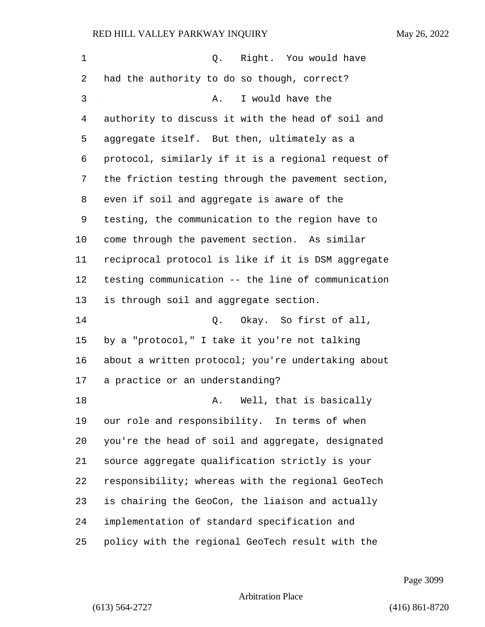| $\mathbf 1$ | Q. Right. You would have                           |
|-------------|----------------------------------------------------|
| 2           | had the authority to do so though, correct?        |
| 3           | I would have the<br>Α.                             |
| 4           | authority to discuss it with the head of soil and  |
| 5           | aggregate itself. But then, ultimately as a        |
| 6           | protocol, similarly if it is a regional request of |
| 7           | the friction testing through the pavement section, |
| 8           | even if soil and aggregate is aware of the         |
| 9           | testing, the communication to the region have to   |
| $10 \,$     | come through the pavement section. As similar      |
| 11          | reciprocal protocol is like if it is DSM aggregate |
| 12          | testing communication -- the line of communication |
| 13          | is through soil and aggregate section.             |
| 14          | Q. Okay. So first of all,                          |
| 15          | by a "protocol," I take it you're not talking      |
| 16          | about a written protocol; you're undertaking about |
| 17          | a practice or an understanding?                    |
| 18          | Well, that is basically<br>Α.                      |
| 19          | our role and responsibility. In terms of when      |
| 20          | you're the head of soil and aggregate, designated  |
| 21          | source aggregate qualification strictly is your    |
| 22          | responsibility; whereas with the regional GeoTech  |
| 23          | is chairing the GeoCon, the liaison and actually   |
| 24          | implementation of standard specification and       |
| 25          | policy with the regional GeoTech result with the   |

Page 3099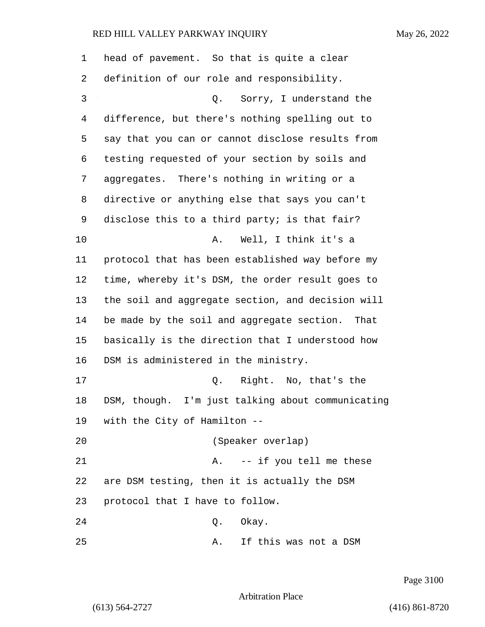| 1  | head of pavement. So that is quite a clear        |
|----|---------------------------------------------------|
| 2  | definition of our role and responsibility.        |
| 3  | Sorry, I understand the<br>$\circ$ .              |
| 4  | difference, but there's nothing spelling out to   |
| 5  | say that you can or cannot disclose results from  |
| 6  | testing requested of your section by soils and    |
| 7  | aggregates. There's nothing in writing or a       |
| 8  | directive or anything else that says you can't    |
| 9  | disclose this to a third party; is that fair?     |
| 10 | Well, I think it's a<br>Α.                        |
| 11 | protocol that has been established way before my  |
| 12 | time, whereby it's DSM, the order result goes to  |
| 13 | the soil and aggregate section, and decision will |
| 14 | be made by the soil and aggregate section. That   |
| 15 | basically is the direction that I understood how  |
| 16 | DSM is administered in the ministry.              |
| 17 | Q. Right. No, that's the                          |
| 18 | DSM, though. I'm just talking about communicating |
|    | 19 with the City of Hamilton --                   |
| 20 | (Speaker overlap)                                 |
| 21 | -- if you tell me these<br>Α.                     |
| 22 | are DSM testing, then it is actually the DSM      |
| 23 | protocol that I have to follow.                   |
| 24 | Okay.<br>Q.                                       |
| 25 | If this was not a DSM<br>Α.                       |

Page 3100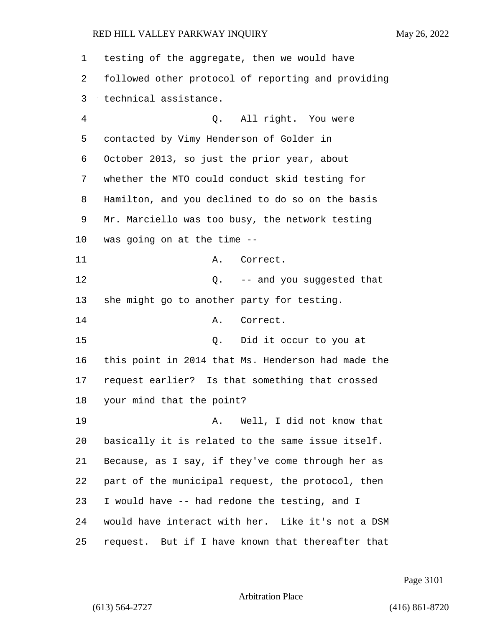| 1              | testing of the aggregate, then we would have       |
|----------------|----------------------------------------------------|
| 2              | followed other protocol of reporting and providing |
| 3              | technical assistance.                              |
| $\overline{4}$ | Q. All right. You were                             |
| 5              | contacted by Vimy Henderson of Golder in           |
| 6              | October 2013, so just the prior year, about        |
| 7              | whether the MTO could conduct skid testing for     |
| 8              | Hamilton, and you declined to do so on the basis   |
| 9              | Mr. Marciello was too busy, the network testing    |
| 10             | was going on at the time --                        |
| 11             | A. Correct.                                        |
| 12             | Q. -- and you suggested that                       |
| 13             | she might go to another party for testing.         |
| 14             | Correct.<br>Α.                                     |
| 15             | Did it occur to you at<br>Q.                       |
| 16             | this point in 2014 that Ms. Henderson had made the |
| 17             | request earlier? Is that something that crossed    |
| 18             | your mind that the point?                          |
| 19             | Well, I did not know that<br>Α.                    |
| 20             | basically it is related to the same issue itself.  |
| 21             | Because, as I say, if they've come through her as  |
| 22             | part of the municipal request, the protocol, then  |
| 23             | I would have -- had redone the testing, and I      |
| 24             | would have interact with her. Like it's not a DSM  |
| 25             | request. But if I have known that thereafter that  |

Page 3101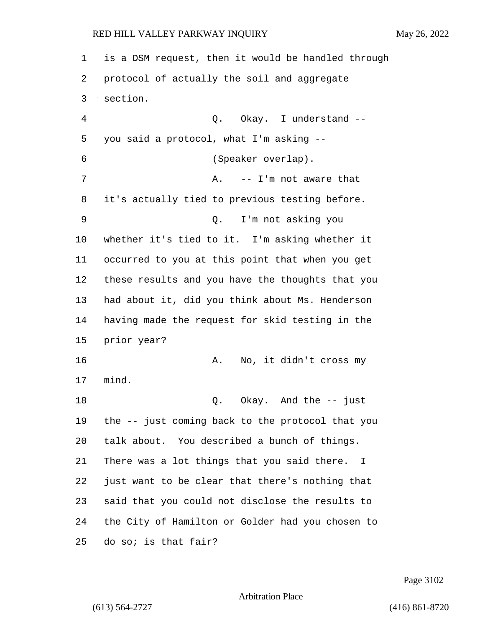is a DSM request, then it would be handled through protocol of actually the soil and aggregate section. 4 Q. Okay. I understand -- you said a protocol, what I'm asking -- 6 (Speaker overlap). 7 A. -- I'm not aware that it's actually tied to previous testing before. 9 Q. I'm not asking you whether it's tied to it. I'm asking whether it occurred to you at this point that when you get these results and you have the thoughts that you had about it, did you think about Ms. Henderson having made the request for skid testing in the prior year? 16 A. No, it didn't cross my mind. 18 Q. Okay. And the -- just the -- just coming back to the protocol that you talk about. You described a bunch of things. There was a lot things that you said there. I just want to be clear that there's nothing that said that you could not disclose the results to the City of Hamilton or Golder had you chosen to do so; is that fair?

Page 3102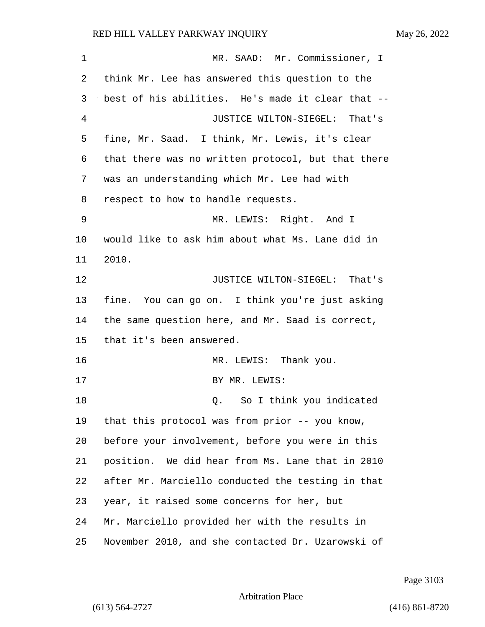| 1  | MR. SAAD: Mr. Commissioner, I                      |
|----|----------------------------------------------------|
| 2  | think Mr. Lee has answered this question to the    |
| 3  | best of his abilities. He's made it clear that --  |
| 4  | JUSTICE WILTON-SIEGEL: That's                      |
| 5  | fine, Mr. Saad. I think, Mr. Lewis, it's clear     |
| 6  | that there was no written protocol, but that there |
| 7  | was an understanding which Mr. Lee had with        |
| 8  | respect to how to handle requests.                 |
| 9  | MR. LEWIS: Right. And I                            |
| 10 | would like to ask him about what Ms. Lane did in   |
| 11 | 2010.                                              |
| 12 | JUSTICE WILTON-SIEGEL: That's                      |
| 13 | fine. You can go on. I think you're just asking    |
| 14 | the same question here, and Mr. Saad is correct,   |
| 15 | that it's been answered.                           |
| 16 | MR. LEWIS: Thank you.                              |
| 17 | BY MR. LEWIS:                                      |
| 18 | So I think you indicated<br>Q.                     |
| 19 | that this protocol was from prior -- you know,     |
| 20 | before your involvement, before you were in this   |
| 21 | position. We did hear from Ms. Lane that in 2010   |
| 22 | after Mr. Marciello conducted the testing in that  |
| 23 | year, it raised some concerns for her, but         |
| 24 | Mr. Marciello provided her with the results in     |
| 25 | November 2010, and she contacted Dr. Uzarowski of  |

Page 3103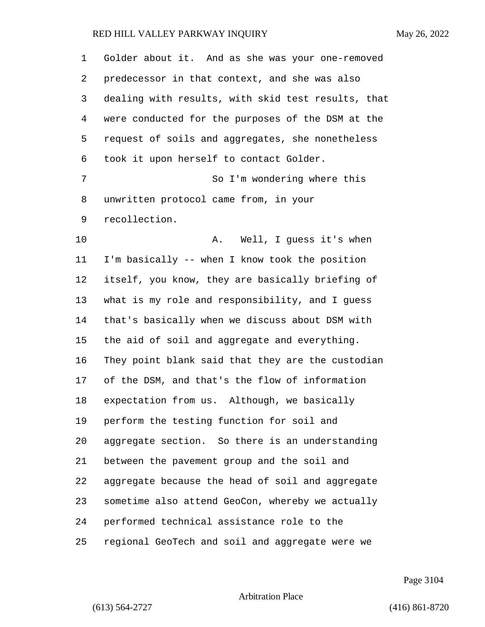| 1  | Golder about it. And as she was your one-removed   |
|----|----------------------------------------------------|
| 2  | predecessor in that context, and she was also      |
| 3  | dealing with results, with skid test results, that |
| 4  | were conducted for the purposes of the DSM at the  |
| 5  | request of soils and aggregates, she nonetheless   |
| 6  | took it upon herself to contact Golder.            |
| 7  | So I'm wondering where this                        |
| 8  | unwritten protocol came from, in your              |
| 9  | recollection.                                      |
| 10 | Well, I guess it's when<br>Α.                      |
| 11 | I'm basically -- when I know took the position     |
| 12 | itself, you know, they are basically briefing of   |
| 13 | what is my role and responsibility, and I guess    |
| 14 | that's basically when we discuss about DSM with    |
| 15 | the aid of soil and aggregate and everything.      |
| 16 | They point blank said that they are the custodian  |
| 17 | of the DSM, and that's the flow of information     |
| 18 | expectation from us. Although, we basically        |
| 19 | perform the testing function for soil and          |
| 20 | aggregate section. So there is an understanding    |
| 21 | between the pavement group and the soil and        |
| 22 | aggregate because the head of soil and aggregate   |
| 23 | sometime also attend GeoCon, whereby we actually   |
| 24 | performed technical assistance role to the         |
| 25 | regional GeoTech and soil and aggregate were we    |

Page 3104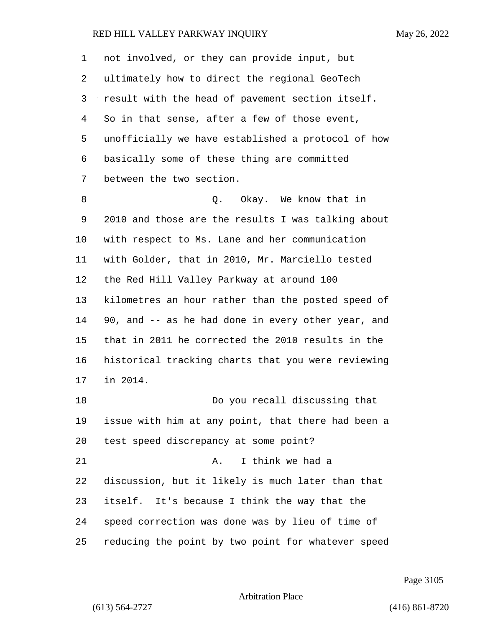| $\mathbf 1$ | not involved, or they can provide input, but       |
|-------------|----------------------------------------------------|
| 2           | ultimately how to direct the regional GeoTech      |
| 3           | result with the head of pavement section itself.   |
| 4           | So in that sense, after a few of those event,      |
| 5           | unofficially we have established a protocol of how |
| 6           | basically some of these thing are committed        |
| 7           | between the two section.                           |
| 8           | Q. Okay. We know that in                           |
| 9           | 2010 and those are the results I was talking about |
| 10          | with respect to Ms. Lane and her communication     |
| 11          | with Golder, that in 2010, Mr. Marciello tested    |
| 12          | the Red Hill Valley Parkway at around 100          |
| 13          | kilometres an hour rather than the posted speed of |
| 14          | 90, and -- as he had done in every other year, and |
| 15          | that in 2011 he corrected the 2010 results in the  |
| 16          | historical tracking charts that you were reviewing |
| 17          | in 2014.                                           |
| 18          | Do you recall discussing that                      |
| 19          | issue with him at any point, that there had been a |
| 20          | test speed discrepancy at some point?              |
| 21          | I think we had a<br>Α.                             |
| 22          | discussion, but it likely is much later than that  |
| 23          | itself. It's because I think the way that the      |
| 24          | speed correction was done was by lieu of time of   |
| 25          | reducing the point by two point for whatever speed |

Page 3105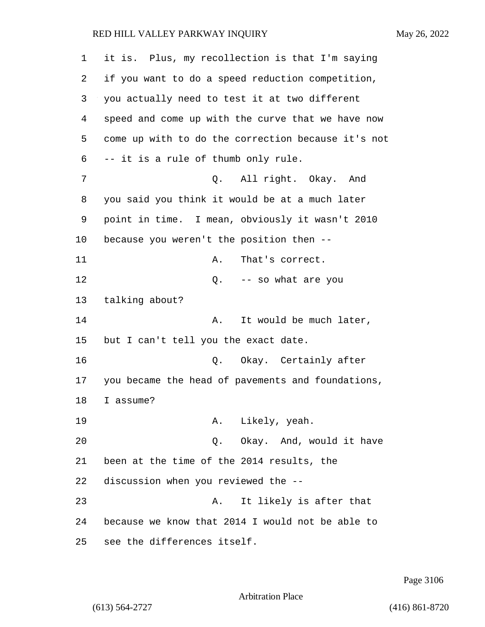| 1  | it is. Plus, my recollection is that I'm saying    |
|----|----------------------------------------------------|
| 2  | if you want to do a speed reduction competition,   |
| 3  | you actually need to test it at two different      |
| 4  | speed and come up with the curve that we have now  |
| 5  | come up with to do the correction because it's not |
| 6  | -- it is a rule of thumb only rule.                |
| 7  | All right. Okay. And<br>Q.                         |
| 8  | you said you think it would be at a much later     |
| 9  | point in time. I mean, obviously it wasn't 2010    |
| 10 | because you weren't the position then --           |
| 11 | That's correct.<br>Α.                              |
| 12 | Q. -- so what are you                              |
| 13 | talking about?                                     |
| 14 | It would be much later,<br>Α.                      |
| 15 | but I can't tell you the exact date.               |
| 16 | Okay. Certainly after<br>Q.                        |
| 17 | you became the head of pavements and foundations,  |
| 18 | I assume?                                          |
| 19 | Likely, yeah.<br>Α.                                |
| 20 | Q. Okay. And, would it have                        |
| 21 | been at the time of the 2014 results, the          |
| 22 | discussion when you reviewed the --                |
| 23 | It likely is after that<br>Α.                      |
| 24 | because we know that 2014 I would not be able to   |
| 25 | see the differences itself.                        |

Page 3106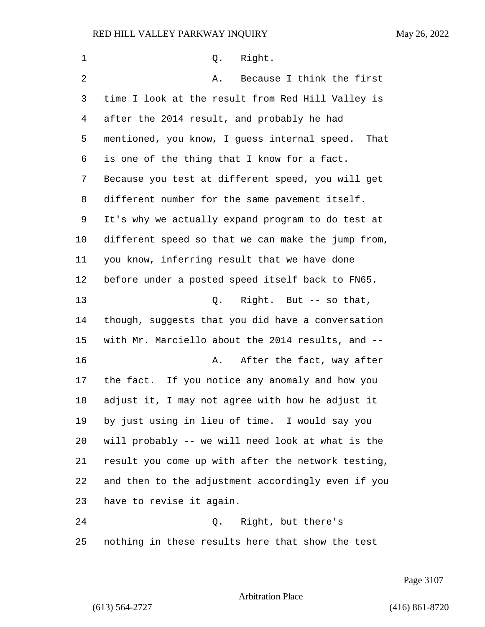1 0. Right. 2 A. Because I think the first time I look at the result from Red Hill Valley is after the 2014 result, and probably he had mentioned, you know, I guess internal speed. That is one of the thing that I know for a fact. Because you test at different speed, you will get different number for the same pavement itself. It's why we actually expand program to do test at different speed so that we can make the jump from, you know, inferring result that we have done before under a posted speed itself back to FN65. 13 Q. Right. But -- so that, though, suggests that you did have a conversation with Mr. Marciello about the 2014 results, and -- **A.** After the fact, way after the fact. If you notice any anomaly and how you adjust it, I may not agree with how he adjust it by just using in lieu of time. I would say you will probably -- we will need look at what is the result you come up with after the network testing, and then to the adjustment accordingly even if you have to revise it again. 24 Q. Right, but there's nothing in these results here that show the test

Page 3107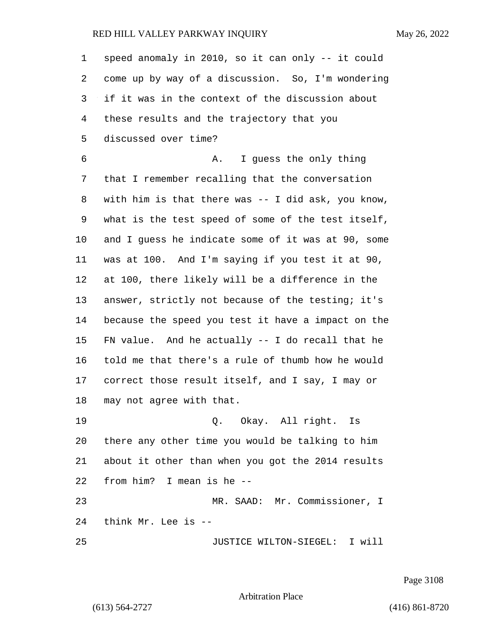| 1  | speed anomaly in 2010, so it can only -- it could  |
|----|----------------------------------------------------|
| 2  | come up by way of a discussion. So, I'm wondering  |
| 3  | if it was in the context of the discussion about   |
| 4  | these results and the trajectory that you          |
| 5  | discussed over time?                               |
| 6  | I guess the only thing<br>Α.                       |
| 7  | that I remember recalling that the conversation    |
| 8  | with him is that there was -- I did ask, you know, |
| 9  | what is the test speed of some of the test itself, |
| 10 | and I guess he indicate some of it was at 90, some |
| 11 | was at 100. And I'm saying if you test it at 90,   |
| 12 | at 100, there likely will be a difference in the   |
| 13 | answer, strictly not because of the testing; it's  |
| 14 | because the speed you test it have a impact on the |
| 15 | FN value. And he actually $-$ I do recall that he  |
| 16 | told me that there's a rule of thumb how he would  |
| 17 | correct those result itself, and I say, I may or   |
| 18 | may not agree with that.                           |
| 19 | Q. Okay. All right. Is                             |
| 20 | there any other time you would be talking to him   |
| 21 | about it other than when you got the 2014 results  |
| 22 | from him? I mean is he --                          |
| 23 | MR. SAAD: Mr. Commissioner, I                      |
| 24 | think Mr. Lee is --                                |
| 25 | JUSTICE WILTON-SIEGEL: I will                      |

Page 3108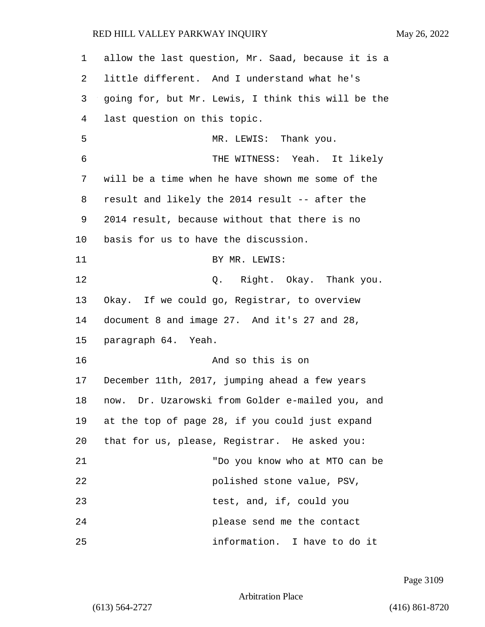| $\mathbf 1$ | allow the last question, Mr. Saad, because it is a |
|-------------|----------------------------------------------------|
| 2           | little different. And I understand what he's       |
| 3           | going for, but Mr. Lewis, I think this will be the |
| 4           | last question on this topic.                       |
| 5           | MR. LEWIS: Thank you.                              |
| 6           | THE WITNESS: Yeah. It likely                       |
| 7           | will be a time when he have shown me some of the   |
| 8           | result and likely the 2014 result -- after the     |
| 9           | 2014 result, because without that there is no      |
| 10          | basis for us to have the discussion.               |
| 11          | BY MR. LEWIS:                                      |
| 12          | Q. Right. Okay. Thank you.                         |
| 13          | Okay. If we could go, Registrar, to overview       |
| 14          | document 8 and image 27. And it's 27 and 28,       |
| 15          | paragraph 64. Yeah.                                |
| 16          | And so this is on                                  |
| 17          | December 11th, 2017, jumping ahead a few years     |
| 18          | now. Dr. Uzarowski from Golder e-mailed you, and   |
| 19          | at the top of page 28, if you could just expand    |
| 20          | that for us, please, Registrar. He asked you:      |
| 21          | "Do you know who at MTO can be                     |
| 22          | polished stone value, PSV,                         |
| 23          | test, and, if, could you                           |
| 24          | please send me the contact                         |
| 25          | information. I have to do it                       |

Page 3109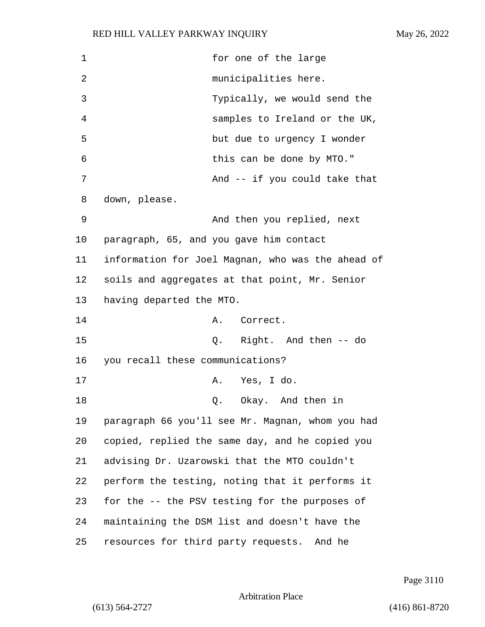| $\mathbf 1$ | for one of the large                              |
|-------------|---------------------------------------------------|
| 2           | municipalities here.                              |
| 3           | Typically, we would send the                      |
| 4           | samples to Ireland or the UK,                     |
| 5           | but due to urgency I wonder                       |
| 6           | this can be done by MTO."                         |
| 7           | And -- if you could take that                     |
| 8           | down, please.                                     |
| 9           | And then you replied, next                        |
| 10          | paragraph, 65, and you gave him contact           |
| 11          | information for Joel Magnan, who was the ahead of |
| 12          | soils and aggregates at that point, Mr. Senior    |
| 13          | having departed the MTO.                          |
| 14          | Correct.<br>Α.                                    |
| 15          | Q. Right. And then -- do                          |
| 16          | you recall these communications?                  |
| 17          | Yes, I do.<br>Α.                                  |
| 18          | Okay. And then in<br>Q.                           |
| 19          | paragraph 66 you'll see Mr. Magnan, whom you had  |
| 20          | copied, replied the same day, and he copied you   |
| 21          | advising Dr. Uzarowski that the MTO couldn't      |
| 22          | perform the testing, noting that it performs it   |
| 23          | for the -- the PSV testing for the purposes of    |
| 24          | maintaining the DSM list and doesn't have the     |
| 25          | resources for third party requests. And he        |

Page 3110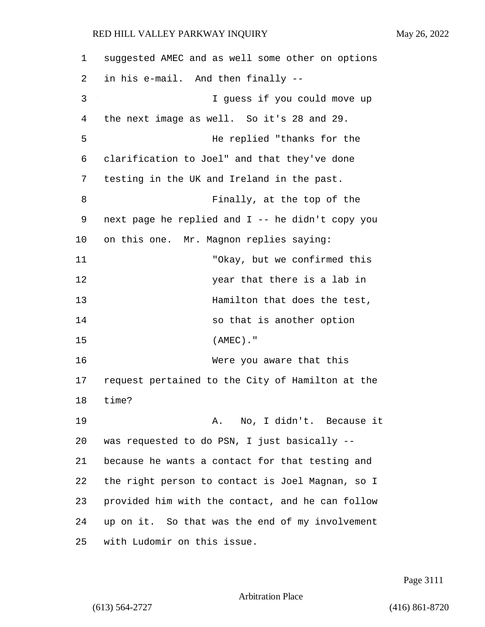1 suggested AMEC and as well some other on options 2 in his e-mail. And then finally -- 3 I guess if you could move up 4 the next image as well. So it's 28 and 29. 5 He replied "thanks for the 6 clarification to Joel" and that they've done 7 testing in the UK and Ireland in the past. 8 Finally, at the top of the 9 next page he replied and I -- he didn't copy you 10 on this one. Mr. Magnon replies saying: 11 "Okay, but we confirmed this 12 year that there is a lab in 13 **Hamilton** that does the test, 14 so that is another option 15 (AMEC)." 16 Were you aware that this 17 request pertained to the City of Hamilton at the 18 time? 19 A. No, I didn't. Because it 20 was requested to do PSN, I just basically -- 21 because he wants a contact for that testing and 22 the right person to contact is Joel Magnan, so I 23 provided him with the contact, and he can follow 24 up on it. So that was the end of my involvement 25 with Ludomir on this issue.

Page 3111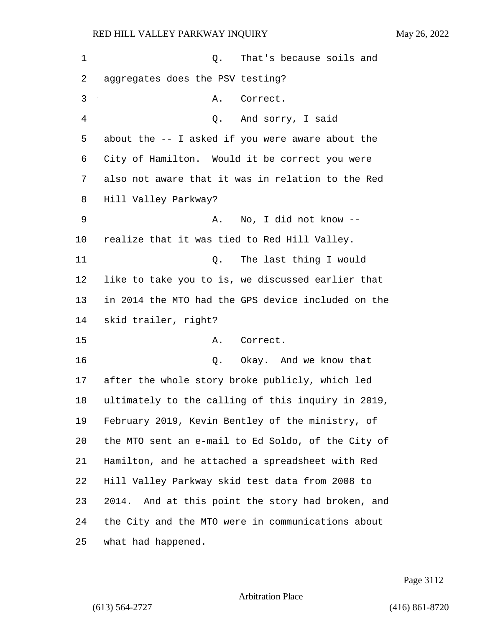| 1  | That's because soils and<br>Q.                       |
|----|------------------------------------------------------|
| 2  | aggregates does the PSV testing?                     |
| 3  | Correct.<br>Α.                                       |
| 4  | Q. And sorry, I said                                 |
| 5  | about the $-$ - I asked if you were aware about the  |
| 6  | City of Hamilton. Would it be correct you were       |
| 7  | also not aware that it was in relation to the Red    |
| 8  | Hill Valley Parkway?                                 |
| 9  | No, I did not know --<br>Α.                          |
| 10 | realize that it was tied to Red Hill Valley.         |
| 11 | Q. The last thing I would                            |
| 12 | like to take you to is, we discussed earlier that    |
| 13 | in 2014 the MTO had the GPS device included on the   |
| 14 | skid trailer, right?                                 |
| 15 | Correct.<br>Α.                                       |
| 16 | Okay. And we know that<br>Q.                         |
| 17 | after the whole story broke publicly, which led      |
| 18 | ultimately to the calling of this inquiry in 2019,   |
| 19 | February 2019, Kevin Bentley of the ministry, of     |
| 20 | the MTO sent an e-mail to Ed Soldo, of the City of   |
| 21 | Hamilton, and he attached a spreadsheet with Red     |
| 22 | Hill Valley Parkway skid test data from 2008 to      |
| 23 | And at this point the story had broken, and<br>2014. |
| 24 | the City and the MTO were in communications about    |
| 25 | what had happened.                                   |

Page 3112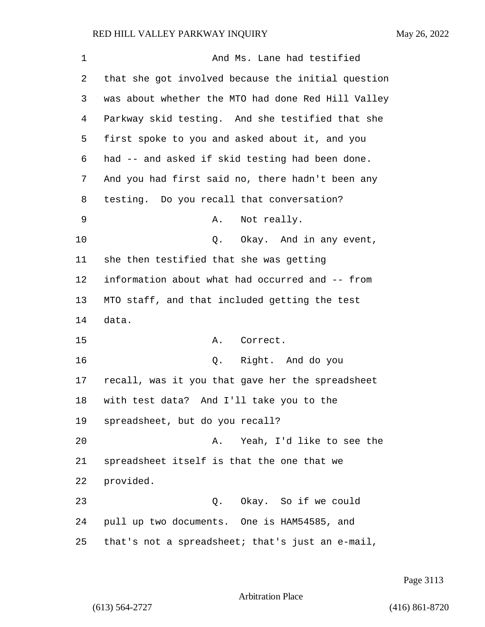| 1  | And Ms. Lane had testified                         |
|----|----------------------------------------------------|
| 2  | that she got involved because the initial question |
| 3  | was about whether the MTO had done Red Hill Valley |
| 4  | Parkway skid testing. And she testified that she   |
| 5  | first spoke to you and asked about it, and you     |
| 6  | had -- and asked if skid testing had been done.    |
| 7  | And you had first said no, there hadn't been any   |
| 8  | testing. Do you recall that conversation?          |
| 9  | Not really.<br>Α.                                  |
| 10 | Q. Okay. And in any event,                         |
| 11 | she then testified that she was getting            |
| 12 | information about what had occurred and -- from    |
| 13 | MTO staff, and that included getting the test      |
| 14 | data.                                              |
| 15 | Correct.<br>Α.                                     |
| 16 | Right. And do you<br>Q.                            |
| 17 | recall, was it you that gave her the spreadsheet   |
| 18 | with test data? And I'll take you to the           |
| 19 | spreadsheet, but do you recall?                    |
| 20 | Yeah, I'd like to see the<br>Α.                    |
| 21 | spreadsheet itself is that the one that we         |
| 22 | provided.                                          |
| 23 | Q. Okay. So if we could                            |
| 24 | pull up two documents. One is HAM54585, and        |
| 25 | that's not a spreadsheet; that's just an e-mail,   |

Page 3113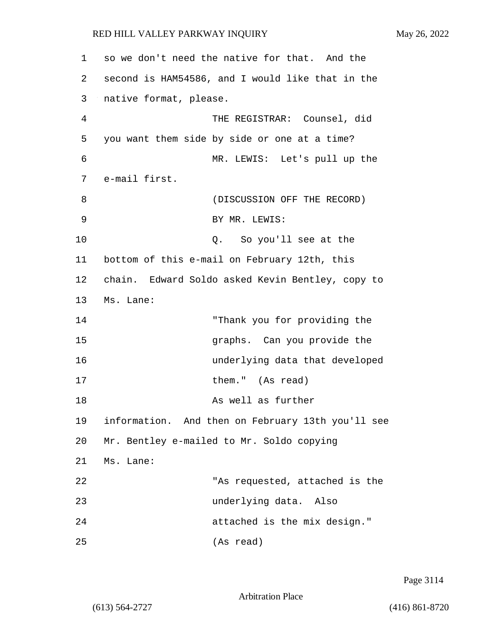| 1  | so we don't need the native for that. And the     |
|----|---------------------------------------------------|
| 2  | second is HAM54586, and I would like that in the  |
| 3  | native format, please.                            |
| 4  | THE REGISTRAR: Counsel, did                       |
| 5  | you want them side by side or one at a time?      |
| 6  | MR. LEWIS: Let's pull up the                      |
| 7  | e-mail first.                                     |
| 8  | (DISCUSSION OFF THE RECORD)                       |
| 9  | BY MR. LEWIS:                                     |
| 10 | So you'll see at the<br>Q.                        |
| 11 | bottom of this e-mail on February 12th, this      |
| 12 | chain. Edward Soldo asked Kevin Bentley, copy to  |
| 13 | Ms. Lane:                                         |
| 14 | "Thank you for providing the                      |
| 15 | graphs. Can you provide the                       |
| 16 | underlying data that developed                    |
| 17 | them." (As read)                                  |
| 18 | As well as further                                |
| 19 | information. And then on February 13th you'll see |
| 20 | Mr. Bentley e-mailed to Mr. Soldo copying         |
| 21 | Ms. Lane:                                         |
| 22 | "As requested, attached is the                    |
| 23 | underlying data. Also                             |
| 24 | attached is the mix design."                      |
| 25 | (As read)                                         |

Page 3114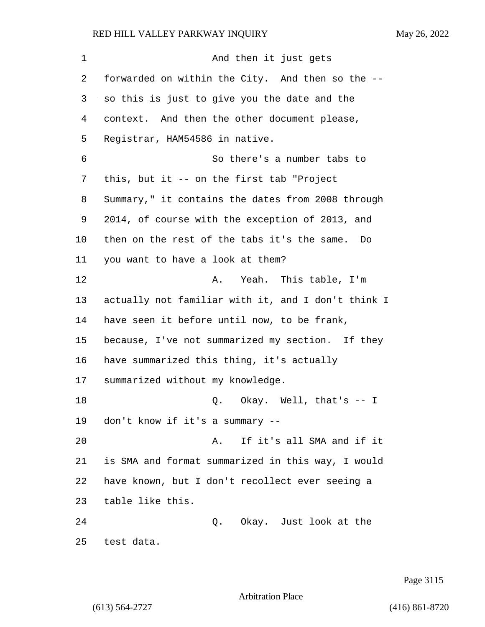1 and then it just gets 2 forwarded on within the City. And then so the -- so this is just to give you the date and the context. And then the other document please, Registrar, HAM54586 in native. 6 So there's a number tabs to this, but it -- on the first tab "Project Summary," it contains the dates from 2008 through 2014, of course with the exception of 2013, and then on the rest of the tabs it's the same. Do you want to have a look at them? 12 A. Yeah. This table, I'm actually not familiar with it, and I don't think I have seen it before until now, to be frank, because, I've not summarized my section. If they have summarized this thing, it's actually summarized without my knowledge. 18 Q. Okay. Well, that's -- I don't know if it's a summary -- 20 A. If it's all SMA and if it is SMA and format summarized in this way, I would have known, but I don't recollect ever seeing a table like this. 24 Q. Okay. Just look at the test data.

Page 3115

Arbitration Place

(613) 564-2727 (416) 861-8720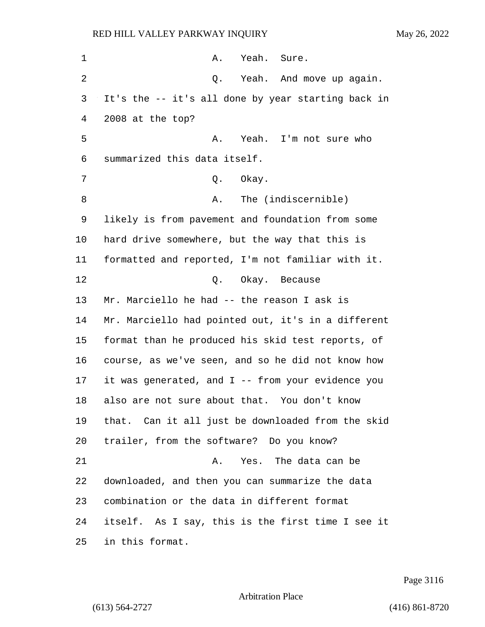| 1              | A. Yeah. Sure.                                     |
|----------------|----------------------------------------------------|
| $\overline{2}$ | Q. Yeah. And move up again.                        |
| 3              | It's the -- it's all done by year starting back in |
| 4              | 2008 at the top?                                   |
| 5              | A. Yeah. I'm not sure who                          |
| 6              | summarized this data itself.                       |
| 7              | Okay.<br>Q.                                        |
| 8              | The (indiscernible)<br>Α.                          |
| 9              | likely is from pavement and foundation from some   |
| 10             | hard drive somewhere, but the way that this is     |
| 11             | formatted and reported, I'm not familiar with it.  |
| 12             | Q. Okay. Because                                   |
| 13             | Mr. Marciello he had -- the reason I ask is        |
| 14             | Mr. Marciello had pointed out, it's in a different |
| 15             | format than he produced his skid test reports, of  |
| 16             | course, as we've seen, and so he did not know how  |
| 17             | it was generated, and I -- from your evidence you  |
| 18             | also are not sure about that. You don't know       |
| 19             | that. Can it all just be downloaded from the skid  |
| 20             | trailer, from the software? Do you know?           |
| 21             | Yes. The data can be<br>Α.                         |
| 22             | downloaded, and then you can summarize the data    |
| 23             | combination or the data in different format        |
| 24             | itself. As I say, this is the first time I see it  |
| 25             | in this format.                                    |

Page 3116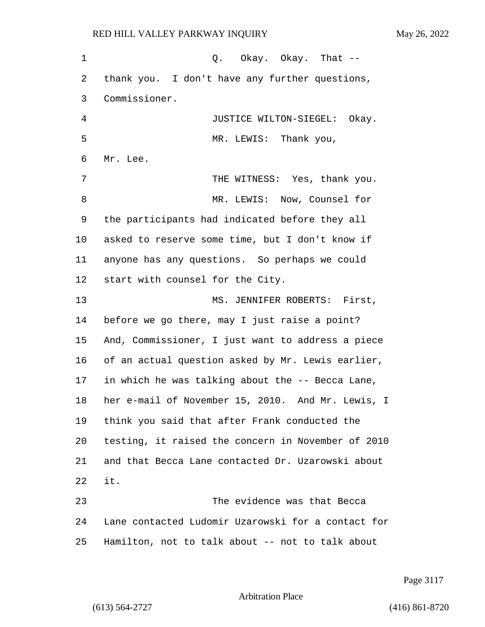1 Q. Okay. Okay. That -- thank you. I don't have any further questions, Commissioner. 4 JUSTICE WILTON-SIEGEL: Okay. 5 MR. LEWIS: Thank you, Mr. Lee. 7 THE WITNESS: Yes, thank you. 8 MR. LEWIS: Now, Counsel for the participants had indicated before they all asked to reserve some time, but I don't know if anyone has any questions. So perhaps we could start with counsel for the City. 13 MS. JENNIFER ROBERTS: First, before we go there, may I just raise a point? And, Commissioner, I just want to address a piece of an actual question asked by Mr. Lewis earlier, in which he was talking about the -- Becca Lane, her e-mail of November 15, 2010. And Mr. Lewis, I think you said that after Frank conducted the testing, it raised the concern in November of 2010 and that Becca Lane contacted Dr. Uzarowski about it. 23 The evidence was that Becca Lane contacted Ludomir Uzarowski for a contact for Hamilton, not to talk about -- not to talk about

Page 3117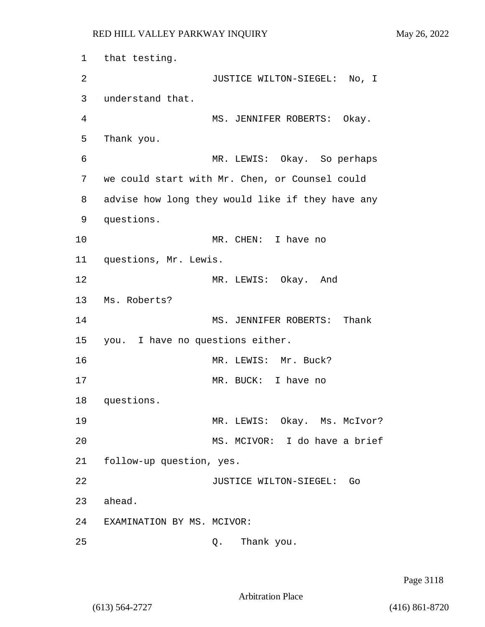1 that testing. 2 JUSTICE WILTON-SIEGEL: No, I 3 understand that. 4 MS. JENNIFER ROBERTS: Okay. 5 Thank you. 6 MR. LEWIS: Okay. So perhaps 7 we could start with Mr. Chen, or Counsel could 8 advise how long they would like if they have any 9 questions. 10 MR. CHEN: I have no 11 questions, Mr. Lewis. 12 MR. LEWIS: Okay. And 13 Ms. Roberts? 14 MS. JENNIFER ROBERTS: Thank 15 you. I have no questions either. 16 MR. LEWIS: Mr. Buck? 17 MR. BUCK: I have no 18 questions. 19 MR. LEWIS: Okay. Ms. McIvor? 20 MS. MCIVOR: I do have a brief 21 follow-up question, yes. 22 JUSTICE WILTON-SIEGEL: Go 23 ahead. 24 EXAMINATION BY MS. MCIVOR: 25 Q. Thank you.

Page 3118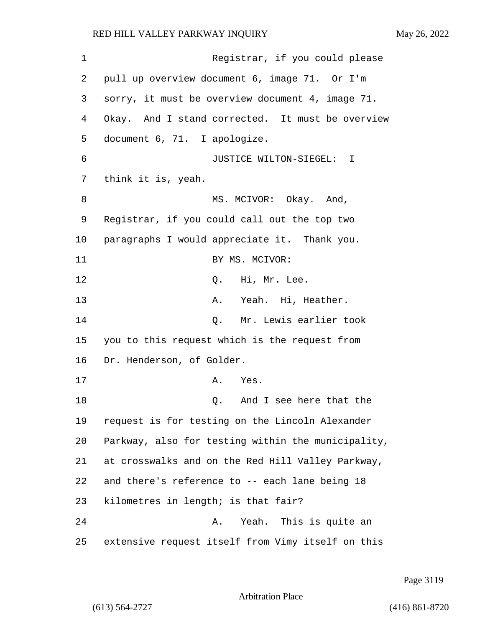1 Registrar, if you could please 2 pull up overview document 6, image 71. Or I'm 3 sorry, it must be overview document 4, image 71. 4 Okay. And I stand corrected. It must be overview 5 document 6, 71. I apologize. 6 JUSTICE WILTON-SIEGEL: I 7 think it is, yeah. 8 MS. MCIVOR: Okay. And, 9 Registrar, if you could call out the top two 10 paragraphs I would appreciate it. Thank you. 11 BY MS. MCIVOR: 12 O. Hi, Mr. Lee. 13 A. Yeah. Hi, Heather. 14 Q. Mr. Lewis earlier took 15 you to this request which is the request from 16 Dr. Henderson, of Golder. 17 A. Yes. 18 and I see here that the 19 request is for testing on the Lincoln Alexander 20 Parkway, also for testing within the municipality, 21 at crosswalks and on the Red Hill Valley Parkway, 22 and there's reference to -- each lane being 18 23 kilometres in length; is that fair? 24 A. Yeah. This is quite an 25 extensive request itself from Vimy itself on this

Page 3119

Arbitration Place

(613) 564-2727 (416) 861-8720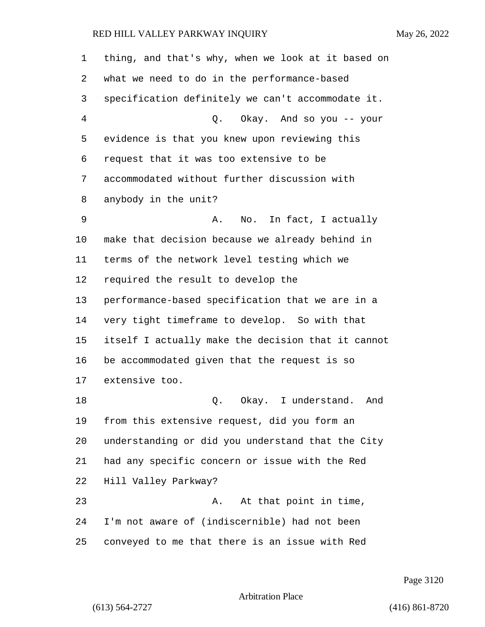| 1  | thing, and that's why, when we look at it based on |
|----|----------------------------------------------------|
| 2  | what we need to do in the performance-based        |
| 3  | specification definitely we can't accommodate it.  |
| 4  | Q. Okay. And so you -- your                        |
| 5  | evidence is that you knew upon reviewing this      |
| 6  | request that it was too extensive to be            |
| 7  | accommodated without further discussion with       |
| 8  | anybody in the unit?                               |
| 9  | No. In fact, I actually<br>Α.                      |
| 10 | make that decision because we already behind in    |
| 11 | terms of the network level testing which we        |
| 12 | required the result to develop the                 |
| 13 | performance-based specification that we are in a   |
| 14 | very tight timeframe to develop. So with that      |
| 15 | itself I actually make the decision that it cannot |
| 16 | be accommodated given that the request is so       |
| 17 | extensive too.                                     |
| 18 | Okay. I understand.<br>Q.<br>And                   |
| 19 | from this extensive request, did you form an       |
| 20 | understanding or did you understand that the City  |
| 21 | had any specific concern or issue with the Red     |
| 22 | Hill Valley Parkway?                               |
| 23 | At that point in time,<br>Α.                       |
| 24 | I'm not aware of (indiscernible) had not been      |
| 25 | conveyed to me that there is an issue with Red     |

Page 3120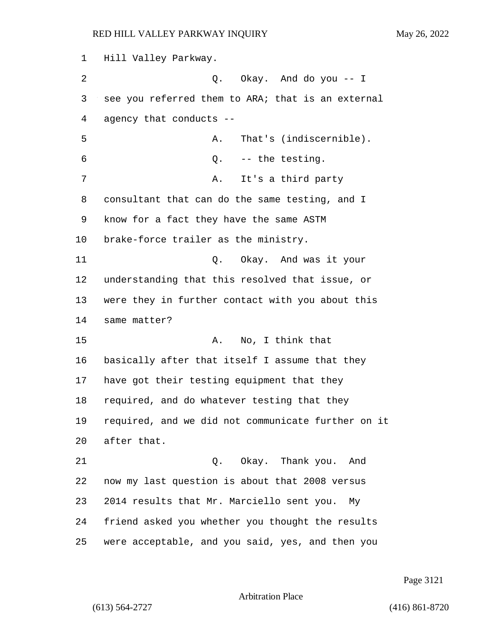Hill Valley Parkway. 2 Q. Okay. And do you -- I see you referred them to ARA; that is an external agency that conducts -- 5 A. That's (indiscernible). 6 Q. -- the testing. 7 A. It's a third party consultant that can do the same testing, and I know for a fact they have the same ASTM brake-force trailer as the ministry. 11 Q. Okay. And was it your understanding that this resolved that issue, or were they in further contact with you about this same matter? 15 A. No, I think that basically after that itself I assume that they have got their testing equipment that they required, and do whatever testing that they required, and we did not communicate further on it after that. 21 Q. Okay. Thank you. And now my last question is about that 2008 versus 2014 results that Mr. Marciello sent you. My friend asked you whether you thought the results were acceptable, and you said, yes, and then you

Page 3121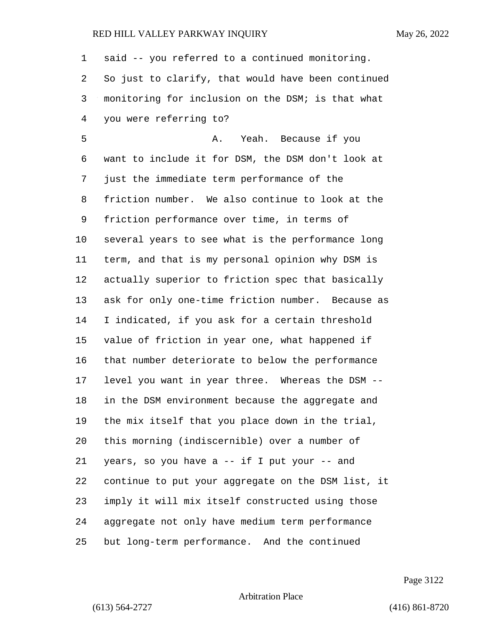said -- you referred to a continued monitoring. So just to clarify, that would have been continued monitoring for inclusion on the DSM; is that what you were referring to?

5 A. Yeah. Because if you want to include it for DSM, the DSM don't look at just the immediate term performance of the friction number. We also continue to look at the friction performance over time, in terms of several years to see what is the performance long term, and that is my personal opinion why DSM is actually superior to friction spec that basically ask for only one-time friction number. Because as I indicated, if you ask for a certain threshold value of friction in year one, what happened if that number deteriorate to below the performance level you want in year three. Whereas the DSM -- in the DSM environment because the aggregate and the mix itself that you place down in the trial, this morning (indiscernible) over a number of years, so you have a -- if I put your -- and continue to put your aggregate on the DSM list, it imply it will mix itself constructed using those aggregate not only have medium term performance but long-term performance. And the continued

Page 3122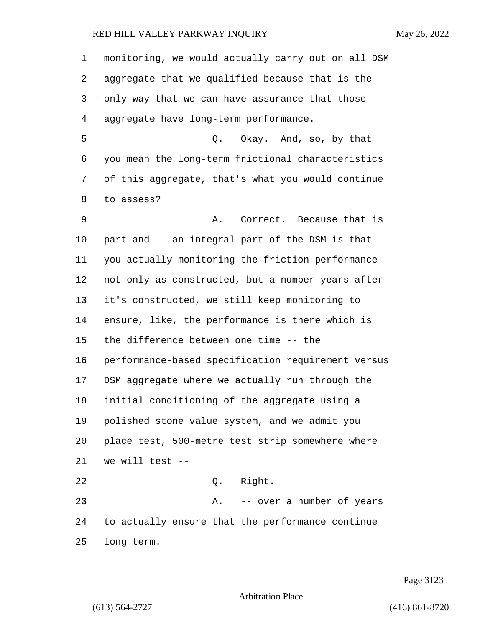monitoring, we would actually carry out on all DSM aggregate that we qualified because that is the only way that we can have assurance that those aggregate have long-term performance. 5 Q. Okay. And, so, by that you mean the long-term frictional characteristics of this aggregate, that's what you would continue to assess? 9 A. Correct. Because that is part and -- an integral part of the DSM is that you actually monitoring the friction performance not only as constructed, but a number years after it's constructed, we still keep monitoring to ensure, like, the performance is there which is the difference between one time -- the performance-based specification requirement versus DSM aggregate where we actually run through the initial conditioning of the aggregate using a polished stone value system, and we admit you place test, 500-metre test strip somewhere where we will test -- 22 Q. Right. 23 A. -- over a number of years to actually ensure that the performance continue long term.

Page 3123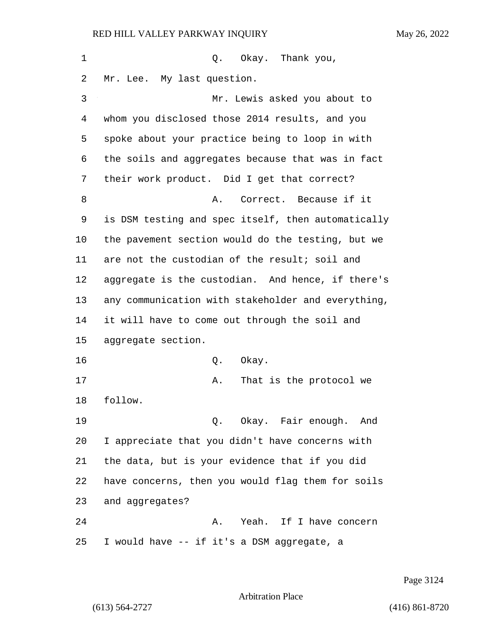1 Q. Okay. Thank you, Mr. Lee. My last question. 3 Mr. Lewis asked you about to whom you disclosed those 2014 results, and you spoke about your practice being to loop in with the soils and aggregates because that was in fact their work product. Did I get that correct? 8 A. Correct. Because if it is DSM testing and spec itself, then automatically the pavement section would do the testing, but we are not the custodian of the result; soil and aggregate is the custodian. And hence, if there's any communication with stakeholder and everything, it will have to come out through the soil and aggregate section. 16 Q. Okay. 17 A. That is the protocol we follow. 19 Q. Okay. Fair enough. And I appreciate that you didn't have concerns with the data, but is your evidence that if you did have concerns, then you would flag them for soils and aggregates? 24 A. Yeah. If I have concern I would have -- if it's a DSM aggregate, a

Page 3124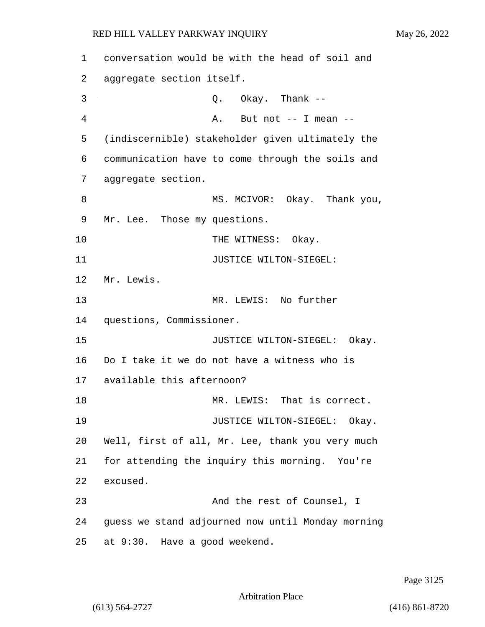1 conversation would be with the head of soil and 2 aggregate section itself. 3 Q. Okay. Thank -- 4 A. But not -- I mean -- 5 (indiscernible) stakeholder given ultimately the 6 communication have to come through the soils and 7 aggregate section. 8 MS. MCIVOR: Okay. Thank you, 9 Mr. Lee. Those my questions. 10 THE WITNESS: Okay. 11 JUSTICE WILTON-SIEGEL: 12 Mr. Lewis. 13 MR. LEWIS: No further 14 questions, Commissioner. 15 **JUSTICE WILTON-SIEGEL:** Okay. 16 Do I take it we do not have a witness who is 17 available this afternoon? 18 MR. LEWIS: That is correct. 19 JUSTICE WILTON-SIEGEL: Okay. 20 Well, first of all, Mr. Lee, thank you very much 21 for attending the inquiry this morning. You're 22 excused. 23 And the rest of Counsel, I 24 guess we stand adjourned now until Monday morning 25 at 9:30. Have a good weekend.

Page 3125

Arbitration Place

(613) 564-2727 (416) 861-8720